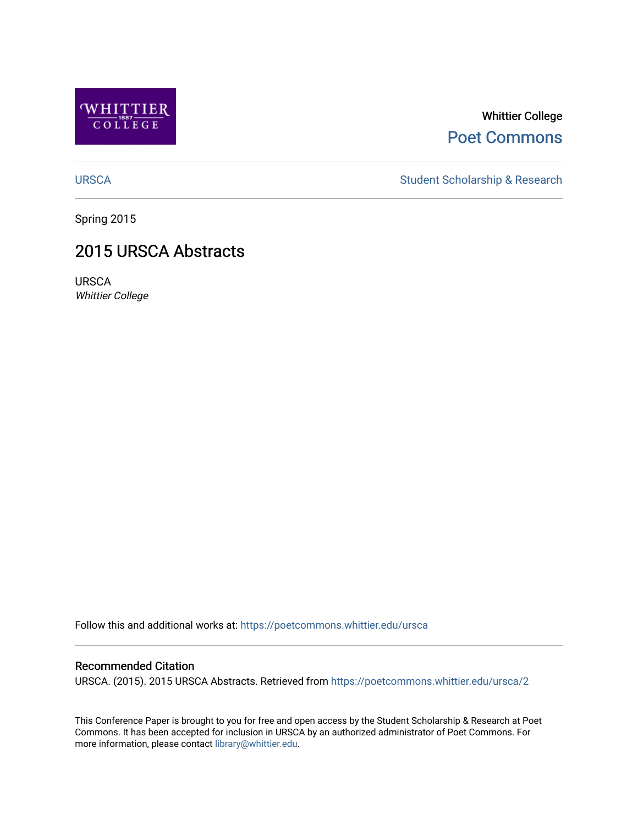

### Whittier College [Poet Commons](https://poetcommons.whittier.edu/)

[URSCA](https://poetcommons.whittier.edu/ursca) Student Scholarship & Research

Spring 2015

### 2015 URSCA Abstracts

URSCA Whittier College

Follow this and additional works at: [https://poetcommons.whittier.edu/ursca](https://poetcommons.whittier.edu/ursca?utm_source=poetcommons.whittier.edu%2Fursca%2F2&utm_medium=PDF&utm_campaign=PDFCoverPages) 

#### Recommended Citation

URSCA. (2015). 2015 URSCA Abstracts. Retrieved from [https://poetcommons.whittier.edu/ursca/2](https://poetcommons.whittier.edu/ursca/2?utm_source=poetcommons.whittier.edu%2Fursca%2F2&utm_medium=PDF&utm_campaign=PDFCoverPages) 

This Conference Paper is brought to you for free and open access by the Student Scholarship & Research at Poet Commons. It has been accepted for inclusion in URSCA by an authorized administrator of Poet Commons. For more information, please contact [library@whittier.edu.](mailto:library@whittier.edu)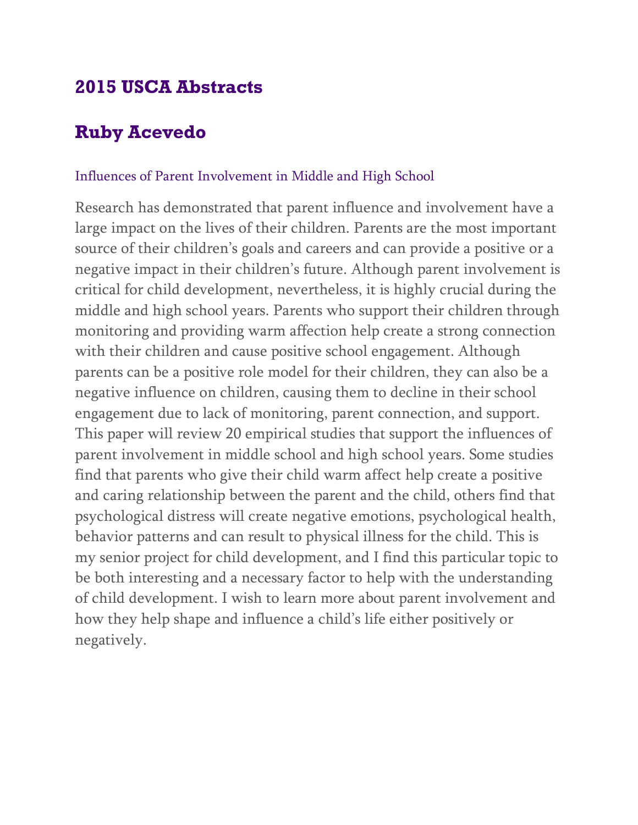# **2015 USCA Abstracts**

# **Ruby Acevedo**

#### Influences of Parent Involvement in Middle and High School

Research has demonstrated that parent influence and involvement have a large impact on the lives of their children. Parents are the most important source of their children's goals and careers and can provide a positive or a negative impact in their children's future. Although parent involvement is critical for child development, nevertheless, it is highly crucial during the middle and high school years. Parents who support their children through monitoring and providing warm affection help create a strong connection with their children and cause positive school engagement. Although parents can be a positive role model for their children, they can also be a negative influence on children, causing them to decline in their school engagement due to lack of monitoring, parent connection, and support. This paper will review 20 empirical studies that support the influences of parent involvement in middle school and high school years. Some studies find that parents who give their child warm affect help create a positive and caring relationship between the parent and the child, others find that psychological distress will create negative emotions, psychological health, behavior patterns and can result to physical illness for the child. This is my senior project for child development, and I find this particular topic to be both interesting and a necessary factor to help with the understanding of child development. I wish to learn more about parent involvement and how they help shape and influence a child's life either positively or negatively.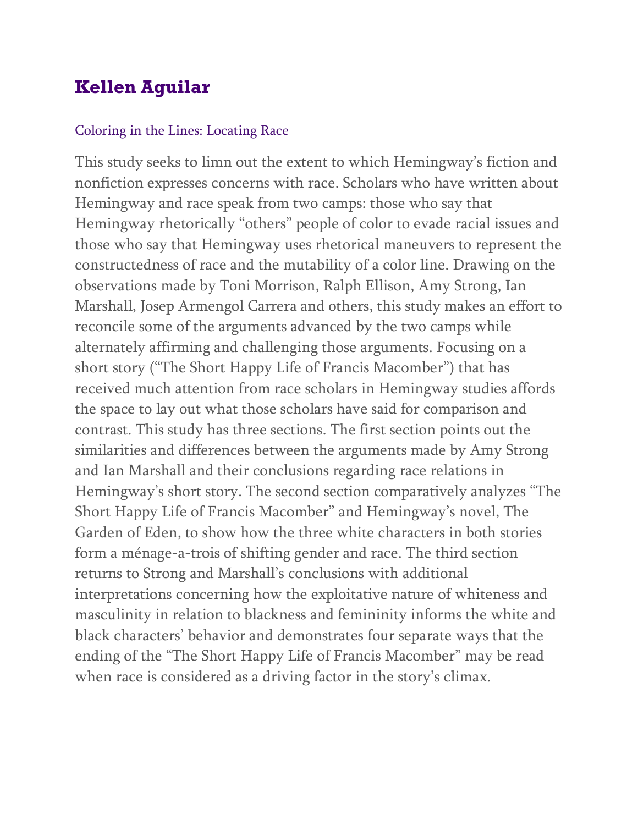# **Kellen Aguilar**

#### Coloring in the Lines: Locating Race

This study seeks to limn out the extent to which Hemingway's fiction and nonfiction expresses concerns with race. Scholars who have written about Hemingway and race speak from two camps: those who say that Hemingway rhetorically "others" people of color to evade racial issues and those who say that Hemingway uses rhetorical maneuvers to represent the constructedness of race and the mutability of a color line. Drawing on the observations made by Toni Morrison, Ralph Ellison, Amy Strong, Ian Marshall, Josep Armengol Carrera and others, this study makes an effort to reconcile some of the arguments advanced by the two camps while alternately affirming and challenging those arguments. Focusing on a short story ("The Short Happy Life of Francis Macomber") that has received much attention from race scholars in Hemingway studies affords the space to lay out what those scholars have said for comparison and contrast. This study has three sections. The first section points out the similarities and differences between the arguments made by Amy Strong and Ian Marshall and their conclusions regarding race relations in Hemingway's short story. The second section comparatively analyzes "The Short Happy Life of Francis Macomber" and Hemingway's novel, The Garden of Eden, to show how the three white characters in both stories form a ménage-a-trois of shifting gender and race. The third section returns to Strong and Marshall's conclusions with additional interpretations concerning how the exploitative nature of whiteness and masculinity in relation to blackness and femininity informs the white and black characters' behavior and demonstrates four separate ways that the ending of the "The Short Happy Life of Francis Macomber" may be read when race is considered as a driving factor in the story's climax.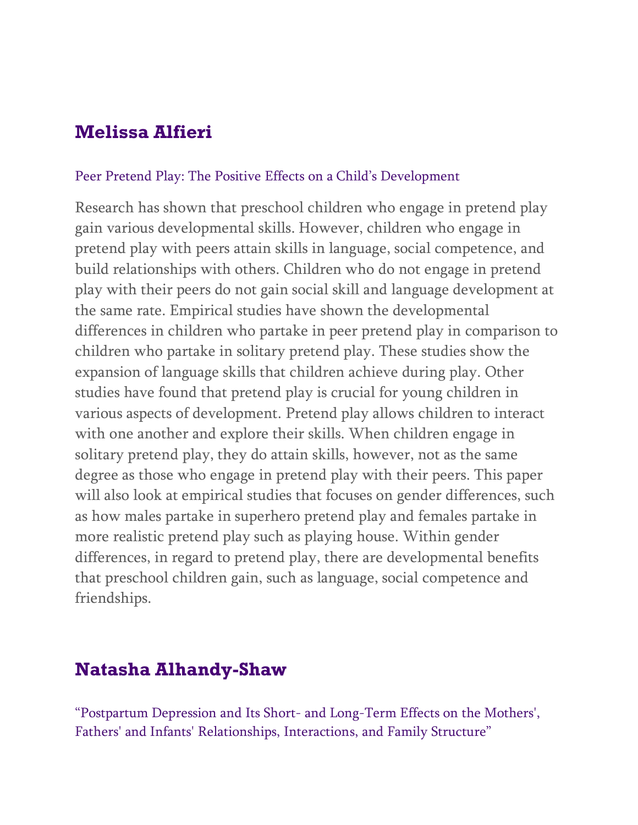# **Melissa Alfieri**

#### Peer Pretend Play: The Positive Effects on a Child's Development

Research has shown that preschool children who engage in pretend play gain various developmental skills. However, children who engage in pretend play with peers attain skills in language, social competence, and build relationships with others. Children who do not engage in pretend play with their peers do not gain social skill and language development at the same rate. Empirical studies have shown the developmental differences in children who partake in peer pretend play in comparison to children who partake in solitary pretend play. These studies show the expansion of language skills that children achieve during play. Other studies have found that pretend play is crucial for young children in various aspects of development. Pretend play allows children to interact with one another and explore their skills. When children engage in solitary pretend play, they do attain skills, however, not as the same degree as those who engage in pretend play with their peers. This paper will also look at empirical studies that focuses on gender differences, such as how males partake in superhero pretend play and females partake in more realistic pretend play such as playing house. Within gender differences, in regard to pretend play, there are developmental benefits that preschool children gain, such as language, social competence and friendships.

### **Natasha Alhandy-Shaw**

"Postpartum Depression and Its Short- and Long-Term Effects on the Mothers', Fathers' and Infants' Relationships, Interactions, and Family Structure"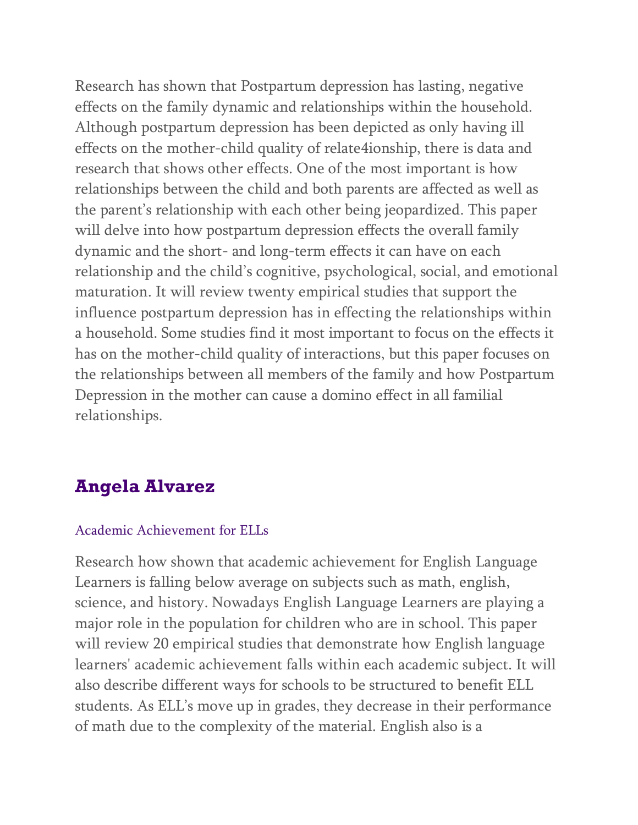Research has shown that Postpartum depression has lasting, negative effects on the family dynamic and relationships within the household. Although postpartum depression has been depicted as only having ill effects on the mother-child quality of relate4ionship, there is data and research that shows other effects. One of the most important is how relationships between the child and both parents are affected as well as the parent's relationship with each other being jeopardized. This paper will delve into how postpartum depression effects the overall family dynamic and the short- and long-term effects it can have on each relationship and the child's cognitive, psychological, social, and emotional maturation. It will review twenty empirical studies that support the influence postpartum depression has in effecting the relationships within a household. Some studies find it most important to focus on the effects it has on the mother-child quality of interactions, but this paper focuses on the relationships between all members of the family and how Postpartum Depression in the mother can cause a domino effect in all familial relationships.

### **Angela Alvarez**

#### Academic Achievement for ELLs

Research how shown that academic achievement for English Language Learners is falling below average on subjects such as math, english, science, and history. Nowadays English Language Learners are playing a major role in the population for children who are in school. This paper will review 20 empirical studies that demonstrate how English language learners' academic achievement falls within each academic subject. It will also describe different ways for schools to be structured to benefit ELL students. As ELL's move up in grades, they decrease in their performance of math due to the complexity of the material. English also is a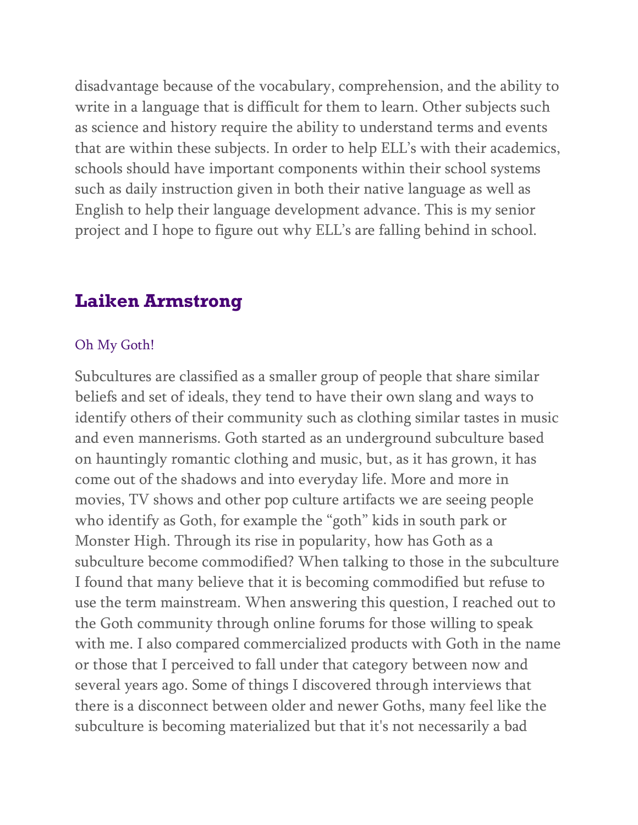disadvantage because of the vocabulary, comprehension, and the ability to write in a language that is difficult for them to learn. Other subjects such as science and history require the ability to understand terms and events that are within these subjects. In order to help ELL's with their academics, schools should have important components within their school systems such as daily instruction given in both their native language as well as English to help their language development advance. This is my senior project and I hope to figure out why ELL's are falling behind in school.

### **Laiken Armstrong**

#### Oh My Goth!

Subcultures are classified as a smaller group of people that share similar beliefs and set of ideals, they tend to have their own slang and ways to identify others of their community such as clothing similar tastes in music and even mannerisms. Goth started as an underground subculture based on hauntingly romantic clothing and music, but, as it has grown, it has come out of the shadows and into everyday life. More and more in movies, TV shows and other pop culture artifacts we are seeing people who identify as Goth, for example the "goth" kids in south park or Monster High. Through its rise in popularity, how has Goth as a subculture become commodified? When talking to those in the subculture I found that many believe that it is becoming commodified but refuse to use the term mainstream. When answering this question, I reached out to the Goth community through online forums for those willing to speak with me. I also compared commercialized products with Goth in the name or those that I perceived to fall under that category between now and several years ago. Some of things I discovered through interviews that there is a disconnect between older and newer Goths, many feel like the subculture is becoming materialized but that it's not necessarily a bad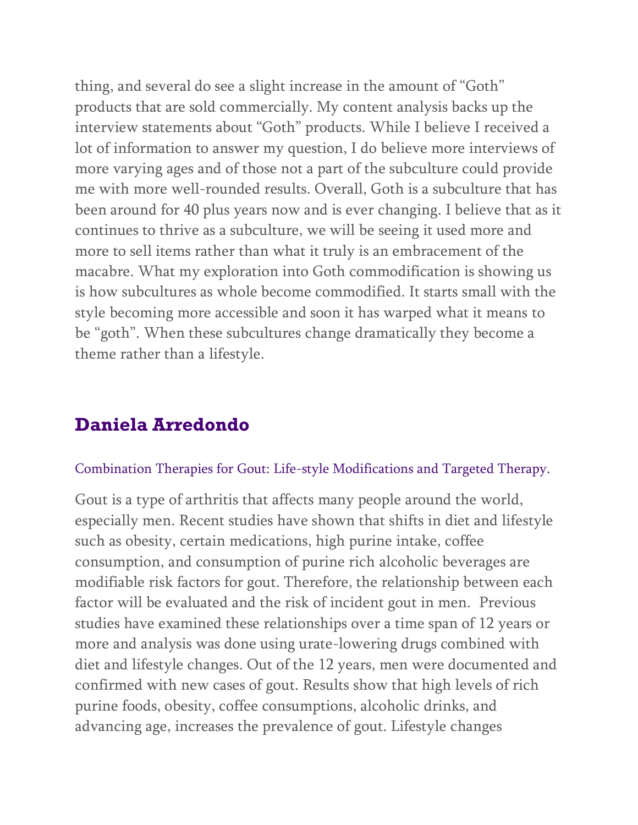thing, and several do see a slight increase in the amount of "Goth" products that are sold commercially. My content analysis backs up the interview statements about "Goth" products. While I believe I received a lot of information to answer my question, I do believe more interviews of more varying ages and of those not a part of the subculture could provide me with more well-rounded results. Overall, Goth is a subculture that has been around for 40 plus years now and is ever changing. I believe that as it continues to thrive as a subculture, we will be seeing it used more and more to sell items rather than what it truly is an embracement of the macabre. What my exploration into Goth commodification is showing us is how subcultures as whole become commodified. It starts small with the style becoming more accessible and soon it has warped what it means to be "goth". When these subcultures change dramatically they become a theme rather than a lifestyle.

### **Daniela Arredondo**

#### Combination Therapies for Gout: Life-style Modifications and Targeted Therapy.

Gout is a type of arthritis that affects many people around the world, especially men. Recent studies have shown that shifts in diet and lifestyle such as obesity, certain medications, high purine intake, coffee consumption, and consumption of purine rich alcoholic beverages are modifiable risk factors for gout. Therefore, the relationship between each factor will be evaluated and the risk of incident gout in men. Previous studies have examined these relationships over a time span of 12 years or more and analysis was done using urate-lowering drugs combined with diet and lifestyle changes. Out of the 12 years, men were documented and confirmed with new cases of gout. Results show that high levels of rich purine foods, obesity, coffee consumptions, alcoholic drinks, and advancing age, increases the prevalence of gout. Lifestyle changes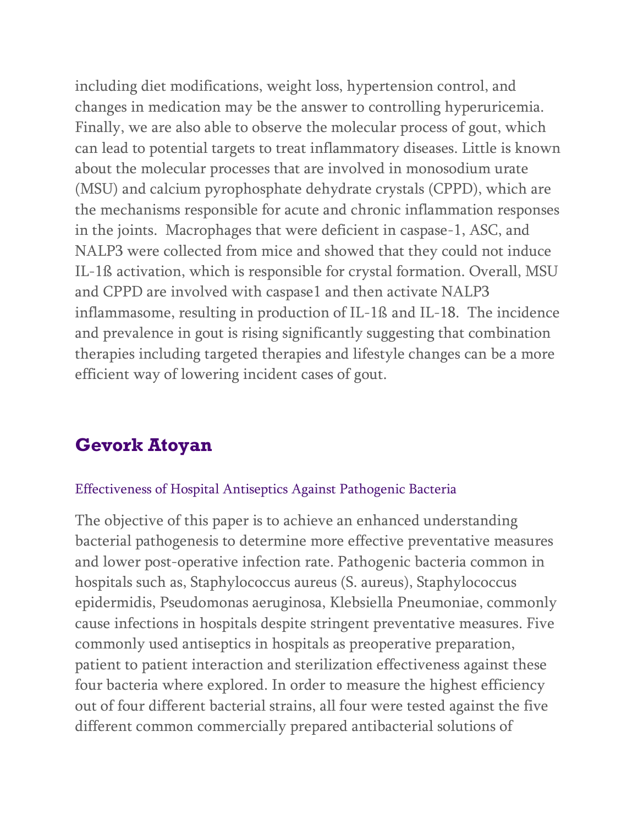including diet modifications, weight loss, hypertension control, and changes in medication may be the answer to controlling hyperuricemia. Finally, we are also able to observe the molecular process of gout, which can lead to potential targets to treat inflammatory diseases. Little is known about the molecular processes that are involved in monosodium urate (MSU) and calcium pyrophosphate dehydrate crystals (CPPD), which are the mechanisms responsible for acute and chronic inflammation responses in the joints. Macrophages that were deficient in caspase-1, ASC, and NALP3 were collected from mice and showed that they could not induce IL-1ß activation, which is responsible for crystal formation. Overall, MSU and CPPD are involved with caspase1 and then activate NALP3 inflammasome, resulting in production of IL-1ß and IL-18. The incidence and prevalence in gout is rising significantly suggesting that combination therapies including targeted therapies and lifestyle changes can be a more efficient way of lowering incident cases of gout.

# **Gevork Atoyan**

#### Effectiveness of Hospital Antiseptics Against Pathogenic Bacteria

The objective of this paper is to achieve an enhanced understanding bacterial pathogenesis to determine more effective preventative measures and lower post-operative infection rate. Pathogenic bacteria common in hospitals such as, Staphylococcus aureus (S. aureus), Staphylococcus epidermidis, Pseudomonas aeruginosa, Klebsiella Pneumoniae, commonly cause infections in hospitals despite stringent preventative measures. Five commonly used antiseptics in hospitals as preoperative preparation, patient to patient interaction and sterilization effectiveness against these four bacteria where explored. In order to measure the highest efficiency out of four different bacterial strains, all four were tested against the five different common commercially prepared antibacterial solutions of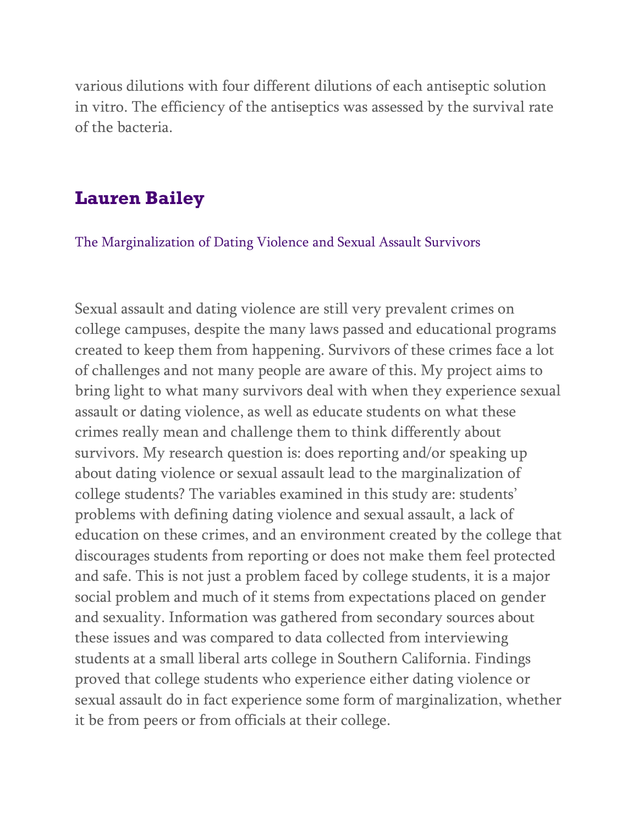various dilutions with four different dilutions of each antiseptic solution in vitro. The efficiency of the antiseptics was assessed by the survival rate of the bacteria.

### **Lauren Bailey**

The Marginalization of Dating Violence and Sexual Assault Survivors

Sexual assault and dating violence are still very prevalent crimes on college campuses, despite the many laws passed and educational programs created to keep them from happening. Survivors of these crimes face a lot of challenges and not many people are aware of this. My project aims to bring light to what many survivors deal with when they experience sexual assault or dating violence, as well as educate students on what these crimes really mean and challenge them to think differently about survivors. My research question is: does reporting and/or speaking up about dating violence or sexual assault lead to the marginalization of college students? The variables examined in this study are: students' problems with defining dating violence and sexual assault, a lack of education on these crimes, and an environment created by the college that discourages students from reporting or does not make them feel protected and safe. This is not just a problem faced by college students, it is a major social problem and much of it stems from expectations placed on gender and sexuality. Information was gathered from secondary sources about these issues and was compared to data collected from interviewing students at a small liberal arts college in Southern California. Findings proved that college students who experience either dating violence or sexual assault do in fact experience some form of marginalization, whether it be from peers or from officials at their college.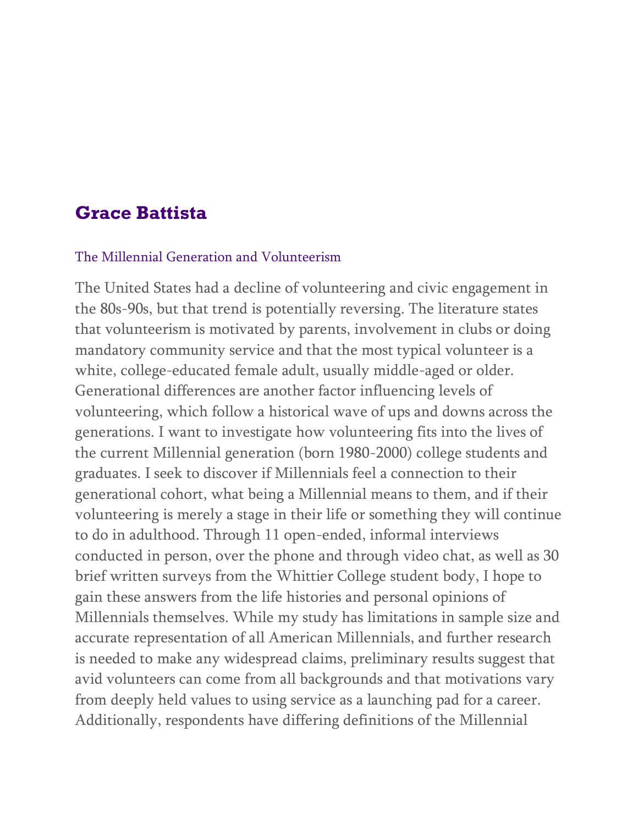### **Grace Battista**

#### The Millennial Generation and Volunteerism

The United States had a decline of volunteering and civic engagement in the 80s-90s, but that trend is potentially reversing. The literature states that volunteerism is motivated by parents, involvement in clubs or doing mandatory community service and that the most typical volunteer is a white, college-educated female adult, usually middle-aged or older. Generational differences are another factor influencing levels of volunteering, which follow a historical wave of ups and downs across the generations. I want to investigate how volunteering fits into the lives of the current Millennial generation (born 1980-2000) college students and graduates. I seek to discover if Millennials feel a connection to their generational cohort, what being a Millennial means to them, and if their volunteering is merely a stage in their life or something they will continue to do in adulthood. Through 11 open-ended, informal interviews conducted in person, over the phone and through video chat, as well as 30 brief written surveys from the Whittier College student body, I hope to gain these answers from the life histories and personal opinions of Millennials themselves. While my study has limitations in sample size and accurate representation of all American Millennials, and further research is needed to make any widespread claims, preliminary results suggest that avid volunteers can come from all backgrounds and that motivations vary from deeply held values to using service as a launching pad for a career. Additionally, respondents have differing definitions of the Millennial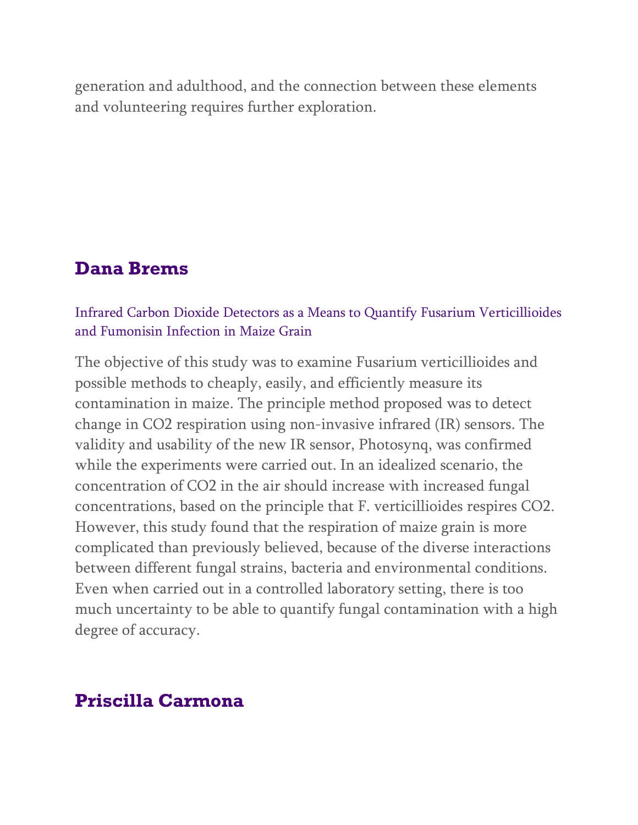generation and adulthood, and the connection between these elements and volunteering requires further exploration.

### **Dana Brems**

#### Infrared Carbon Dioxide Detectors as a Means to Quantify Fusarium Verticillioides and Fumonisin Infection in Maize Grain

The objective of this study was to examine Fusarium verticillioides and possible methods to cheaply, easily, and efficiently measure its contamination in maize. The principle method proposed was to detect change in CO2 respiration using non-invasive infrared (IR) sensors. The validity and usability of the new IR sensor, Photosynq, was confirmed while the experiments were carried out. In an idealized scenario, the concentration of CO2 in the air should increase with increased fungal concentrations, based on the principle that F. verticillioides respires CO2. However, this study found that the respiration of maize grain is more complicated than previously believed, because of the diverse interactions between different fungal strains, bacteria and environmental conditions. Even when carried out in a controlled laboratory setting, there is too much uncertainty to be able to quantify fungal contamination with a high degree of accuracy.

### **Priscilla Carmona**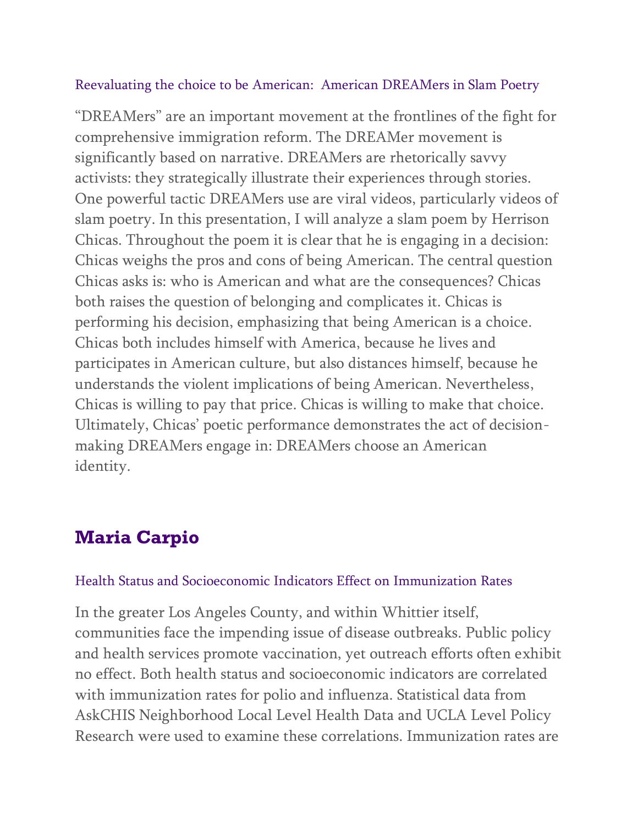#### Reevaluating the choice to be American: American DREAMers in Slam Poetry

"DREAMers" are an important movement at the frontlines of the fight for comprehensive immigration reform. The DREAMer movement is significantly based on narrative. DREAMers are rhetorically savvy activists: they strategically illustrate their experiences through stories. One powerful tactic DREAMers use are viral videos, particularly videos of slam poetry. In this presentation, I will analyze a slam poem by Herrison Chicas. Throughout the poem it is clear that he is engaging in a decision: Chicas weighs the pros and cons of being American. The central question Chicas asks is: who is American and what are the consequences? Chicas both raises the question of belonging and complicates it. Chicas is performing his decision, emphasizing that being American is a choice. Chicas both includes himself with America, because he lives and participates in American culture, but also distances himself, because he understands the violent implications of being American. Nevertheless, Chicas is willing to pay that price. Chicas is willing to make that choice. Ultimately, Chicas' poetic performance demonstrates the act of decisionmaking DREAMers engage in: DREAMers choose an American identity.

# **Maria Carpio**

### Health Status and Socioeconomic Indicators Effect on Immunization Rates

In the greater Los Angeles County, and within Whittier itself, communities face the impending issue of disease outbreaks. Public policy and health services promote vaccination, yet outreach efforts often exhibit no effect. Both health status and socioeconomic indicators are correlated with immunization rates for polio and influenza. Statistical data from AskCHIS Neighborhood Local Level Health Data and UCLA Level Policy Research were used to examine these correlations. Immunization rates are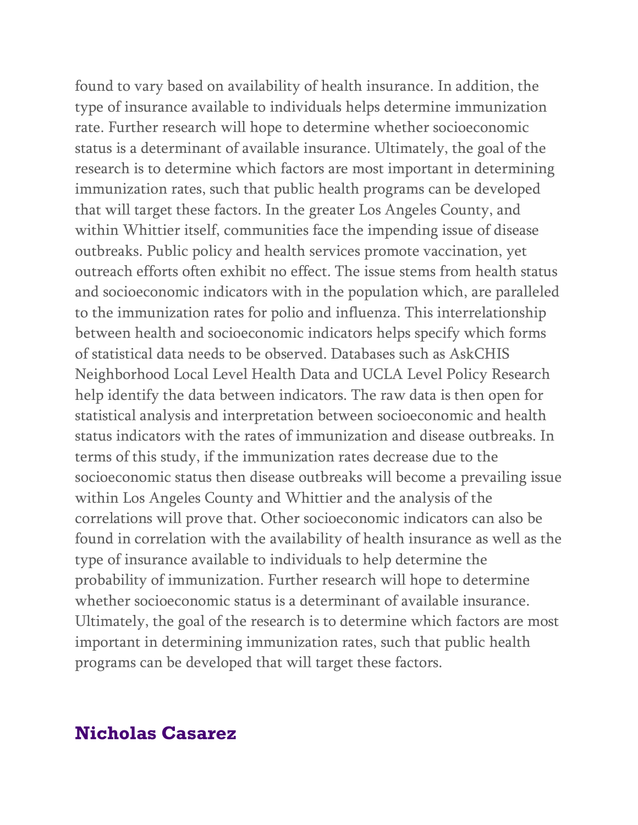found to vary based on availability of health insurance. In addition, the type of insurance available to individuals helps determine immunization rate. Further research will hope to determine whether socioeconomic status is a determinant of available insurance. Ultimately, the goal of the research is to determine which factors are most important in determining immunization rates, such that public health programs can be developed that will target these factors. In the greater Los Angeles County, and within Whittier itself, communities face the impending issue of disease outbreaks. Public policy and health services promote vaccination, yet outreach efforts often exhibit no effect. The issue stems from health status and socioeconomic indicators with in the population which, are paralleled to the immunization rates for polio and influenza. This interrelationship between health and socioeconomic indicators helps specify which forms of statistical data needs to be observed. Databases such as AskCHIS Neighborhood Local Level Health Data and UCLA Level Policy Research help identify the data between indicators. The raw data is then open for statistical analysis and interpretation between socioeconomic and health status indicators with the rates of immunization and disease outbreaks. In terms of this study, if the immunization rates decrease due to the socioeconomic status then disease outbreaks will become a prevailing issue within Los Angeles County and Whittier and the analysis of the correlations will prove that. Other socioeconomic indicators can also be found in correlation with the availability of health insurance as well as the type of insurance available to individuals to help determine the probability of immunization. Further research will hope to determine whether socioeconomic status is a determinant of available insurance. Ultimately, the goal of the research is to determine which factors are most important in determining immunization rates, such that public health programs can be developed that will target these factors.

### **Nicholas Casarez**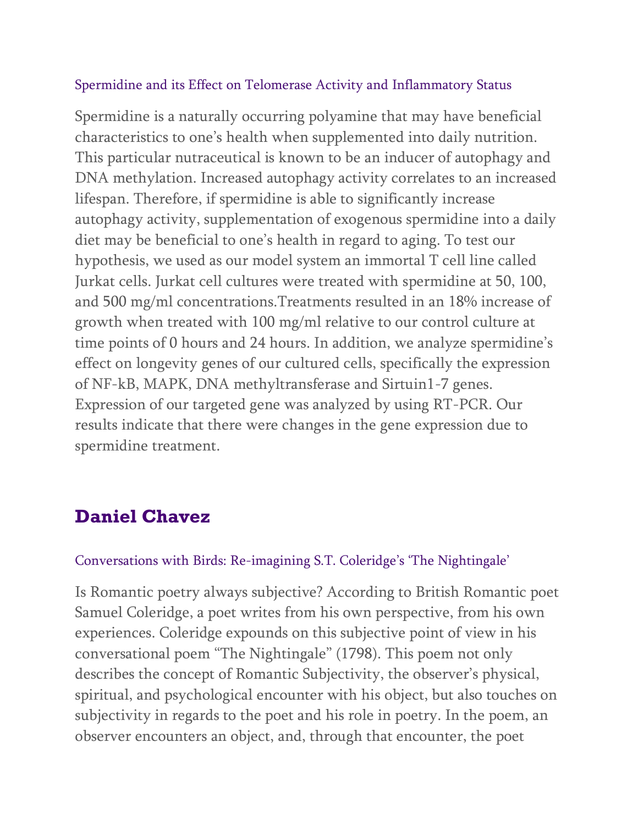#### Spermidine and its Effect on Telomerase Activity and Inflammatory Status

Spermidine is a naturally occurring polyamine that may have beneficial characteristics to one's health when supplemented into daily nutrition. This particular nutraceutical is known to be an inducer of autophagy and DNA methylation. Increased autophagy activity correlates to an increased lifespan. Therefore, if spermidine is able to significantly increase autophagy activity, supplementation of exogenous spermidine into a daily diet may be beneficial to one's health in regard to aging. To test our hypothesis, we used as our model system an immortal T cell line called Jurkat cells. Jurkat cell cultures were treated with spermidine at 50, 100, and 500 mg/ml concentrations.Treatments resulted in an 18% increase of growth when treated with 100 mg/ml relative to our control culture at time points of 0 hours and 24 hours. In addition, we analyze spermidine's effect on longevity genes of our cultured cells, specifically the expression of NF-kB, MAPK, DNA methyltransferase and Sirtuin1-7 genes. Expression of our targeted gene was analyzed by using RT-PCR. Our results indicate that there were changes in the gene expression due to spermidine treatment.

# **Daniel Chavez**

#### Conversations with Birds: Re-imagining S.T. Coleridge's 'The Nightingale'

Is Romantic poetry always subjective? According to British Romantic poet Samuel Coleridge, a poet writes from his own perspective, from his own experiences. Coleridge expounds on this subjective point of view in his conversational poem "The Nightingale" (1798). This poem not only describes the concept of Romantic Subjectivity, the observer's physical, spiritual, and psychological encounter with his object, but also touches on subjectivity in regards to the poet and his role in poetry. In the poem, an observer encounters an object, and, through that encounter, the poet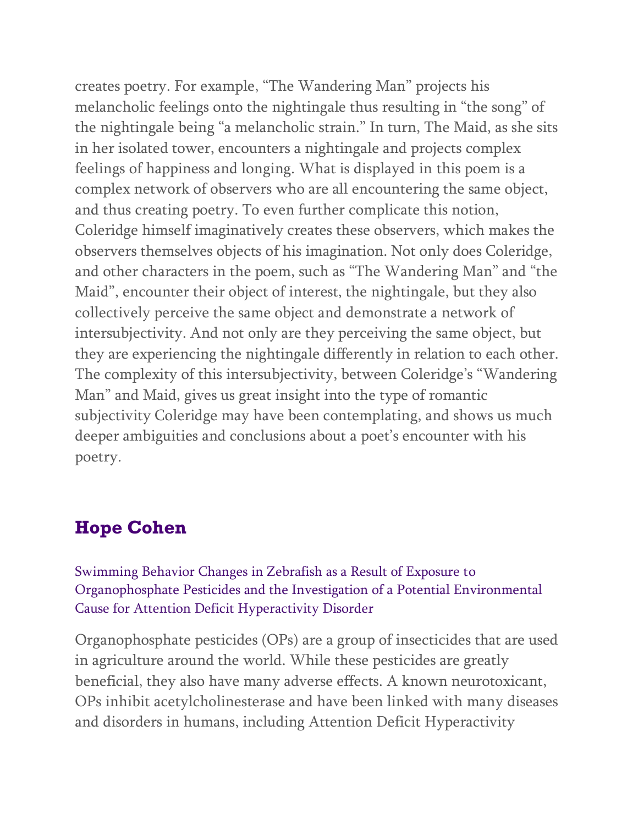creates poetry. For example, "The Wandering Man" projects his melancholic feelings onto the nightingale thus resulting in "the song" of the nightingale being "a melancholic strain." In turn, The Maid, as she sits in her isolated tower, encounters a nightingale and projects complex feelings of happiness and longing. What is displayed in this poem is a complex network of observers who are all encountering the same object, and thus creating poetry. To even further complicate this notion, Coleridge himself imaginatively creates these observers, which makes the observers themselves objects of his imagination. Not only does Coleridge, and other characters in the poem, such as "The Wandering Man" and "the Maid", encounter their object of interest, the nightingale, but they also collectively perceive the same object and demonstrate a network of intersubjectivity. And not only are they perceiving the same object, but they are experiencing the nightingale differently in relation to each other. The complexity of this intersubjectivity, between Coleridge's "Wandering Man" and Maid, gives us great insight into the type of romantic subjectivity Coleridge may have been contemplating, and shows us much deeper ambiguities and conclusions about a poet's encounter with his poetry.

# **Hope Cohen**

Swimming Behavior Changes in Zebrafish as a Result of Exposure to Organophosphate Pesticides and the Investigation of a Potential Environmental Cause for Attention Deficit Hyperactivity Disorder

Organophosphate pesticides (OPs) are a group of insecticides that are used in agriculture around the world. While these pesticides are greatly beneficial, they also have many adverse effects. A known neurotoxicant, OPs inhibit acetylcholinesterase and have been linked with many diseases and disorders in humans, including Attention Deficit Hyperactivity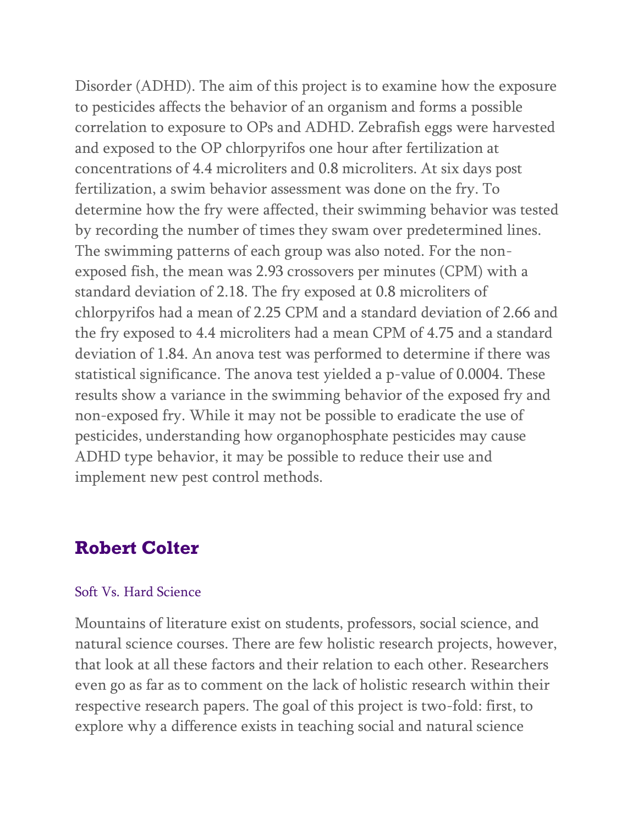Disorder (ADHD). The aim of this project is to examine how the exposure to pesticides affects the behavior of an organism and forms a possible correlation to exposure to OPs and ADHD. Zebrafish eggs were harvested and exposed to the OP chlorpyrifos one hour after fertilization at concentrations of 4.4 microliters and 0.8 microliters. At six days post fertilization, a swim behavior assessment was done on the fry. To determine how the fry were affected, their swimming behavior was tested by recording the number of times they swam over predetermined lines. The swimming patterns of each group was also noted. For the nonexposed fish, the mean was 2.93 crossovers per minutes (CPM) with a standard deviation of 2.18. The fry exposed at 0.8 microliters of chlorpyrifos had a mean of 2.25 CPM and a standard deviation of 2.66 and the fry exposed to 4.4 microliters had a mean CPM of 4.75 and a standard deviation of 1.84. An anova test was performed to determine if there was statistical significance. The anova test yielded a p-value of 0.0004. These results show a variance in the swimming behavior of the exposed fry and non-exposed fry. While it may not be possible to eradicate the use of pesticides, understanding how organophosphate pesticides may cause ADHD type behavior, it may be possible to reduce their use and implement new pest control methods.

### **Robert Colter**

#### Soft Vs. Hard Science

Mountains of literature exist on students, professors, social science, and natural science courses. There are few holistic research projects, however, that look at all these factors and their relation to each other. Researchers even go as far as to comment on the lack of holistic research within their respective research papers. The goal of this project is two-fold: first, to explore why a difference exists in teaching social and natural science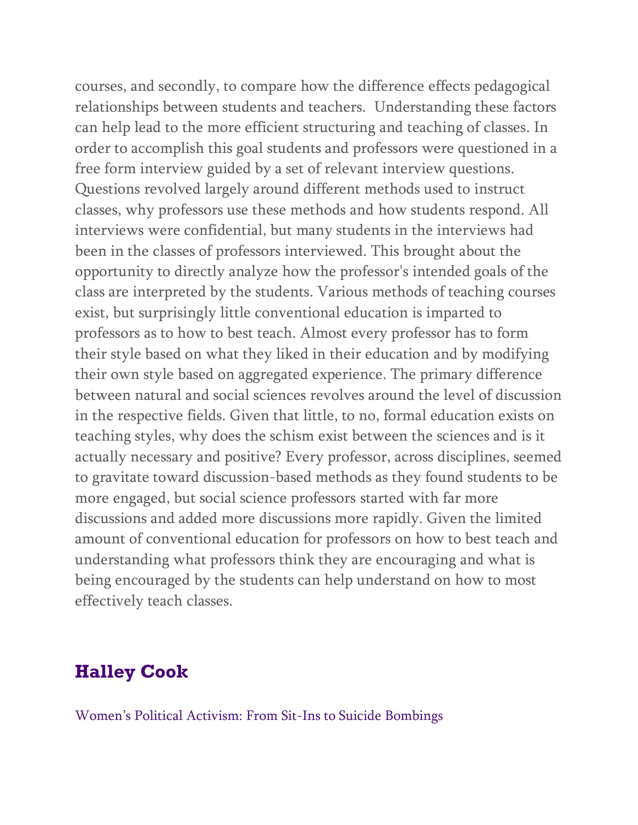courses, and secondly, to compare how the difference effects pedagogical relationships between students and teachers. Understanding these factors can help lead to the more efficient structuring and teaching of classes. In order to accomplish this goal students and professors were questioned in a free form interview guided by a set of relevant interview questions. Questions revolved largely around different methods used to instruct classes, why professors use these methods and how students respond. All interviews were confidential, but many students in the interviews had been in the classes of professors interviewed. This brought about the opportunity to directly analyze how the professor's intended goals of the class are interpreted by the students. Various methods of teaching courses exist, but surprisingly little conventional education is imparted to professors as to how to best teach. Almost every professor has to form their style based on what they liked in their education and by modifying their own style based on aggregated experience. The primary difference between natural and social sciences revolves around the level of discussion in the respective fields. Given that little, to no, formal education exists on teaching styles, why does the schism exist between the sciences and is it actually necessary and positive? Every professor, across disciplines, seemed to gravitate toward discussion-based methods as they found students to be more engaged, but social science professors started with far more discussions and added more discussions more rapidly. Given the limited amount of conventional education for professors on how to best teach and understanding what professors think they are encouraging and what is being encouraged by the students can help understand on how to most effectively teach classes.

# **Halley Cook**

Women's Political Activism: From Sit-Ins to Suicide Bombings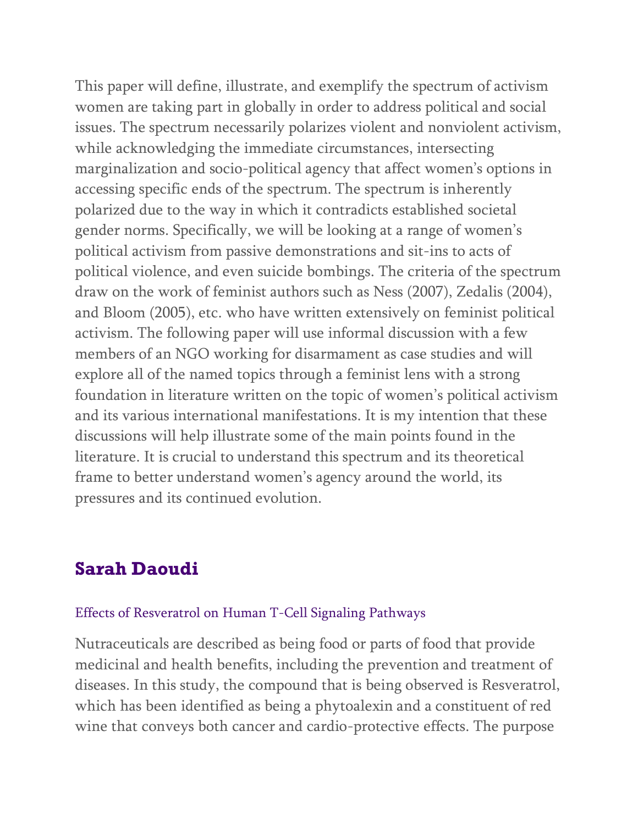This paper will define, illustrate, and exemplify the spectrum of activism women are taking part in globally in order to address political and social issues. The spectrum necessarily polarizes violent and nonviolent activism, while acknowledging the immediate circumstances, intersecting marginalization and socio-political agency that affect women's options in accessing specific ends of the spectrum. The spectrum is inherently polarized due to the way in which it contradicts established societal gender norms. Specifically, we will be looking at a range of women's political activism from passive demonstrations and sit-ins to acts of political violence, and even suicide bombings. The criteria of the spectrum draw on the work of feminist authors such as Ness (2007), Zedalis (2004), and Bloom (2005), etc. who have written extensively on feminist political activism. The following paper will use informal discussion with a few members of an NGO working for disarmament as case studies and will explore all of the named topics through a feminist lens with a strong foundation in literature written on the topic of women's political activism and its various international manifestations. It is my intention that these discussions will help illustrate some of the main points found in the literature. It is crucial to understand this spectrum and its theoretical frame to better understand women's agency around the world, its pressures and its continued evolution.

### **Sarah Daoudi**

#### Effects of Resveratrol on Human T-Cell Signaling Pathways

Nutraceuticals are described as being food or parts of food that provide medicinal and health benefits, including the prevention and treatment of diseases. In this study, the compound that is being observed is Resveratrol, which has been identified as being a phytoalexin and a constituent of red wine that conveys both cancer and cardio-protective effects. The purpose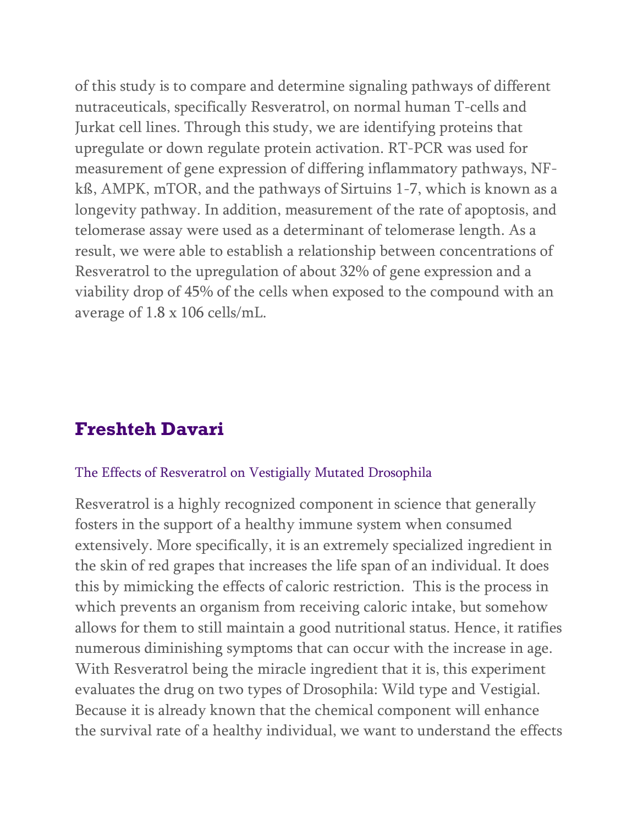of this study is to compare and determine signaling pathways of different nutraceuticals, specifically Resveratrol, on normal human T-cells and Jurkat cell lines. Through this study, we are identifying proteins that upregulate or down regulate protein activation. RT-PCR was used for measurement of gene expression of differing inflammatory pathways, NFkß, AMPK, mTOR, and the pathways of Sirtuins 1-7, which is known as a longevity pathway. In addition, measurement of the rate of apoptosis, and telomerase assay were used as a determinant of telomerase length. As a result, we were able to establish a relationship between concentrations of Resveratrol to the upregulation of about 32% of gene expression and a viability drop of 45% of the cells when exposed to the compound with an average of 1.8 x 106 cells/mL.

### **Freshteh Davari**

#### The Effects of Resveratrol on Vestigially Mutated Drosophila

Resveratrol is a highly recognized component in science that generally fosters in the support of a healthy immune system when consumed extensively. More specifically, it is an extremely specialized ingredient in the skin of red grapes that increases the life span of an individual. It does this by mimicking the effects of caloric restriction. This is the process in which prevents an organism from receiving caloric intake, but somehow allows for them to still maintain a good nutritional status. Hence, it ratifies numerous diminishing symptoms that can occur with the increase in age. With Resveratrol being the miracle ingredient that it is, this experiment evaluates the drug on two types of Drosophila: Wild type and Vestigial. Because it is already known that the chemical component will enhance the survival rate of a healthy individual, we want to understand the effects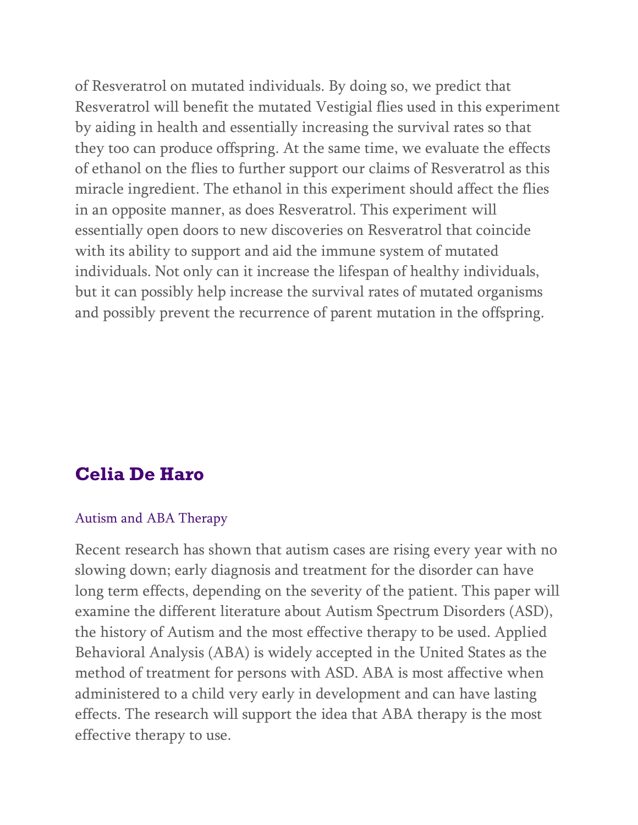of Resveratrol on mutated individuals. By doing so, we predict that Resveratrol will benefit the mutated Vestigial flies used in this experiment by aiding in health and essentially increasing the survival rates so that they too can produce offspring. At the same time, we evaluate the effects of ethanol on the flies to further support our claims of Resveratrol as this miracle ingredient. The ethanol in this experiment should affect the flies in an opposite manner, as does Resveratrol. This experiment will essentially open doors to new discoveries on Resveratrol that coincide with its ability to support and aid the immune system of mutated individuals. Not only can it increase the lifespan of healthy individuals, but it can possibly help increase the survival rates of mutated organisms and possibly prevent the recurrence of parent mutation in the offspring.

### **Celia De Haro**

#### Autism and ABA Therapy

Recent research has shown that autism cases are rising every year with no slowing down; early diagnosis and treatment for the disorder can have long term effects, depending on the severity of the patient. This paper will examine the different literature about Autism Spectrum Disorders (ASD), the history of Autism and the most effective therapy to be used. Applied Behavioral Analysis (ABA) is widely accepted in the United States as the method of treatment for persons with ASD. ABA is most affective when administered to a child very early in development and can have lasting effects. The research will support the idea that ABA therapy is the most effective therapy to use.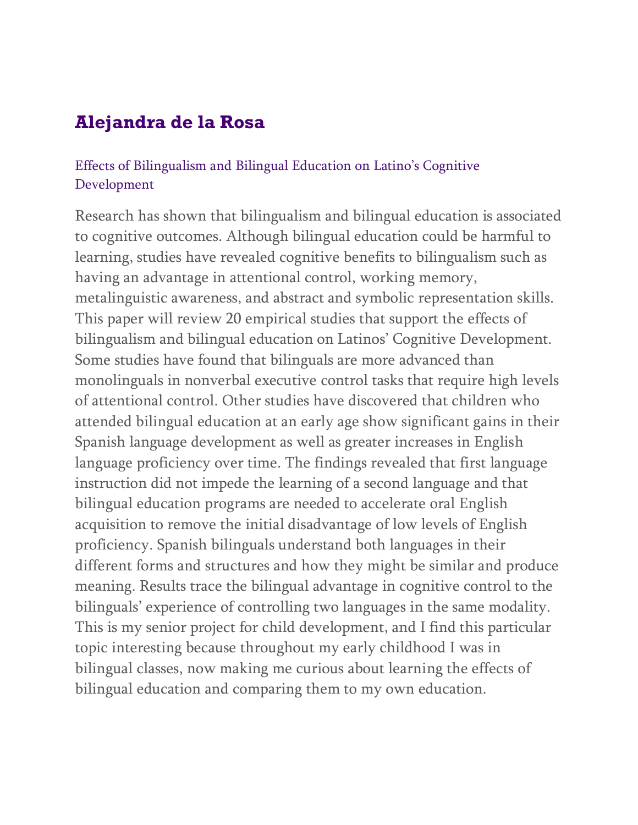# **Alejandra de la Rosa**

### Effects of Bilingualism and Bilingual Education on Latino's Cognitive Development

Research has shown that bilingualism and bilingual education is associated to cognitive outcomes. Although bilingual education could be harmful to learning, studies have revealed cognitive benefits to bilingualism such as having an advantage in attentional control, working memory, metalinguistic awareness, and abstract and symbolic representation skills. This paper will review 20 empirical studies that support the effects of bilingualism and bilingual education on Latinos' Cognitive Development. Some studies have found that bilinguals are more advanced than monolinguals in nonverbal executive control tasks that require high levels of attentional control. Other studies have discovered that children who attended bilingual education at an early age show significant gains in their Spanish language development as well as greater increases in English language proficiency over time. The findings revealed that first language instruction did not impede the learning of a second language and that bilingual education programs are needed to accelerate oral English acquisition to remove the initial disadvantage of low levels of English proficiency. Spanish bilinguals understand both languages in their different forms and structures and how they might be similar and produce meaning. Results trace the bilingual advantage in cognitive control to the bilinguals' experience of controlling two languages in the same modality. This is my senior project for child development, and I find this particular topic interesting because throughout my early childhood I was in bilingual classes, now making me curious about learning the effects of bilingual education and comparing them to my own education.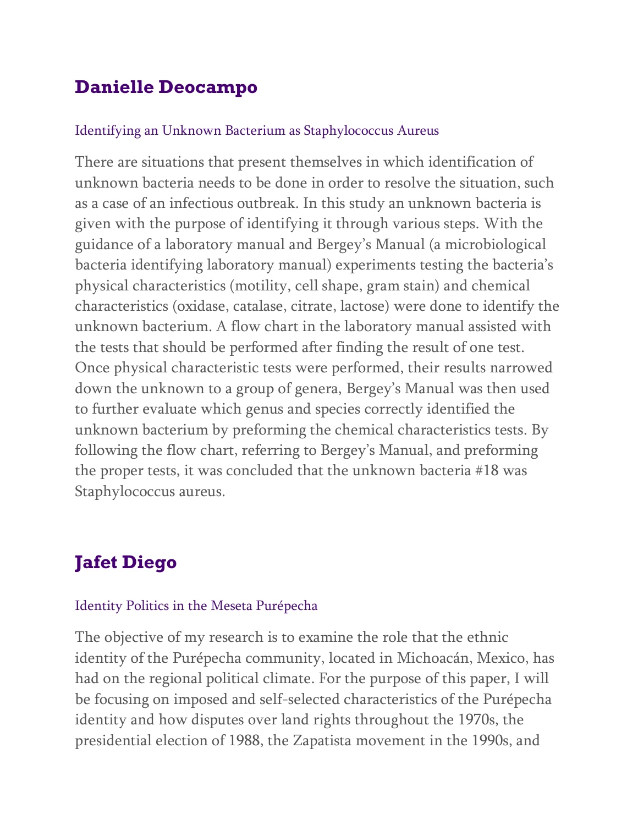# **Danielle Deocampo**

#### Identifying an Unknown Bacterium as Staphylococcus Aureus

There are situations that present themselves in which identification of unknown bacteria needs to be done in order to resolve the situation, such as a case of an infectious outbreak. In this study an unknown bacteria is given with the purpose of identifying it through various steps. With the guidance of a laboratory manual and Bergey's Manual (a microbiological bacteria identifying laboratory manual) experiments testing the bacteria's physical characteristics (motility, cell shape, gram stain) and chemical characteristics (oxidase, catalase, citrate, lactose) were done to identify the unknown bacterium. A flow chart in the laboratory manual assisted with the tests that should be performed after finding the result of one test. Once physical characteristic tests were performed, their results narrowed down the unknown to a group of genera, Bergey's Manual was then used to further evaluate which genus and species correctly identified the unknown bacterium by preforming the chemical characteristics tests. By following the flow chart, referring to Bergey's Manual, and preforming the proper tests, it was concluded that the unknown bacteria #18 was Staphylococcus aureus.

# **Jafet Diego**

#### Identity Politics in the Meseta Purépecha

The objective of my research is to examine the role that the ethnic identity of the Purépecha community, located in Michoacán, Mexico, has had on the regional political climate. For the purpose of this paper, I will be focusing on imposed and self-selected characteristics of the Purépecha identity and how disputes over land rights throughout the 1970s, the presidential election of 1988, the Zapatista movement in the 1990s, and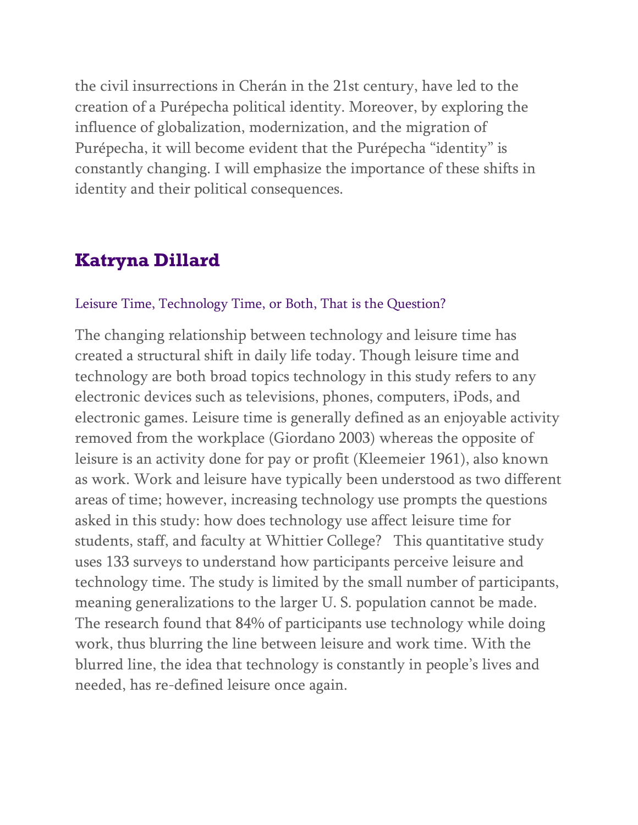the civil insurrections in Cherán in the 21st century, have led to the creation of a Purépecha political identity. Moreover, by exploring the influence of globalization, modernization, and the migration of Purépecha, it will become evident that the Purépecha "identity" is constantly changing. I will emphasize the importance of these shifts in identity and their political consequences.

### **Katryna Dillard**

#### Leisure Time, Technology Time, or Both, That is the Question?

The changing relationship between technology and leisure time has created a structural shift in daily life today. Though leisure time and technology are both broad topics technology in this study refers to any electronic devices such as televisions, phones, computers, iPods, and electronic games. Leisure time is generally defined as an enjoyable activity removed from the workplace (Giordano 2003) whereas the opposite of leisure is an activity done for pay or profit (Kleemeier 1961), also known as work. Work and leisure have typically been understood as two different areas of time; however, increasing technology use prompts the questions asked in this study: how does technology use affect leisure time for students, staff, and faculty at Whittier College? This quantitative study uses 133 surveys to understand how participants perceive leisure and technology time. The study is limited by the small number of participants, meaning generalizations to the larger U. S. population cannot be made. The research found that 84% of participants use technology while doing work, thus blurring the line between leisure and work time. With the blurred line, the idea that technology is constantly in people's lives and needed, has re-defined leisure once again.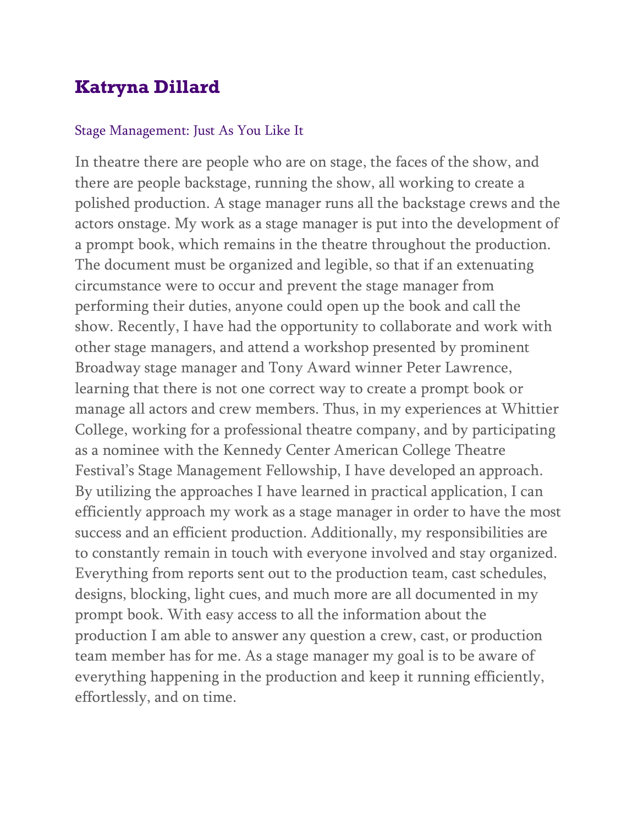# **Katryna Dillard**

#### Stage Management: Just As You Like It

In theatre there are people who are on stage, the faces of the show, and there are people backstage, running the show, all working to create a polished production. A stage manager runs all the backstage crews and the actors onstage. My work as a stage manager is put into the development of a prompt book, which remains in the theatre throughout the production. The document must be organized and legible, so that if an extenuating circumstance were to occur and prevent the stage manager from performing their duties, anyone could open up the book and call the show. Recently, I have had the opportunity to collaborate and work with other stage managers, and attend a workshop presented by prominent Broadway stage manager and Tony Award winner Peter Lawrence, learning that there is not one correct way to create a prompt book or manage all actors and crew members. Thus, in my experiences at Whittier College, working for a professional theatre company, and by participating as a nominee with the Kennedy Center American College Theatre Festival's Stage Management Fellowship, I have developed an approach. By utilizing the approaches I have learned in practical application, I can efficiently approach my work as a stage manager in order to have the most success and an efficient production. Additionally, my responsibilities are to constantly remain in touch with everyone involved and stay organized. Everything from reports sent out to the production team, cast schedules, designs, blocking, light cues, and much more are all documented in my prompt book. With easy access to all the information about the production I am able to answer any question a crew, cast, or production team member has for me. As a stage manager my goal is to be aware of everything happening in the production and keep it running efficiently, effortlessly, and on time.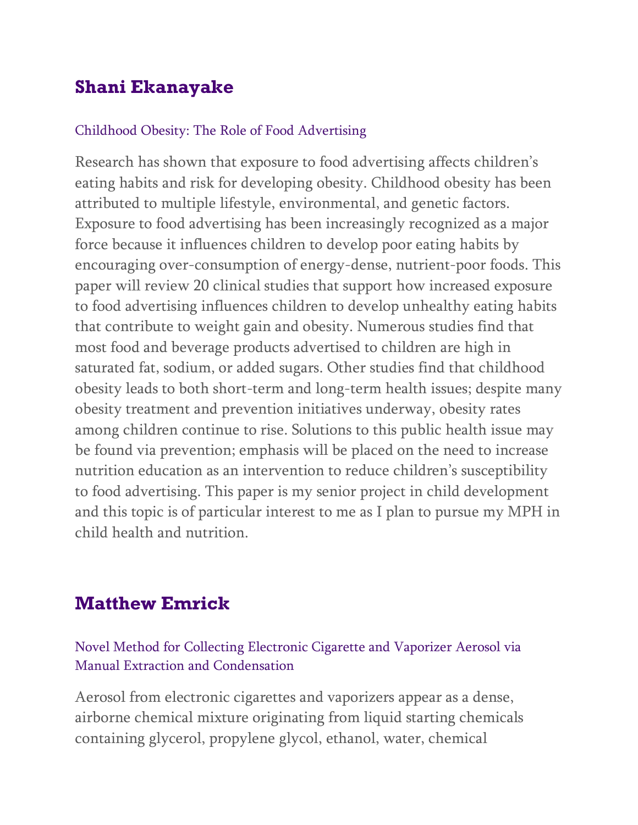# **Shani Ekanayake**

#### Childhood Obesity: The Role of Food Advertising

Research has shown that exposure to food advertising affects children's eating habits and risk for developing obesity. Childhood obesity has been attributed to multiple lifestyle, environmental, and genetic factors. Exposure to food advertising has been increasingly recognized as a major force because it influences children to develop poor eating habits by encouraging over-consumption of energy-dense, nutrient-poor foods. This paper will review 20 clinical studies that support how increased exposure to food advertising influences children to develop unhealthy eating habits that contribute to weight gain and obesity. Numerous studies find that most food and beverage products advertised to children are high in saturated fat, sodium, or added sugars. Other studies find that childhood obesity leads to both short-term and long-term health issues; despite many obesity treatment and prevention initiatives underway, obesity rates among children continue to rise. Solutions to this public health issue may be found via prevention; emphasis will be placed on the need to increase nutrition education as an intervention to reduce children's susceptibility to food advertising. This paper is my senior project in child development and this topic is of particular interest to me as I plan to pursue my MPH in child health and nutrition.

# **Matthew Emrick**

Novel Method for Collecting Electronic Cigarette and Vaporizer Aerosol via Manual Extraction and Condensation

Aerosol from electronic cigarettes and vaporizers appear as a dense, airborne chemical mixture originating from liquid starting chemicals containing glycerol, propylene glycol, ethanol, water, chemical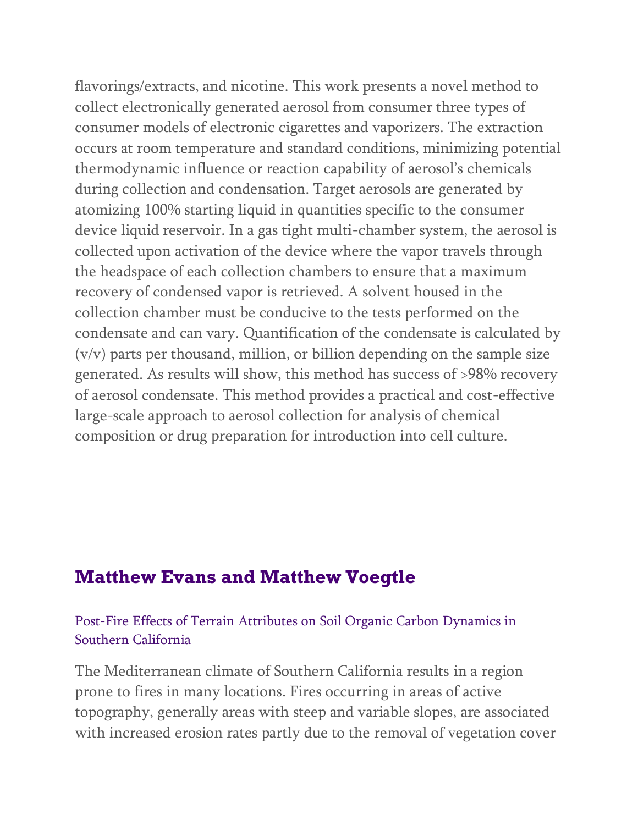flavorings/extracts, and nicotine. This work presents a novel method to collect electronically generated aerosol from consumer three types of consumer models of electronic cigarettes and vaporizers. The extraction occurs at room temperature and standard conditions, minimizing potential thermodynamic influence or reaction capability of aerosol's chemicals during collection and condensation. Target aerosols are generated by atomizing 100% starting liquid in quantities specific to the consumer device liquid reservoir. In a gas tight multi-chamber system, the aerosol is collected upon activation of the device where the vapor travels through the headspace of each collection chambers to ensure that a maximum recovery of condensed vapor is retrieved. A solvent housed in the collection chamber must be conducive to the tests performed on the condensate and can vary. Quantification of the condensate is calculated by (v/v) parts per thousand, million, or billion depending on the sample size generated. As results will show, this method has success of >98% recovery of aerosol condensate. This method provides a practical and cost-effective large-scale approach to aerosol collection for analysis of chemical composition or drug preparation for introduction into cell culture.

### **Matthew Evans and Matthew Voegtle**

### Post-Fire Effects of Terrain Attributes on Soil Organic Carbon Dynamics in Southern California

The Mediterranean climate of Southern California results in a region prone to fires in many locations. Fires occurring in areas of active topography, generally areas with steep and variable slopes, are associated with increased erosion rates partly due to the removal of vegetation cover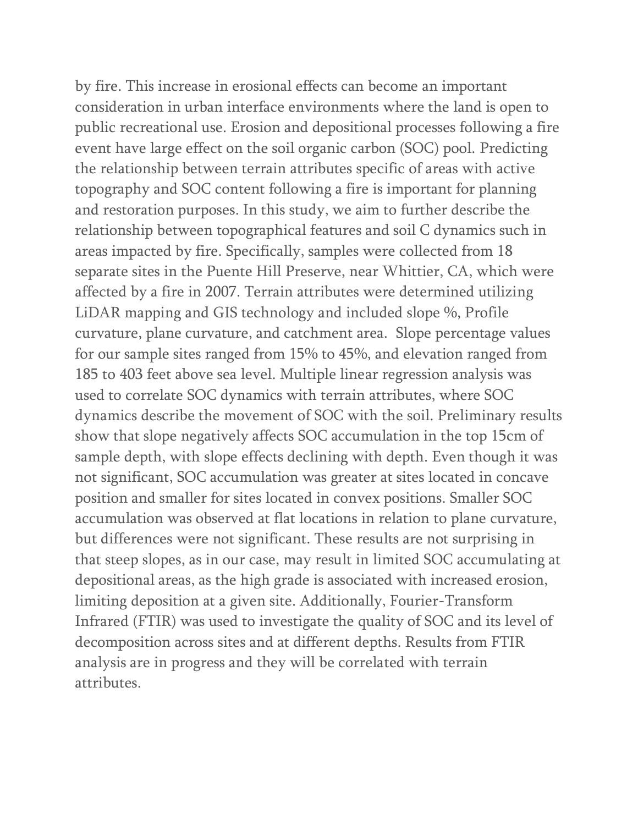by fire. This increase in erosional effects can become an important consideration in urban interface environments where the land is open to public recreational use. Erosion and depositional processes following a fire event have large effect on the soil organic carbon (SOC) pool. Predicting the relationship between terrain attributes specific of areas with active topography and SOC content following a fire is important for planning and restoration purposes. In this study, we aim to further describe the relationship between topographical features and soil C dynamics such in areas impacted by fire. Specifically, samples were collected from 18 separate sites in the Puente Hill Preserve, near Whittier, CA, which were affected by a fire in 2007. Terrain attributes were determined utilizing LiDAR mapping and GIS technology and included slope %, Profile curvature, plane curvature, and catchment area. Slope percentage values for our sample sites ranged from 15% to 45%, and elevation ranged from 185 to 403 feet above sea level. Multiple linear regression analysis was used to correlate SOC dynamics with terrain attributes, where SOC dynamics describe the movement of SOC with the soil. Preliminary results show that slope negatively affects SOC accumulation in the top 15cm of sample depth, with slope effects declining with depth. Even though it was not significant, SOC accumulation was greater at sites located in concave position and smaller for sites located in convex positions. Smaller SOC accumulation was observed at flat locations in relation to plane curvature, but differences were not significant. These results are not surprising in that steep slopes, as in our case, may result in limited SOC accumulating at depositional areas, as the high grade is associated with increased erosion, limiting deposition at a given site. Additionally, Fourier-Transform Infrared (FTIR) was used to investigate the quality of SOC and its level of decomposition across sites and at different depths. Results from FTIR analysis are in progress and they will be correlated with terrain attributes.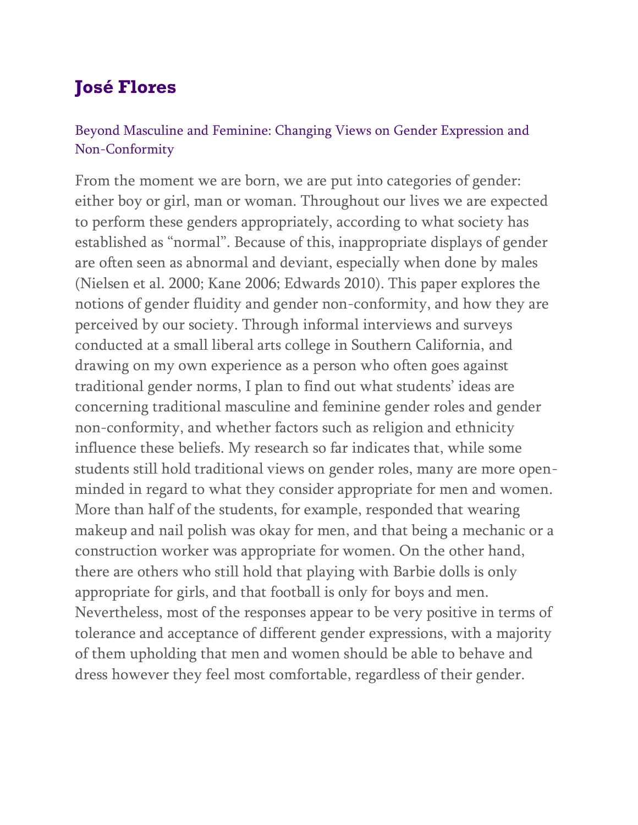# **José Flores**

### Beyond Masculine and Feminine: Changing Views on Gender Expression and Non-Conformity

From the moment we are born, we are put into categories of gender: either boy or girl, man or woman. Throughout our lives we are expected to perform these genders appropriately, according to what society has established as "normal". Because of this, inappropriate displays of gender are often seen as abnormal and deviant, especially when done by males (Nielsen et al. 2000; Kane 2006; Edwards 2010). This paper explores the notions of gender fluidity and gender non-conformity, and how they are perceived by our society. Through informal interviews and surveys conducted at a small liberal arts college in Southern California, and drawing on my own experience as a person who often goes against traditional gender norms, I plan to find out what students' ideas are concerning traditional masculine and feminine gender roles and gender non-conformity, and whether factors such as religion and ethnicity influence these beliefs. My research so far indicates that, while some students still hold traditional views on gender roles, many are more openminded in regard to what they consider appropriate for men and women. More than half of the students, for example, responded that wearing makeup and nail polish was okay for men, and that being a mechanic or a construction worker was appropriate for women. On the other hand, there are others who still hold that playing with Barbie dolls is only appropriate for girls, and that football is only for boys and men. Nevertheless, most of the responses appear to be very positive in terms of tolerance and acceptance of different gender expressions, with a majority of them upholding that men and women should be able to behave and dress however they feel most comfortable, regardless of their gender.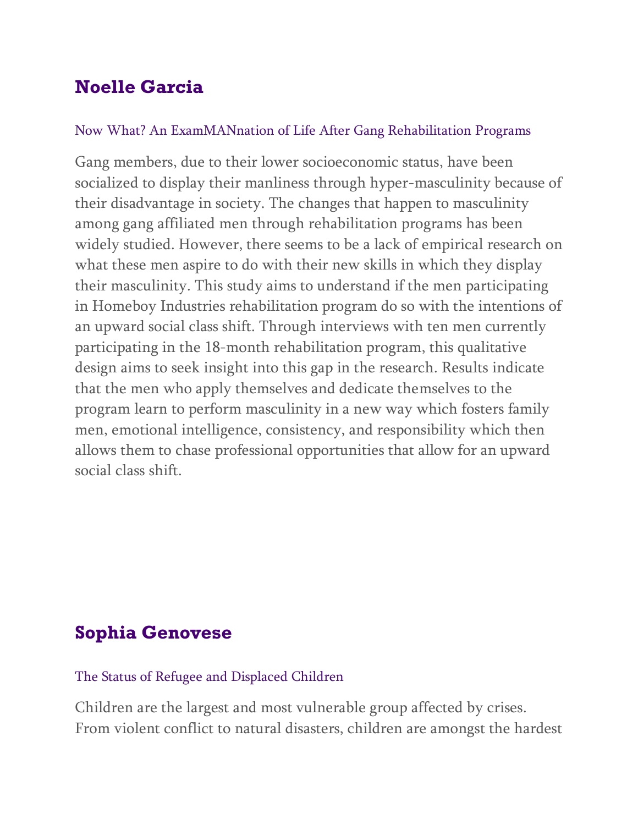# **Noelle Garcia**

### Now What? An ExamMANnation of Life After Gang Rehabilitation Programs

Gang members, due to their lower socioeconomic status, have been socialized to display their manliness through hyper-masculinity because of their disadvantage in society. The changes that happen to masculinity among gang affiliated men through rehabilitation programs has been widely studied. However, there seems to be a lack of empirical research on what these men aspire to do with their new skills in which they display their masculinity. This study aims to understand if the men participating in Homeboy Industries rehabilitation program do so with the intentions of an upward social class shift. Through interviews with ten men currently participating in the 18-month rehabilitation program, this qualitative design aims to seek insight into this gap in the research. Results indicate that the men who apply themselves and dedicate themselves to the program learn to perform masculinity in a new way which fosters family men, emotional intelligence, consistency, and responsibility which then allows them to chase professional opportunities that allow for an upward social class shift.

# **Sophia Genovese**

### The Status of Refugee and Displaced Children

Children are the largest and most vulnerable group affected by crises. From violent conflict to natural disasters, children are amongst the hardest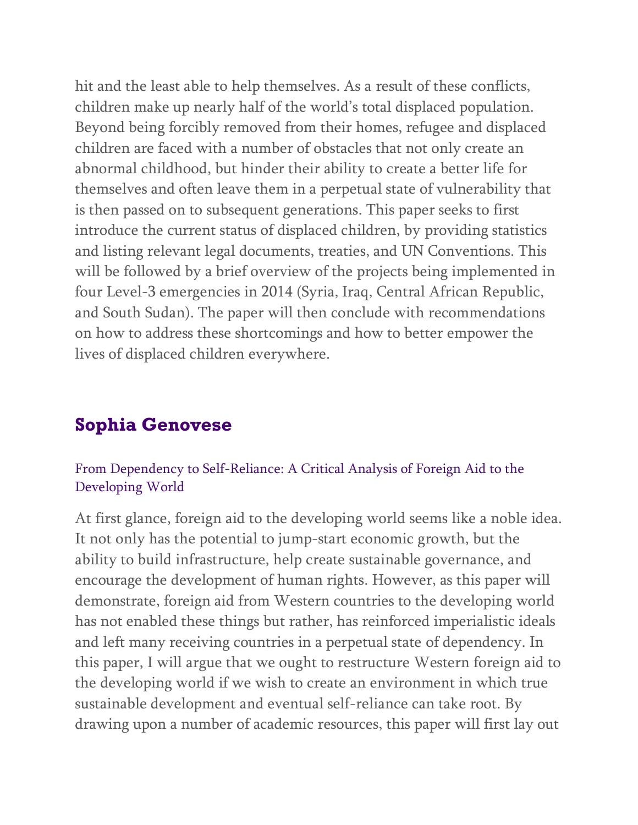hit and the least able to help themselves. As a result of these conflicts, children make up nearly half of the world's total displaced population. Beyond being forcibly removed from their homes, refugee and displaced children are faced with a number of obstacles that not only create an abnormal childhood, but hinder their ability to create a better life for themselves and often leave them in a perpetual state of vulnerability that is then passed on to subsequent generations. This paper seeks to first introduce the current status of displaced children, by providing statistics and listing relevant legal documents, treaties, and UN Conventions. This will be followed by a brief overview of the projects being implemented in four Level-3 emergencies in 2014 (Syria, Iraq, Central African Republic, and South Sudan). The paper will then conclude with recommendations on how to address these shortcomings and how to better empower the lives of displaced children everywhere.

### **Sophia Genovese**

### From Dependency to Self-Reliance: A Critical Analysis of Foreign Aid to the Developing World

At first glance, foreign aid to the developing world seems like a noble idea. It not only has the potential to jump-start economic growth, but the ability to build infrastructure, help create sustainable governance, and encourage the development of human rights. However, as this paper will demonstrate, foreign aid from Western countries to the developing world has not enabled these things but rather, has reinforced imperialistic ideals and left many receiving countries in a perpetual state of dependency. In this paper, I will argue that we ought to restructure Western foreign aid to the developing world if we wish to create an environment in which true sustainable development and eventual self-reliance can take root. By drawing upon a number of academic resources, this paper will first lay out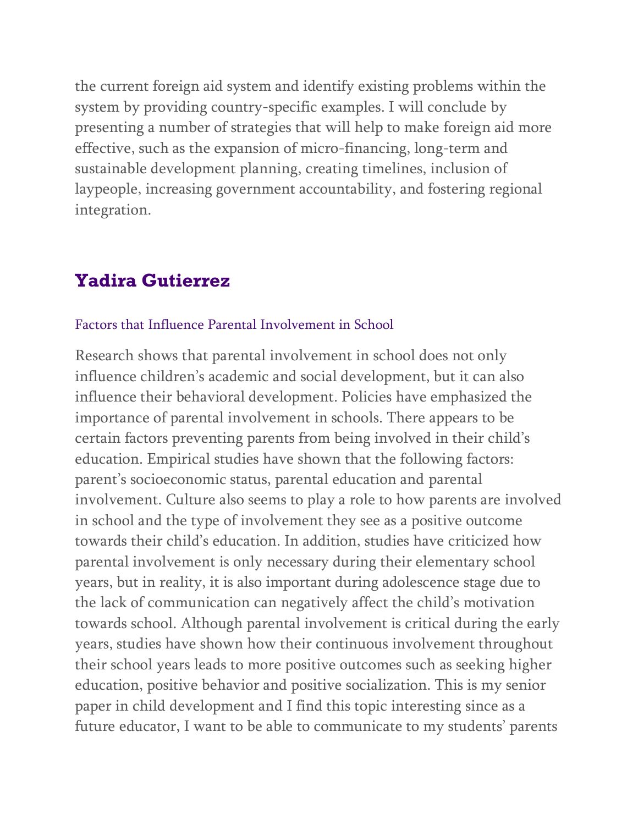the current foreign aid system and identify existing problems within the system by providing country-specific examples. I will conclude by presenting a number of strategies that will help to make foreign aid more effective, such as the expansion of micro-financing, long-term and sustainable development planning, creating timelines, inclusion of laypeople, increasing government accountability, and fostering regional integration.

# **Yadira Gutierrez**

#### Factors that Influence Parental Involvement in School

Research shows that parental involvement in school does not only influence children's academic and social development, but it can also influence their behavioral development. Policies have emphasized the importance of parental involvement in schools. There appears to be certain factors preventing parents from being involved in their child's education. Empirical studies have shown that the following factors: parent's socioeconomic status, parental education and parental involvement. Culture also seems to play a role to how parents are involved in school and the type of involvement they see as a positive outcome towards their child's education. In addition, studies have criticized how parental involvement is only necessary during their elementary school years, but in reality, it is also important during adolescence stage due to the lack of communication can negatively affect the child's motivation towards school. Although parental involvement is critical during the early years, studies have shown how their continuous involvement throughout their school years leads to more positive outcomes such as seeking higher education, positive behavior and positive socialization. This is my senior paper in child development and I find this topic interesting since as a future educator, I want to be able to communicate to my students' parents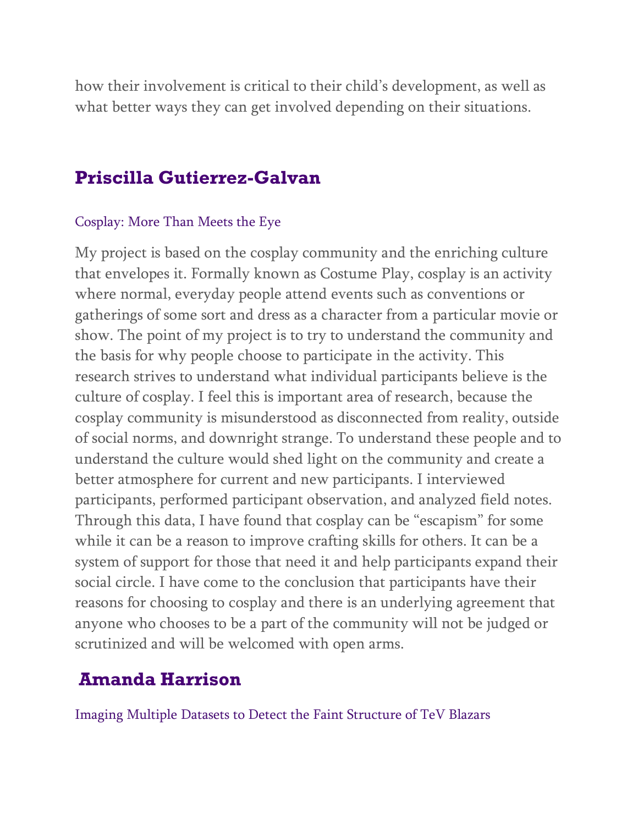how their involvement is critical to their child's development, as well as what better ways they can get involved depending on their situations.

### **Priscilla Gutierrez-Galvan**

#### Cosplay: More Than Meets the Eye

My project is based on the cosplay community and the enriching culture that envelopes it. Formally known as Costume Play, cosplay is an activity where normal, everyday people attend events such as conventions or gatherings of some sort and dress as a character from a particular movie or show. The point of my project is to try to understand the community and the basis for why people choose to participate in the activity. This research strives to understand what individual participants believe is the culture of cosplay. I feel this is important area of research, because the cosplay community is misunderstood as disconnected from reality, outside of social norms, and downright strange. To understand these people and to understand the culture would shed light on the community and create a better atmosphere for current and new participants. I interviewed participants, performed participant observation, and analyzed field notes. Through this data, I have found that cosplay can be "escapism" for some while it can be a reason to improve crafting skills for others. It can be a system of support for those that need it and help participants expand their social circle. I have come to the conclusion that participants have their reasons for choosing to cosplay and there is an underlying agreement that anyone who chooses to be a part of the community will not be judged or scrutinized and will be welcomed with open arms.

### **Amanda Harrison**

Imaging Multiple Datasets to Detect the Faint Structure of TeV Blazars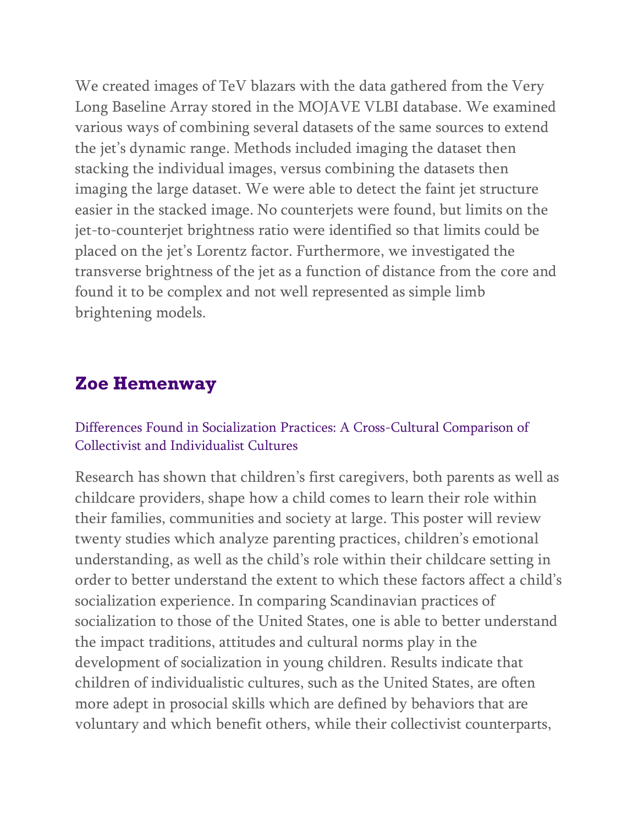We created images of TeV blazars with the data gathered from the Very Long Baseline Array stored in the MOJAVE VLBI database. We examined various ways of combining several datasets of the same sources to extend the jet's dynamic range. Methods included imaging the dataset then stacking the individual images, versus combining the datasets then imaging the large dataset. We were able to detect the faint jet structure easier in the stacked image. No counterjets were found, but limits on the jet-to-counterjet brightness ratio were identified so that limits could be placed on the jet's Lorentz factor. Furthermore, we investigated the transverse brightness of the jet as a function of distance from the core and found it to be complex and not well represented as simple limb brightening models.

### **Zoe Hemenway**

#### Differences Found in Socialization Practices: A Cross-Cultural Comparison of Collectivist and Individualist Cultures

Research has shown that children's first caregivers, both parents as well as childcare providers, shape how a child comes to learn their role within their families, communities and society at large. This poster will review twenty studies which analyze parenting practices, children's emotional understanding, as well as the child's role within their childcare setting in order to better understand the extent to which these factors affect a child's socialization experience. In comparing Scandinavian practices of socialization to those of the United States, one is able to better understand the impact traditions, attitudes and cultural norms play in the development of socialization in young children. Results indicate that children of individualistic cultures, such as the United States, are often more adept in prosocial skills which are defined by behaviors that are voluntary and which benefit others, while their collectivist counterparts,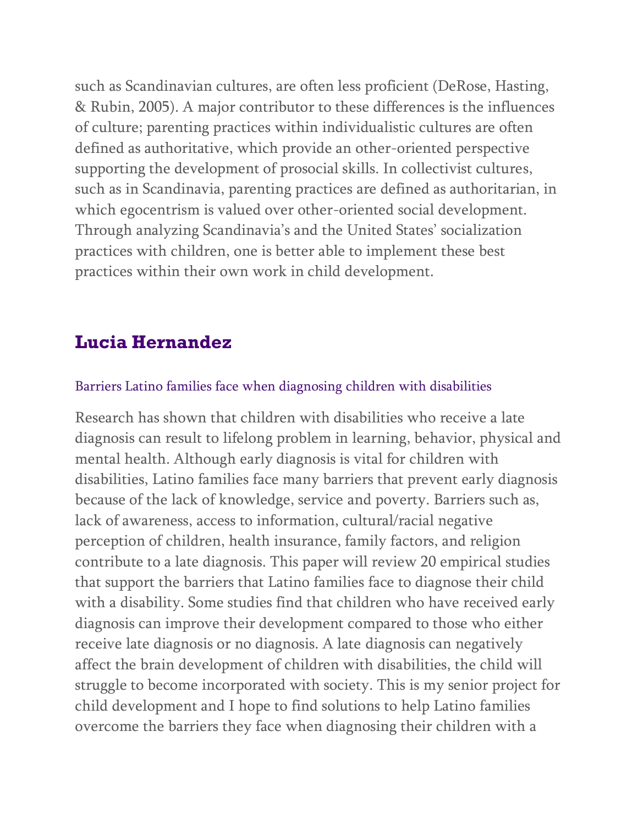such as Scandinavian cultures, are often less proficient (DeRose, Hasting, & Rubin, 2005). A major contributor to these differences is the influences of culture; parenting practices within individualistic cultures are often defined as authoritative, which provide an other-oriented perspective supporting the development of prosocial skills. In collectivist cultures, such as in Scandinavia, parenting practices are defined as authoritarian, in which egocentrism is valued over other-oriented social development. Through analyzing Scandinavia's and the United States' socialization practices with children, one is better able to implement these best practices within their own work in child development.

# **Lucia Hernandez**

### Barriers Latino families face when diagnosing children with disabilities

Research has shown that children with disabilities who receive a late diagnosis can result to lifelong problem in learning, behavior, physical and mental health. Although early diagnosis is vital for children with disabilities, Latino families face many barriers that prevent early diagnosis because of the lack of knowledge, service and poverty. Barriers such as, lack of awareness, access to information, cultural/racial negative perception of children, health insurance, family factors, and religion contribute to a late diagnosis. This paper will review 20 empirical studies that support the barriers that Latino families face to diagnose their child with a disability. Some studies find that children who have received early diagnosis can improve their development compared to those who either receive late diagnosis or no diagnosis. A late diagnosis can negatively affect the brain development of children with disabilities, the child will struggle to become incorporated with society. This is my senior project for child development and I hope to find solutions to help Latino families overcome the barriers they face when diagnosing their children with a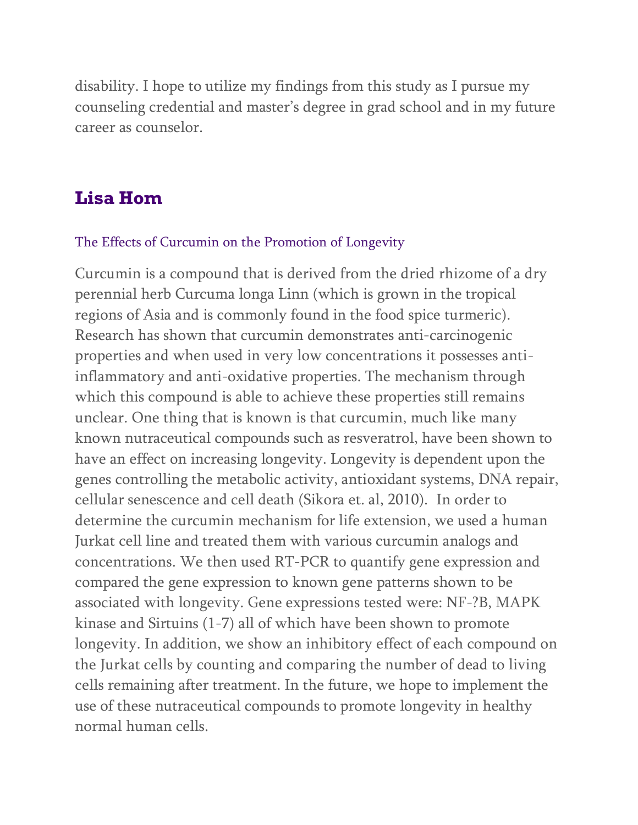disability. I hope to utilize my findings from this study as I pursue my counseling credential and master's degree in grad school and in my future career as counselor.

### **Lisa Hom**

#### The Effects of Curcumin on the Promotion of Longevity

Curcumin is a compound that is derived from the dried rhizome of a dry perennial herb Curcuma longa Linn (which is grown in the tropical regions of Asia and is commonly found in the food spice turmeric). Research has shown that curcumin demonstrates anti-carcinogenic properties and when used in very low concentrations it possesses antiinflammatory and anti-oxidative properties. The mechanism through which this compound is able to achieve these properties still remains unclear. One thing that is known is that curcumin, much like many known nutraceutical compounds such as resveratrol, have been shown to have an effect on increasing longevity. Longevity is dependent upon the genes controlling the metabolic activity, antioxidant systems, DNA repair, cellular senescence and cell death (Sikora et. al, 2010). In order to determine the curcumin mechanism for life extension, we used a human Jurkat cell line and treated them with various curcumin analogs and concentrations. We then used RT-PCR to quantify gene expression and compared the gene expression to known gene patterns shown to be associated with longevity. Gene expressions tested were: NF-?B, MAPK kinase and Sirtuins (1-7) all of which have been shown to promote longevity. In addition, we show an inhibitory effect of each compound on the Jurkat cells by counting and comparing the number of dead to living cells remaining after treatment. In the future, we hope to implement the use of these nutraceutical compounds to promote longevity in healthy normal human cells.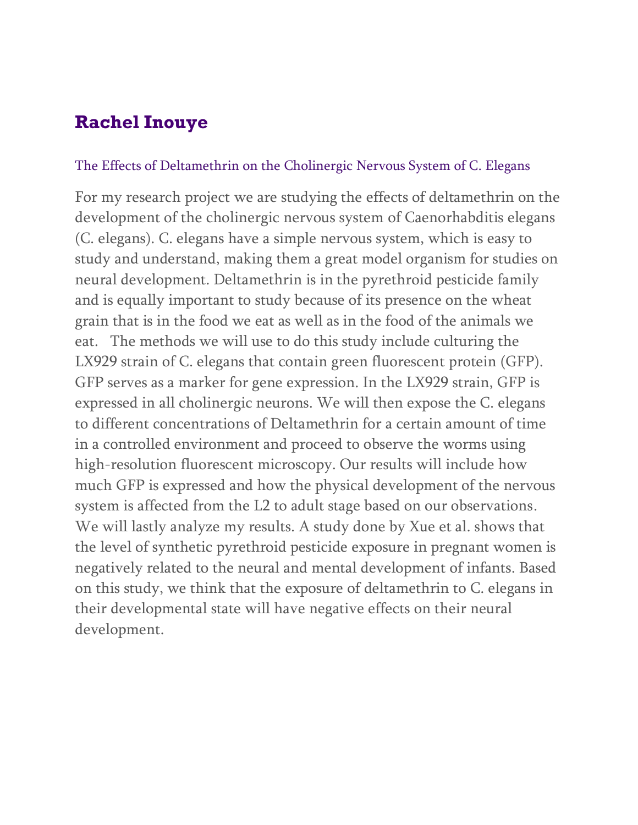# **Rachel Inouye**

#### The Effects of Deltamethrin on the Cholinergic Nervous System of C. Elegans

For my research project we are studying the effects of deltamethrin on the development of the cholinergic nervous system of Caenorhabditis elegans (C. elegans). C. elegans have a simple nervous system, which is easy to study and understand, making them a great model organism for studies on neural development. Deltamethrin is in the pyrethroid pesticide family and is equally important to study because of its presence on the wheat grain that is in the food we eat as well as in the food of the animals we eat. The methods we will use to do this study include culturing the LX929 strain of C. elegans that contain green fluorescent protein (GFP). GFP serves as a marker for gene expression. In the LX929 strain, GFP is expressed in all cholinergic neurons. We will then expose the C. elegans to different concentrations of Deltamethrin for a certain amount of time in a controlled environment and proceed to observe the worms using high-resolution fluorescent microscopy. Our results will include how much GFP is expressed and how the physical development of the nervous system is affected from the L2 to adult stage based on our observations. We will lastly analyze my results. A study done by Xue et al. shows that the level of synthetic pyrethroid pesticide exposure in pregnant women is negatively related to the neural and mental development of infants. Based on this study, we think that the exposure of deltamethrin to C. elegans in their developmental state will have negative effects on their neural development.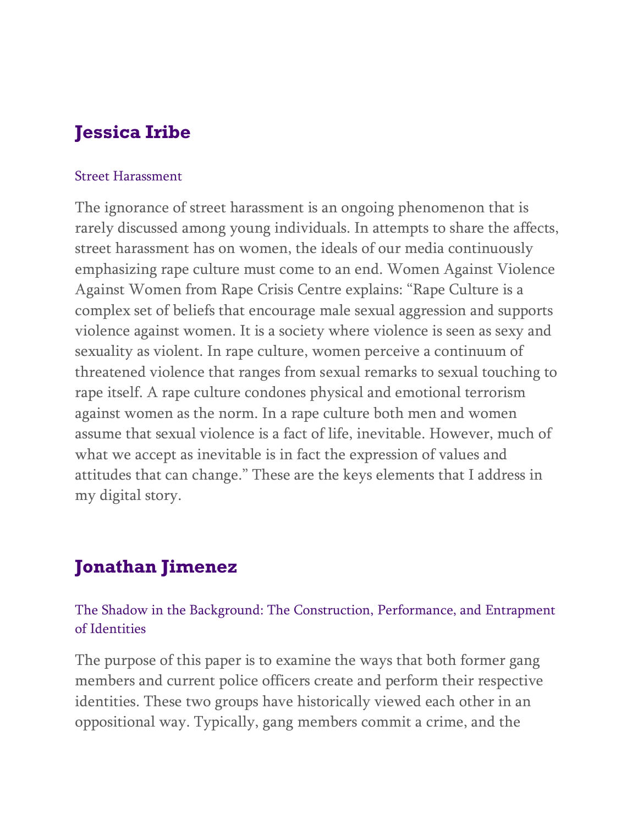# **Jessica Iribe**

#### Street Harassment

The ignorance of street harassment is an ongoing phenomenon that is rarely discussed among young individuals. In attempts to share the affects, street harassment has on women, the ideals of our media continuously emphasizing rape culture must come to an end. Women Against Violence Against Women from Rape Crisis Centre explains: "Rape Culture is a complex set of beliefs that encourage male sexual aggression and supports violence against women. It is a society where violence is seen as sexy and sexuality as violent. In rape culture, women perceive a continuum of threatened violence that ranges from sexual remarks to sexual touching to rape itself. A rape culture condones physical and emotional terrorism against women as the norm. In a rape culture both men and women assume that sexual violence is a fact of life, inevitable. However, much of what we accept as inevitable is in fact the expression of values and attitudes that can change." These are the keys elements that I address in my digital story.

# **Jonathan Jimenez**

### The Shadow in the Background: The Construction, Performance, and Entrapment of Identities

The purpose of this paper is to examine the ways that both former gang members and current police officers create and perform their respective identities. These two groups have historically viewed each other in an oppositional way. Typically, gang members commit a crime, and the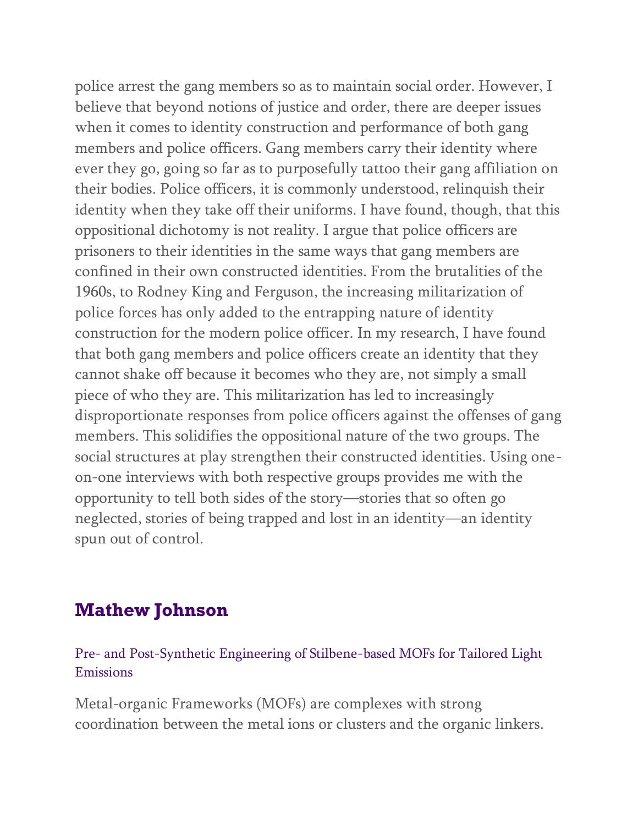police arrest the gang members so as to maintain social order. However, I believe that beyond notions of justice and order, there are deeper issues when it comes to identity construction and performance of both gang members and police officers. Gang members carry their identity where ever they go, going so far as to purposefully tattoo their gang affiliation on their bodies. Police officers, it is commonly understood, relinquish their identity when they take off their uniforms. I have found, though, that this oppositional dichotomy is not reality. I argue that police officers are prisoners to their identities in the same ways that gang members are confined in their own constructed identities. From the brutalities of the 1960s, to Rodney King and Ferguson, the increasing militarization of police forces has only added to the entrapping nature of identity construction for the modern police officer. In my research, I have found that both gang members and police officers create an identity that they cannot shake off because it becomes who they are, not simply a small piece of who they are. This militarization has led to increasingly disproportionate responses from police officers against the offenses of gang members. This solidifies the oppositional nature of the two groups. The social structures at play strengthen their constructed identities. Using oneon-one interviews with both respective groups provides me with the opportunity to tell both sides of the story—stories that so often go neglected, stories of being trapped and lost in an identity—an identity spun out of control.

## **Mathew Johnson**

Pre- and Post-Synthetic Engineering of Stilbene-based MOFs for Tailored Light Emissions

Metal-organic Frameworks (MOFs) are complexes with strong coordination between the metal ions or clusters and the organic linkers.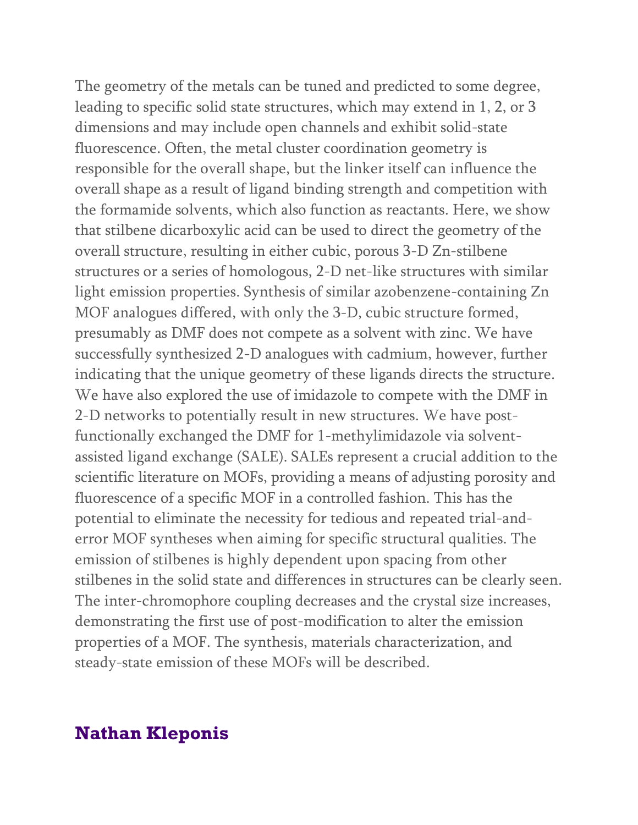The geometry of the metals can be tuned and predicted to some degree, leading to specific solid state structures, which may extend in 1, 2, or 3 dimensions and may include open channels and exhibit solid-state fluorescence. Often, the metal cluster coordination geometry is responsible for the overall shape, but the linker itself can influence the overall shape as a result of ligand binding strength and competition with the formamide solvents, which also function as reactants. Here, we show that stilbene dicarboxylic acid can be used to direct the geometry of the overall structure, resulting in either cubic, porous 3-D Zn-stilbene structures or a series of homologous, 2-D net-like structures with similar light emission properties. Synthesis of similar azobenzene-containing Zn MOF analogues differed, with only the 3-D, cubic structure formed, presumably as DMF does not compete as a solvent with zinc. We have successfully synthesized 2-D analogues with cadmium, however, further indicating that the unique geometry of these ligands directs the structure. We have also explored the use of imidazole to compete with the DMF in 2-D networks to potentially result in new structures. We have postfunctionally exchanged the DMF for 1-methylimidazole via solventassisted ligand exchange (SALE). SALEs represent a crucial addition to the scientific literature on MOFs, providing a means of adjusting porosity and fluorescence of a specific MOF in a controlled fashion. This has the potential to eliminate the necessity for tedious and repeated trial-anderror MOF syntheses when aiming for specific structural qualities. The emission of stilbenes is highly dependent upon spacing from other stilbenes in the solid state and differences in structures can be clearly seen. The inter-chromophore coupling decreases and the crystal size increases, demonstrating the first use of post-modification to alter the emission properties of a MOF. The synthesis, materials characterization, and steady-state emission of these MOFs will be described.

### **Nathan Kleponis**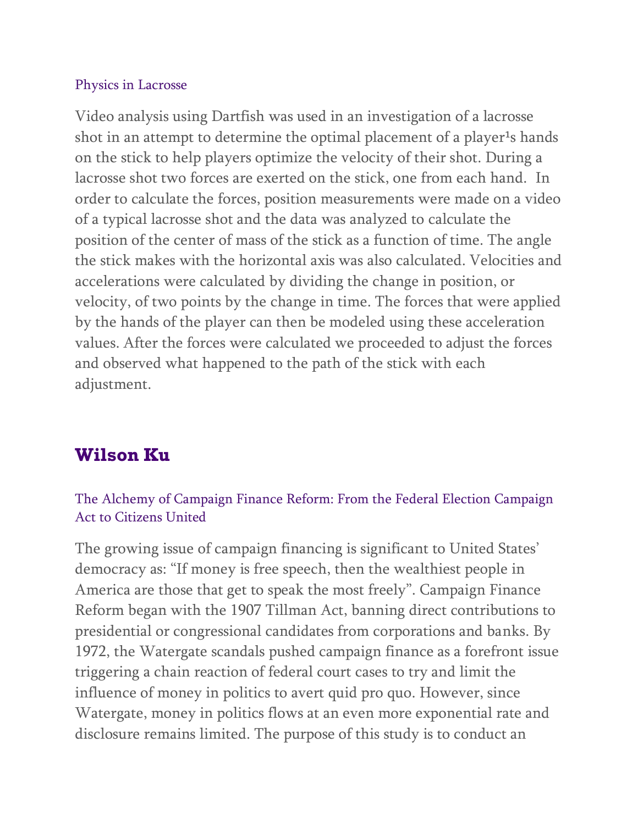#### Physics in Lacrosse

Video analysis using Dartfish was used in an investigation of a lacrosse shot in an attempt to determine the optimal placement of a player<sup>1</sup>s hands on the stick to help players optimize the velocity of their shot. During a lacrosse shot two forces are exerted on the stick, one from each hand. In order to calculate the forces, position measurements were made on a video of a typical lacrosse shot and the data was analyzed to calculate the position of the center of mass of the stick as a function of time. The angle the stick makes with the horizontal axis was also calculated. Velocities and accelerations were calculated by dividing the change in position, or velocity, of two points by the change in time. The forces that were applied by the hands of the player can then be modeled using these acceleration values. After the forces were calculated we proceeded to adjust the forces and observed what happened to the path of the stick with each adjustment.

# **Wilson Ku**

### The Alchemy of Campaign Finance Reform: From the Federal Election Campaign Act to Citizens United

The growing issue of campaign financing is significant to United States' democracy as: "If money is free speech, then the wealthiest people in America are those that get to speak the most freely". Campaign Finance Reform began with the 1907 Tillman Act, banning direct contributions to presidential or congressional candidates from corporations and banks. By 1972, the Watergate scandals pushed campaign finance as a forefront issue triggering a chain reaction of federal court cases to try and limit the influence of money in politics to avert quid pro quo. However, since Watergate, money in politics flows at an even more exponential rate and disclosure remains limited. The purpose of this study is to conduct an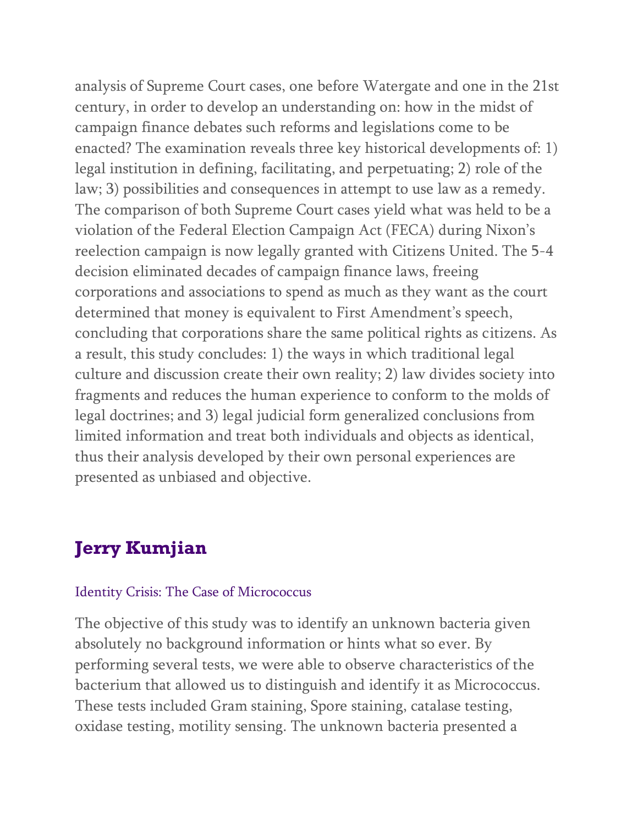analysis of Supreme Court cases, one before Watergate and one in the 21st century, in order to develop an understanding on: how in the midst of campaign finance debates such reforms and legislations come to be enacted? The examination reveals three key historical developments of: 1) legal institution in defining, facilitating, and perpetuating; 2) role of the law; 3) possibilities and consequences in attempt to use law as a remedy. The comparison of both Supreme Court cases yield what was held to be a violation of the Federal Election Campaign Act (FECA) during Nixon's reelection campaign is now legally granted with Citizens United. The 5-4 decision eliminated decades of campaign finance laws, freeing corporations and associations to spend as much as they want as the court determined that money is equivalent to First Amendment's speech, concluding that corporations share the same political rights as citizens. As a result, this study concludes: 1) the ways in which traditional legal culture and discussion create their own reality; 2) law divides society into fragments and reduces the human experience to conform to the molds of legal doctrines; and 3) legal judicial form generalized conclusions from limited information and treat both individuals and objects as identical, thus their analysis developed by their own personal experiences are presented as unbiased and objective.

# **Jerry Kumjian**

#### Identity Crisis: The Case of Micrococcus

The objective of this study was to identify an unknown bacteria given absolutely no background information or hints what so ever. By performing several tests, we were able to observe characteristics of the bacterium that allowed us to distinguish and identify it as Micrococcus. These tests included Gram staining, Spore staining, catalase testing, oxidase testing, motility sensing. The unknown bacteria presented a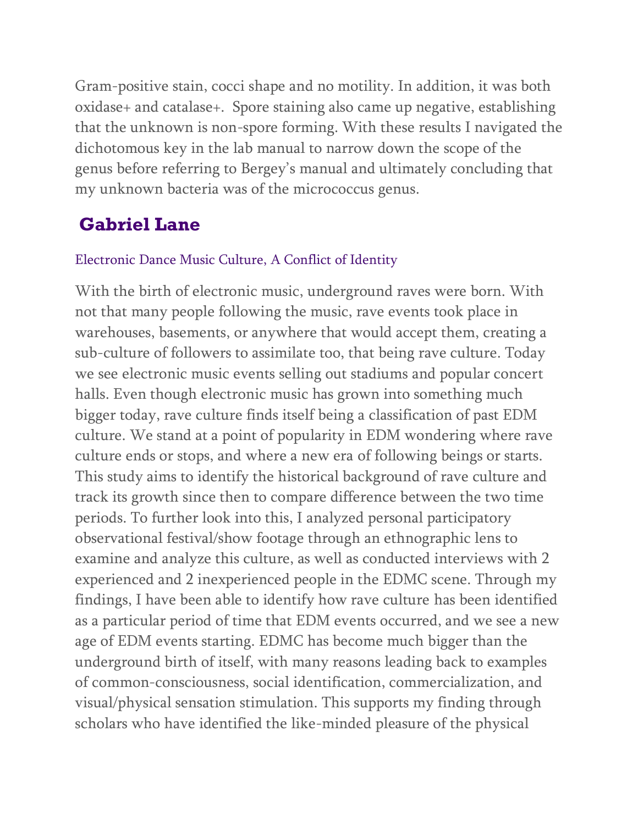Gram-positive stain, cocci shape and no motility. In addition, it was both oxidase+ and catalase+. Spore staining also came up negative, establishing that the unknown is non-spore forming. With these results I navigated the dichotomous key in the lab manual to narrow down the scope of the genus before referring to Bergey's manual and ultimately concluding that my unknown bacteria was of the micrococcus genus.

# **Gabriel Lane**

### Electronic Dance Music Culture, A Conflict of Identity

With the birth of electronic music, underground raves were born. With not that many people following the music, rave events took place in warehouses, basements, or anywhere that would accept them, creating a sub-culture of followers to assimilate too, that being rave culture. Today we see electronic music events selling out stadiums and popular concert halls. Even though electronic music has grown into something much bigger today, rave culture finds itself being a classification of past EDM culture. We stand at a point of popularity in EDM wondering where rave culture ends or stops, and where a new era of following beings or starts. This study aims to identify the historical background of rave culture and track its growth since then to compare difference between the two time periods. To further look into this, I analyzed personal participatory observational festival/show footage through an ethnographic lens to examine and analyze this culture, as well as conducted interviews with 2 experienced and 2 inexperienced people in the EDMC scene. Through my findings, I have been able to identify how rave culture has been identified as a particular period of time that EDM events occurred, and we see a new age of EDM events starting. EDMC has become much bigger than the underground birth of itself, with many reasons leading back to examples of common-consciousness, social identification, commercialization, and visual/physical sensation stimulation. This supports my finding through scholars who have identified the like-minded pleasure of the physical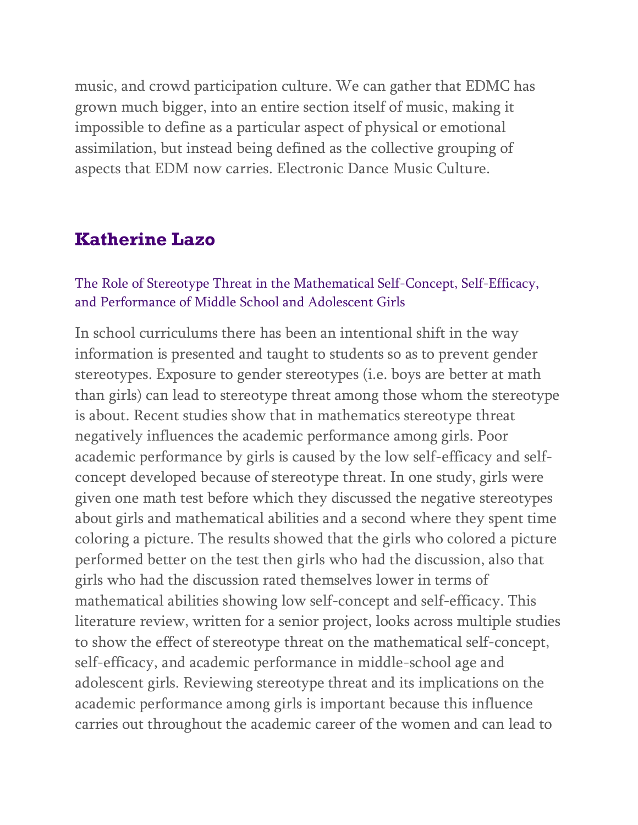music, and crowd participation culture. We can gather that EDMC has grown much bigger, into an entire section itself of music, making it impossible to define as a particular aspect of physical or emotional assimilation, but instead being defined as the collective grouping of aspects that EDM now carries. Electronic Dance Music Culture.

### **Katherine Lazo**

#### The Role of Stereotype Threat in the Mathematical Self-Concept, Self-Efficacy, and Performance of Middle School and Adolescent Girls

In school curriculums there has been an intentional shift in the way information is presented and taught to students so as to prevent gender stereotypes. Exposure to gender stereotypes (i.e. boys are better at math than girls) can lead to stereotype threat among those whom the stereotype is about. Recent studies show that in mathematics stereotype threat negatively influences the academic performance among girls. Poor academic performance by girls is caused by the low self-efficacy and selfconcept developed because of stereotype threat. In one study, girls were given one math test before which they discussed the negative stereotypes about girls and mathematical abilities and a second where they spent time coloring a picture. The results showed that the girls who colored a picture performed better on the test then girls who had the discussion, also that girls who had the discussion rated themselves lower in terms of mathematical abilities showing low self-concept and self-efficacy. This literature review, written for a senior project, looks across multiple studies to show the effect of stereotype threat on the mathematical self-concept, self-efficacy, and academic performance in middle-school age and adolescent girls. Reviewing stereotype threat and its implications on the academic performance among girls is important because this influence carries out throughout the academic career of the women and can lead to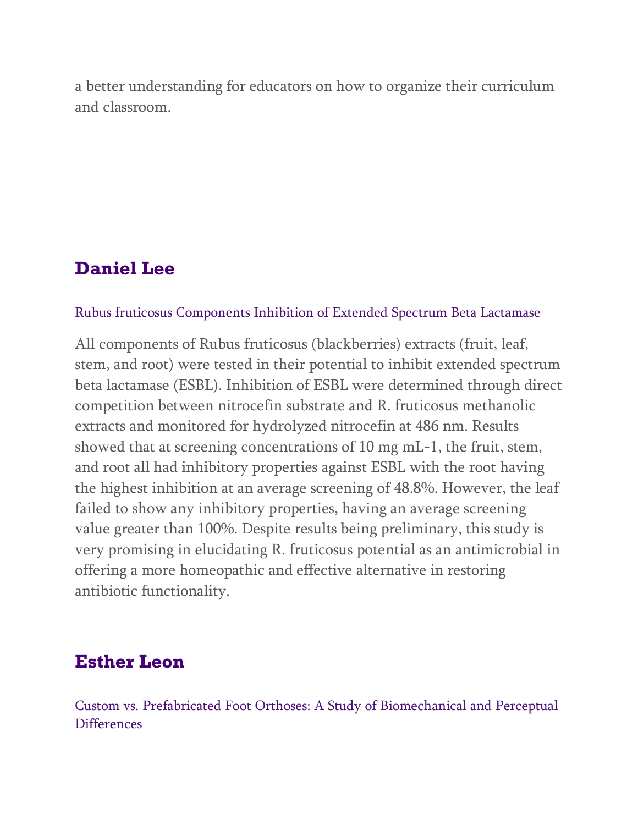a better understanding for educators on how to organize their curriculum and classroom.

## **Daniel Lee**

#### Rubus fruticosus Components Inhibition of Extended Spectrum Beta Lactamase

All components of Rubus fruticosus (blackberries) extracts (fruit, leaf, stem, and root) were tested in their potential to inhibit extended spectrum beta lactamase (ESBL). Inhibition of ESBL were determined through direct competition between nitrocefin substrate and R. fruticosus methanolic extracts and monitored for hydrolyzed nitrocefin at 486 nm. Results showed that at screening concentrations of 10 mg mL-1, the fruit, stem, and root all had inhibitory properties against ESBL with the root having the highest inhibition at an average screening of 48.8%. However, the leaf failed to show any inhibitory properties, having an average screening value greater than 100%. Despite results being preliminary, this study is very promising in elucidating R. fruticosus potential as an antimicrobial in offering a more homeopathic and effective alternative in restoring antibiotic functionality.

### **Esther Leon**

Custom vs. Prefabricated Foot Orthoses: A Study of Biomechanical and Perceptual **Differences**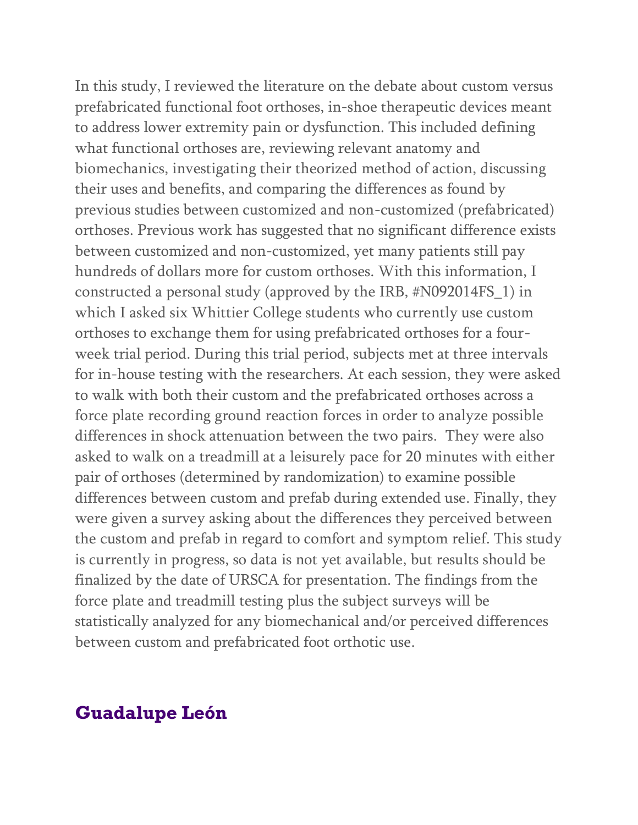In this study, I reviewed the literature on the debate about custom versus prefabricated functional foot orthoses, in-shoe therapeutic devices meant to address lower extremity pain or dysfunction. This included defining what functional orthoses are, reviewing relevant anatomy and biomechanics, investigating their theorized method of action, discussing their uses and benefits, and comparing the differences as found by previous studies between customized and non-customized (prefabricated) orthoses. Previous work has suggested that no significant difference exists between customized and non-customized, yet many patients still pay hundreds of dollars more for custom orthoses. With this information, I constructed a personal study (approved by the IRB, #N092014FS\_1) in which I asked six Whittier College students who currently use custom orthoses to exchange them for using prefabricated orthoses for a fourweek trial period. During this trial period, subjects met at three intervals for in-house testing with the researchers. At each session, they were asked to walk with both their custom and the prefabricated orthoses across a force plate recording ground reaction forces in order to analyze possible differences in shock attenuation between the two pairs. They were also asked to walk on a treadmill at a leisurely pace for 20 minutes with either pair of orthoses (determined by randomization) to examine possible differences between custom and prefab during extended use. Finally, they were given a survey asking about the differences they perceived between the custom and prefab in regard to comfort and symptom relief. This study is currently in progress, so data is not yet available, but results should be finalized by the date of URSCA for presentation. The findings from the force plate and treadmill testing plus the subject surveys will be statistically analyzed for any biomechanical and/or perceived differences between custom and prefabricated foot orthotic use.

### **Guadalupe León**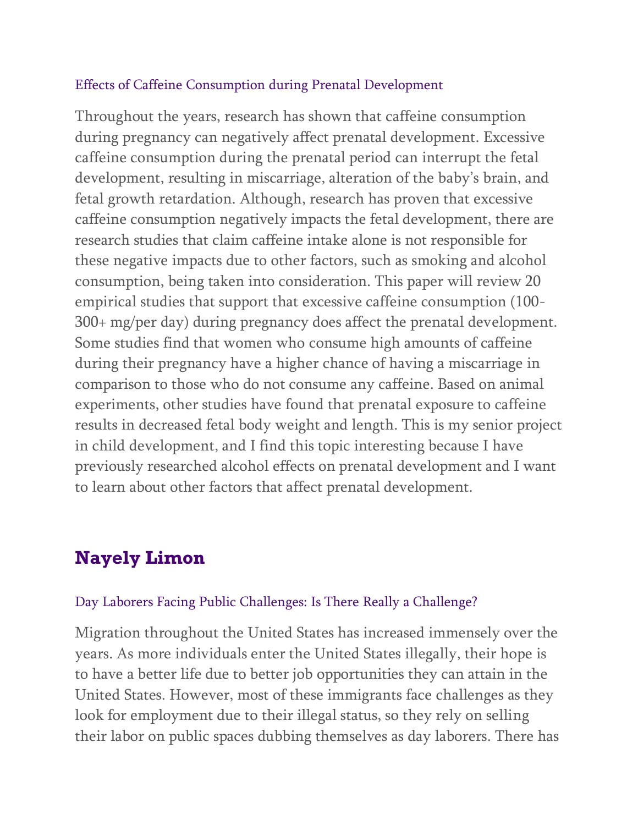#### Effects of Caffeine Consumption during Prenatal Development

Throughout the years, research has shown that caffeine consumption during pregnancy can negatively affect prenatal development. Excessive caffeine consumption during the prenatal period can interrupt the fetal development, resulting in miscarriage, alteration of the baby's brain, and fetal growth retardation. Although, research has proven that excessive caffeine consumption negatively impacts the fetal development, there are research studies that claim caffeine intake alone is not responsible for these negative impacts due to other factors, such as smoking and alcohol consumption, being taken into consideration. This paper will review 20 empirical studies that support that excessive caffeine consumption (100- 300+ mg/per day) during pregnancy does affect the prenatal development. Some studies find that women who consume high amounts of caffeine during their pregnancy have a higher chance of having a miscarriage in comparison to those who do not consume any caffeine. Based on animal experiments, other studies have found that prenatal exposure to caffeine results in decreased fetal body weight and length. This is my senior project in child development, and I find this topic interesting because I have previously researched alcohol effects on prenatal development and I want to learn about other factors that affect prenatal development.

# **Nayely Limon**

#### Day Laborers Facing Public Challenges: Is There Really a Challenge?

Migration throughout the United States has increased immensely over the years. As more individuals enter the United States illegally, their hope is to have a better life due to better job opportunities they can attain in the United States. However, most of these immigrants face challenges as they look for employment due to their illegal status, so they rely on selling their labor on public spaces dubbing themselves as day laborers. There has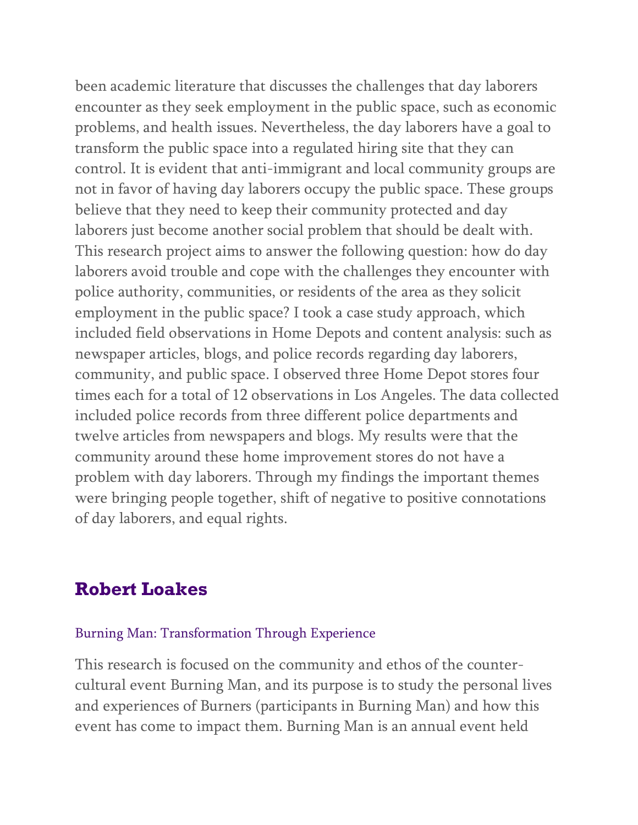been academic literature that discusses the challenges that day laborers encounter as they seek employment in the public space, such as economic problems, and health issues. Nevertheless, the day laborers have a goal to transform the public space into a regulated hiring site that they can control. It is evident that anti-immigrant and local community groups are not in favor of having day laborers occupy the public space. These groups believe that they need to keep their community protected and day laborers just become another social problem that should be dealt with. This research project aims to answer the following question: how do day laborers avoid trouble and cope with the challenges they encounter with police authority, communities, or residents of the area as they solicit employment in the public space? I took a case study approach, which included field observations in Home Depots and content analysis: such as newspaper articles, blogs, and police records regarding day laborers, community, and public space. I observed three Home Depot stores four times each for a total of 12 observations in Los Angeles. The data collected included police records from three different police departments and twelve articles from newspapers and blogs. My results were that the community around these home improvement stores do not have a problem with day laborers. Through my findings the important themes were bringing people together, shift of negative to positive connotations of day laborers, and equal rights.

### **Robert Loakes**

#### Burning Man: Transformation Through Experience

This research is focused on the community and ethos of the countercultural event Burning Man, and its purpose is to study the personal lives and experiences of Burners (participants in Burning Man) and how this event has come to impact them. Burning Man is an annual event held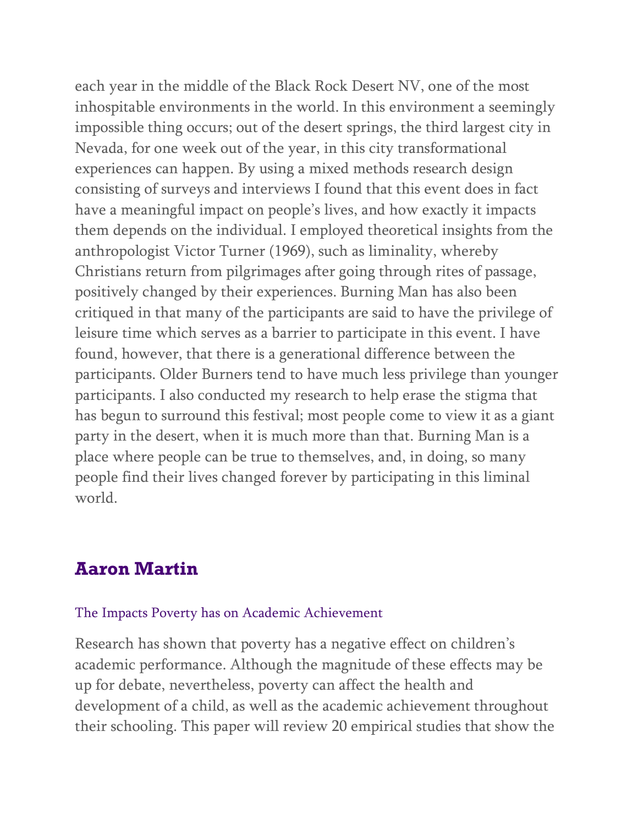each year in the middle of the Black Rock Desert NV, one of the most inhospitable environments in the world. In this environment a seemingly impossible thing occurs; out of the desert springs, the third largest city in Nevada, for one week out of the year, in this city transformational experiences can happen. By using a mixed methods research design consisting of surveys and interviews I found that this event does in fact have a meaningful impact on people's lives, and how exactly it impacts them depends on the individual. I employed theoretical insights from the anthropologist Victor Turner (1969), such as liminality, whereby Christians return from pilgrimages after going through rites of passage, positively changed by their experiences. Burning Man has also been critiqued in that many of the participants are said to have the privilege of leisure time which serves as a barrier to participate in this event. I have found, however, that there is a generational difference between the participants. Older Burners tend to have much less privilege than younger participants. I also conducted my research to help erase the stigma that has begun to surround this festival; most people come to view it as a giant party in the desert, when it is much more than that. Burning Man is a place where people can be true to themselves, and, in doing, so many people find their lives changed forever by participating in this liminal world.

### **Aaron Martin**

#### The Impacts Poverty has on Academic Achievement

Research has shown that poverty has a negative effect on children's academic performance. Although the magnitude of these effects may be up for debate, nevertheless, poverty can affect the health and development of a child, as well as the academic achievement throughout their schooling. This paper will review 20 empirical studies that show the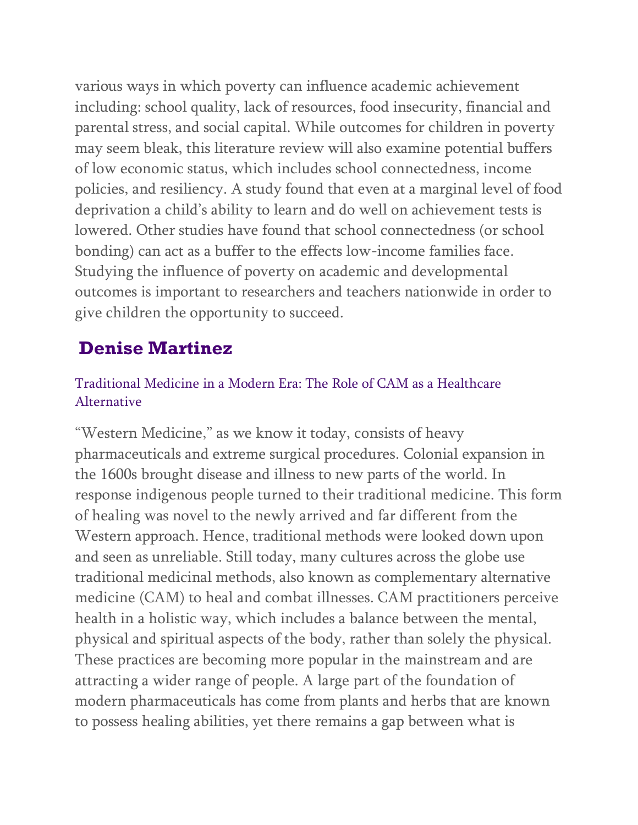various ways in which poverty can influence academic achievement including: school quality, lack of resources, food insecurity, financial and parental stress, and social capital. While outcomes for children in poverty may seem bleak, this literature review will also examine potential buffers of low economic status, which includes school connectedness, income policies, and resiliency. A study found that even at a marginal level of food deprivation a child's ability to learn and do well on achievement tests is lowered. Other studies have found that school connectedness (or school bonding) can act as a buffer to the effects low-income families face. Studying the influence of poverty on academic and developmental outcomes is important to researchers and teachers nationwide in order to give children the opportunity to succeed.

# **Denise Martinez**

### Traditional Medicine in a Modern Era: The Role of CAM as a Healthcare Alternative

"Western Medicine," as we know it today, consists of heavy pharmaceuticals and extreme surgical procedures. Colonial expansion in the 1600s brought disease and illness to new parts of the world. In response indigenous people turned to their traditional medicine. This form of healing was novel to the newly arrived and far different from the Western approach. Hence, traditional methods were looked down upon and seen as unreliable. Still today, many cultures across the globe use traditional medicinal methods, also known as complementary alternative medicine (CAM) to heal and combat illnesses. CAM practitioners perceive health in a holistic way, which includes a balance between the mental, physical and spiritual aspects of the body, rather than solely the physical. These practices are becoming more popular in the mainstream and are attracting a wider range of people. A large part of the foundation of modern pharmaceuticals has come from plants and herbs that are known to possess healing abilities, yet there remains a gap between what is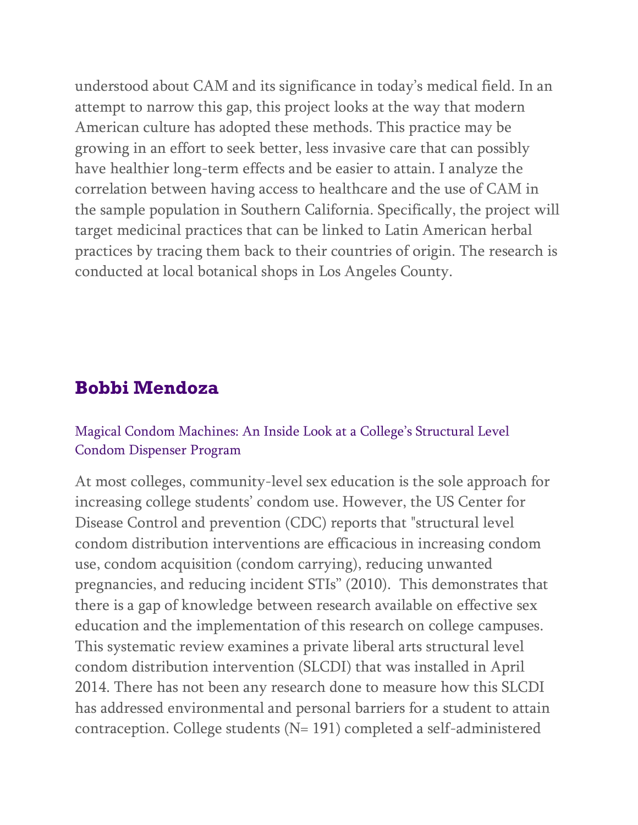understood about CAM and its significance in today's medical field. In an attempt to narrow this gap, this project looks at the way that modern American culture has adopted these methods. This practice may be growing in an effort to seek better, less invasive care that can possibly have healthier long-term effects and be easier to attain. I analyze the correlation between having access to healthcare and the use of CAM in the sample population in Southern California. Specifically, the project will target medicinal practices that can be linked to Latin American herbal practices by tracing them back to their countries of origin. The research is conducted at local botanical shops in Los Angeles County.

## **Bobbi Mendoza**

#### Magical Condom Machines: An Inside Look at a College's Structural Level Condom Dispenser Program

At most colleges, community-level sex education is the sole approach for increasing college students' condom use. However, the US Center for Disease Control and prevention (CDC) reports that "structural level condom distribution interventions are efficacious in increasing condom use, condom acquisition (condom carrying), reducing unwanted pregnancies, and reducing incident STIs" (2010). This demonstrates that there is a gap of knowledge between research available on effective sex education and the implementation of this research on college campuses. This systematic review examines a private liberal arts structural level condom distribution intervention (SLCDI) that was installed in April 2014. There has not been any research done to measure how this SLCDI has addressed environmental and personal barriers for a student to attain contraception. College students (N= 191) completed a self-administered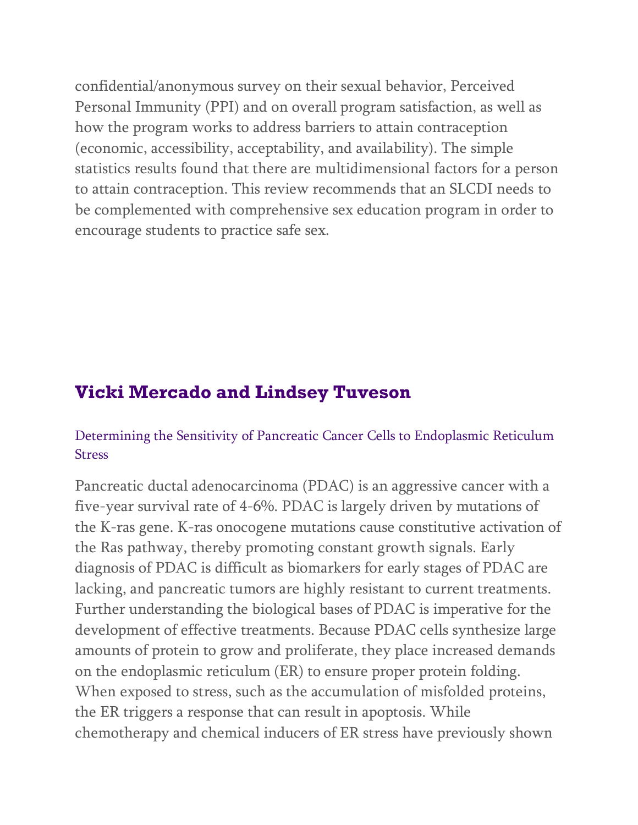confidential/anonymous survey on their sexual behavior, Perceived Personal Immunity (PPI) and on overall program satisfaction, as well as how the program works to address barriers to attain contraception (economic, accessibility, acceptability, and availability). The simple statistics results found that there are multidimensional factors for a person to attain contraception. This review recommends that an SLCDI needs to be complemented with comprehensive sex education program in order to encourage students to practice safe sex.

## **Vicki Mercado and Lindsey Tuveson**

### Determining the Sensitivity of Pancreatic Cancer Cells to Endoplasmic Reticulum Stress

Pancreatic ductal adenocarcinoma (PDAC) is an aggressive cancer with a five-year survival rate of 4-6%. PDAC is largely driven by mutations of the K-ras gene. K-ras onocogene mutations cause constitutive activation of the Ras pathway, thereby promoting constant growth signals. Early diagnosis of PDAC is difficult as biomarkers for early stages of PDAC are lacking, and pancreatic tumors are highly resistant to current treatments. Further understanding the biological bases of PDAC is imperative for the development of effective treatments. Because PDAC cells synthesize large amounts of protein to grow and proliferate, they place increased demands on the endoplasmic reticulum (ER) to ensure proper protein folding. When exposed to stress, such as the accumulation of misfolded proteins, the ER triggers a response that can result in apoptosis. While chemotherapy and chemical inducers of ER stress have previously shown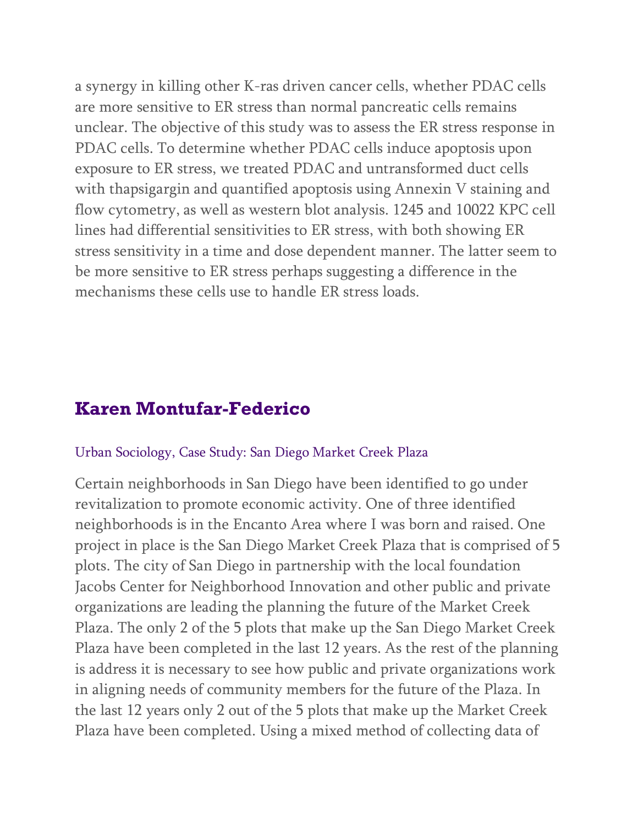a synergy in killing other K-ras driven cancer cells, whether PDAC cells are more sensitive to ER stress than normal pancreatic cells remains unclear. The objective of this study was to assess the ER stress response in PDAC cells. To determine whether PDAC cells induce apoptosis upon exposure to ER stress, we treated PDAC and untransformed duct cells with thapsigargin and quantified apoptosis using Annexin V staining and flow cytometry, as well as western blot analysis. 1245 and 10022 KPC cell lines had differential sensitivities to ER stress, with both showing ER stress sensitivity in a time and dose dependent manner. The latter seem to be more sensitive to ER stress perhaps suggesting a difference in the mechanisms these cells use to handle ER stress loads.

## **Karen Montufar-Federico**

#### Urban Sociology, Case Study: San Diego Market Creek Plaza

Certain neighborhoods in San Diego have been identified to go under revitalization to promote economic activity. One of three identified neighborhoods is in the Encanto Area where I was born and raised. One project in place is the San Diego Market Creek Plaza that is comprised of 5 plots. The city of San Diego in partnership with the local foundation Jacobs Center for Neighborhood Innovation and other public and private organizations are leading the planning the future of the Market Creek Plaza. The only 2 of the 5 plots that make up the San Diego Market Creek Plaza have been completed in the last 12 years. As the rest of the planning is address it is necessary to see how public and private organizations work in aligning needs of community members for the future of the Plaza. In the last 12 years only 2 out of the 5 plots that make up the Market Creek Plaza have been completed. Using a mixed method of collecting data of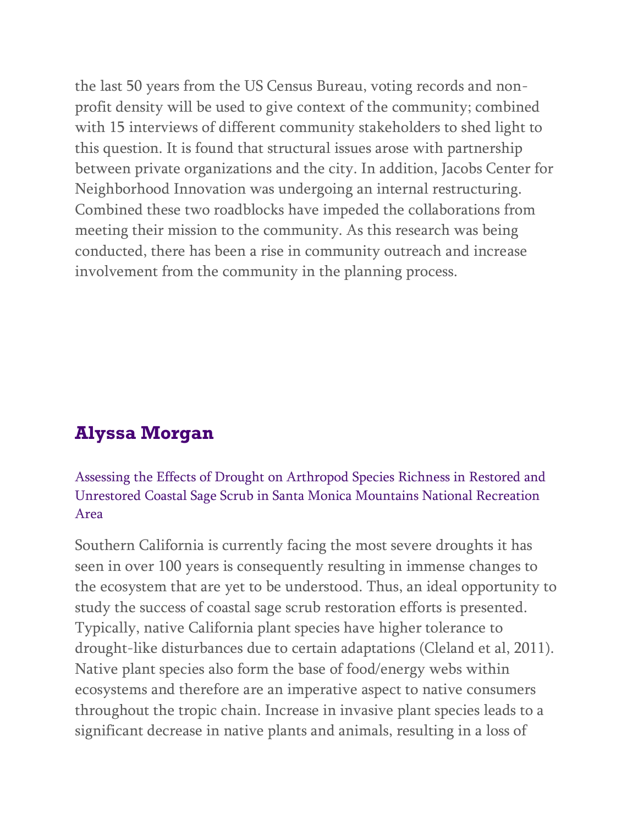the last 50 years from the US Census Bureau, voting records and nonprofit density will be used to give context of the community; combined with 15 interviews of different community stakeholders to shed light to this question. It is found that structural issues arose with partnership between private organizations and the city. In addition, Jacobs Center for Neighborhood Innovation was undergoing an internal restructuring. Combined these two roadblocks have impeded the collaborations from meeting their mission to the community. As this research was being conducted, there has been a rise in community outreach and increase involvement from the community in the planning process.

# **Alyssa Morgan**

### Assessing the Effects of Drought on Arthropod Species Richness in Restored and Unrestored Coastal Sage Scrub in Santa Monica Mountains National Recreation Area

Southern California is currently facing the most severe droughts it has seen in over 100 years is consequently resulting in immense changes to the ecosystem that are yet to be understood. Thus, an ideal opportunity to study the success of coastal sage scrub restoration efforts is presented. Typically, native California plant species have higher tolerance to drought-like disturbances due to certain adaptations (Cleland et al, 2011). Native plant species also form the base of food/energy webs within ecosystems and therefore are an imperative aspect to native consumers throughout the tropic chain. Increase in invasive plant species leads to a significant decrease in native plants and animals, resulting in a loss of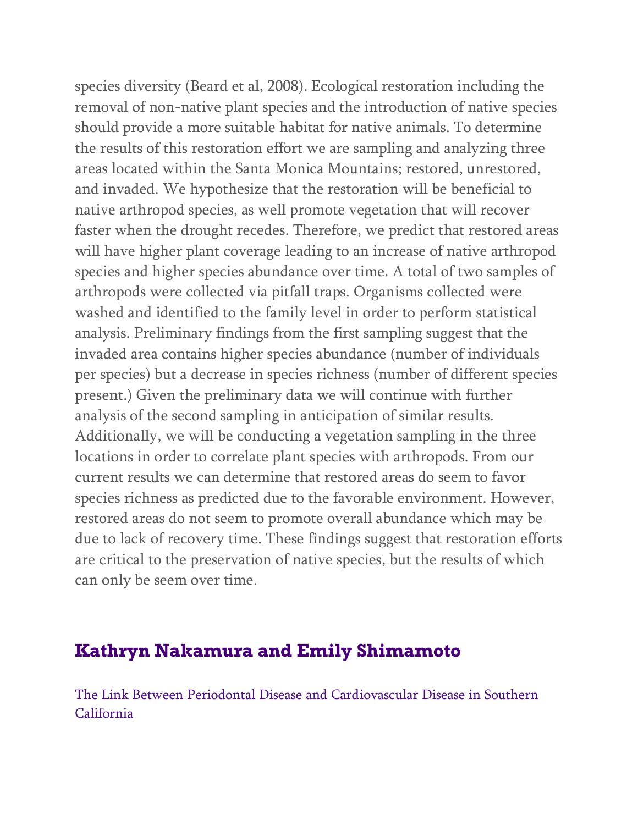species diversity (Beard et al, 2008). Ecological restoration including the removal of non-native plant species and the introduction of native species should provide a more suitable habitat for native animals. To determine the results of this restoration effort we are sampling and analyzing three areas located within the Santa Monica Mountains; restored, unrestored, and invaded. We hypothesize that the restoration will be beneficial to native arthropod species, as well promote vegetation that will recover faster when the drought recedes. Therefore, we predict that restored areas will have higher plant coverage leading to an increase of native arthropod species and higher species abundance over time. A total of two samples of arthropods were collected via pitfall traps. Organisms collected were washed and identified to the family level in order to perform statistical analysis. Preliminary findings from the first sampling suggest that the invaded area contains higher species abundance (number of individuals per species) but a decrease in species richness (number of different species present.) Given the preliminary data we will continue with further analysis of the second sampling in anticipation of similar results. Additionally, we will be conducting a vegetation sampling in the three locations in order to correlate plant species with arthropods. From our current results we can determine that restored areas do seem to favor species richness as predicted due to the favorable environment. However, restored areas do not seem to promote overall abundance which may be due to lack of recovery time. These findings suggest that restoration efforts are critical to the preservation of native species, but the results of which can only be seem over time.

### **Kathryn Nakamura and Emily Shimamoto**

The Link Between Periodontal Disease and Cardiovascular Disease in Southern California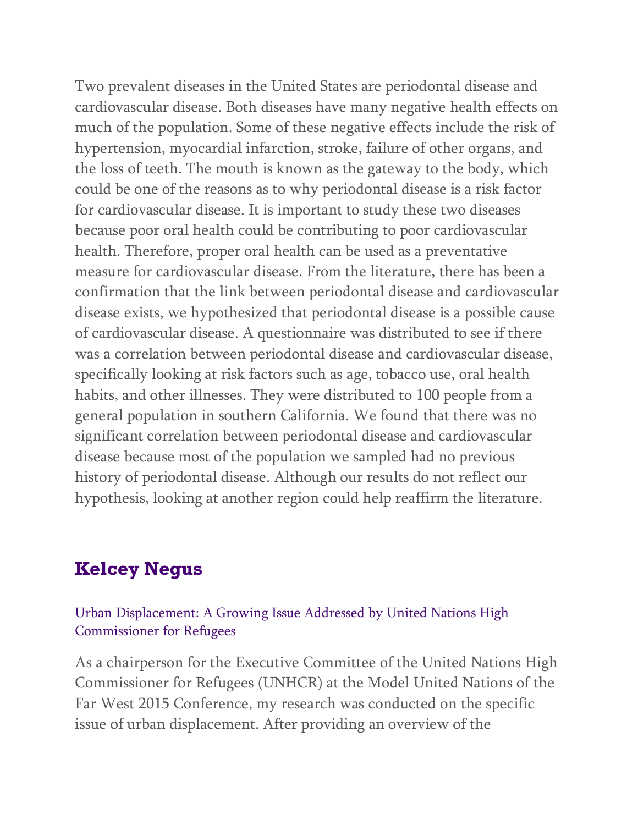Two prevalent diseases in the United States are periodontal disease and cardiovascular disease. Both diseases have many negative health effects on much of the population. Some of these negative effects include the risk of hypertension, myocardial infarction, stroke, failure of other organs, and the loss of teeth. The mouth is known as the gateway to the body, which could be one of the reasons as to why periodontal disease is a risk factor for cardiovascular disease. It is important to study these two diseases because poor oral health could be contributing to poor cardiovascular health. Therefore, proper oral health can be used as a preventative measure for cardiovascular disease. From the literature, there has been a confirmation that the link between periodontal disease and cardiovascular disease exists, we hypothesized that periodontal disease is a possible cause of cardiovascular disease. A questionnaire was distributed to see if there was a correlation between periodontal disease and cardiovascular disease, specifically looking at risk factors such as age, tobacco use, oral health habits, and other illnesses. They were distributed to 100 people from a general population in southern California. We found that there was no significant correlation between periodontal disease and cardiovascular disease because most of the population we sampled had no previous history of periodontal disease. Although our results do not reflect our hypothesis, looking at another region could help reaffirm the literature.

### **Kelcey Negus**

### Urban Displacement: A Growing Issue Addressed by United Nations High Commissioner for Refugees

As a chairperson for the Executive Committee of the United Nations High Commissioner for Refugees (UNHCR) at the Model United Nations of the Far West 2015 Conference, my research was conducted on the specific issue of urban displacement. After providing an overview of the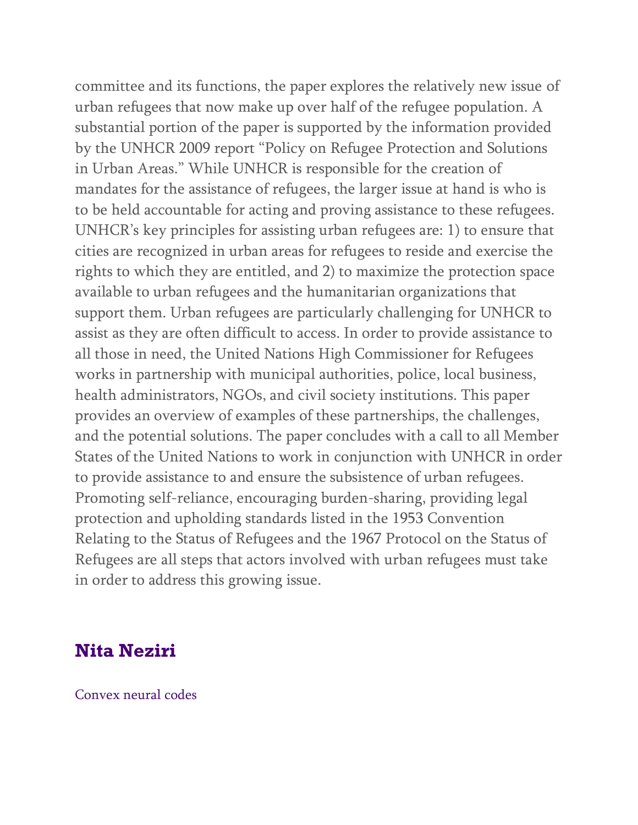committee and its functions, the paper explores the relatively new issue of urban refugees that now make up over half of the refugee population. A substantial portion of the paper is supported by the information provided by the UNHCR 2009 report "Policy on Refugee Protection and Solutions in Urban Areas." While UNHCR is responsible for the creation of mandates for the assistance of refugees, the larger issue at hand is who is to be held accountable for acting and proving assistance to these refugees. UNHCR's key principles for assisting urban refugees are: 1) to ensure that cities are recognized in urban areas for refugees to reside and exercise the rights to which they are entitled, and 2) to maximize the protection space available to urban refugees and the humanitarian organizations that support them. Urban refugees are particularly challenging for UNHCR to assist as they are often difficult to access. In order to provide assistance to all those in need, the United Nations High Commissioner for Refugees works in partnership with municipal authorities, police, local business, health administrators, NGOs, and civil society institutions. This paper provides an overview of examples of these partnerships, the challenges, and the potential solutions. The paper concludes with a call to all Member States of the United Nations to work in conjunction with UNHCR in order to provide assistance to and ensure the subsistence of urban refugees. Promoting self-reliance, encouraging burden-sharing, providing legal protection and upholding standards listed in the 1953 Convention Relating to the Status of Refugees and the 1967 Protocol on the Status of Refugees are all steps that actors involved with urban refugees must take in order to address this growing issue.

## **Nita Neziri**

Convex neural codes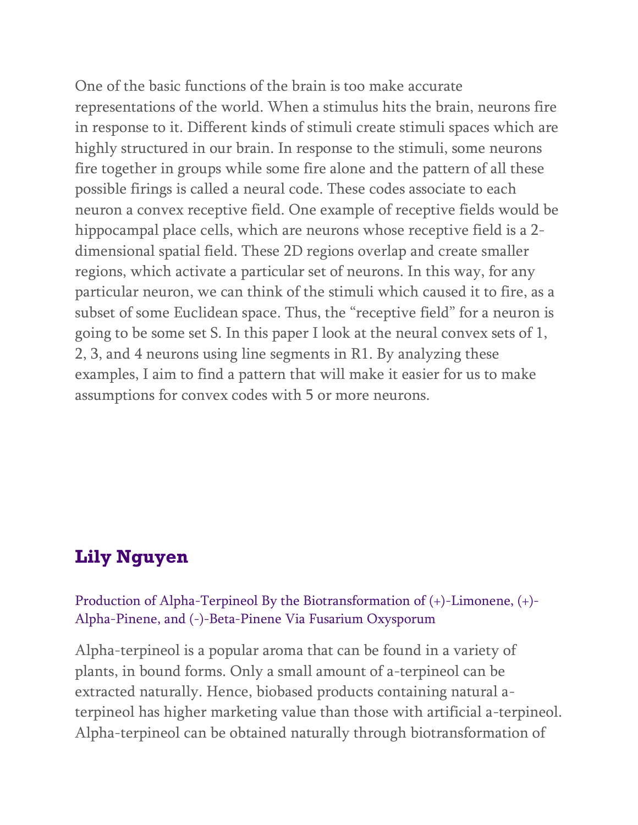One of the basic functions of the brain is too make accurate representations of the world. When a stimulus hits the brain, neurons fire in response to it. Different kinds of stimuli create stimuli spaces which are highly structured in our brain. In response to the stimuli, some neurons fire together in groups while some fire alone and the pattern of all these possible firings is called a neural code. These codes associate to each neuron a convex receptive field. One example of receptive fields would be hippocampal place cells, which are neurons whose receptive field is a 2 dimensional spatial field. These 2D regions overlap and create smaller regions, which activate a particular set of neurons. In this way, for any particular neuron, we can think of the stimuli which caused it to fire, as a subset of some Euclidean space. Thus, the "receptive field" for a neuron is going to be some set S. In this paper I look at the neural convex sets of 1, 2, 3, and 4 neurons using line segments in R1. By analyzing these examples, I aim to find a pattern that will make it easier for us to make assumptions for convex codes with 5 or more neurons.

### **Lily Nguyen**

Production of Alpha-Terpineol By the Biotransformation of (+)-Limonene, (+)- Alpha-Pinene, and (-)-Beta-Pinene Via Fusarium Oxysporum

Alpha-terpineol is a popular aroma that can be found in a variety of plants, in bound forms. Only a small amount of a-terpineol can be extracted naturally. Hence, biobased products containing natural aterpineol has higher marketing value than those with artificial a-terpineol. Alpha-terpineol can be obtained naturally through biotransformation of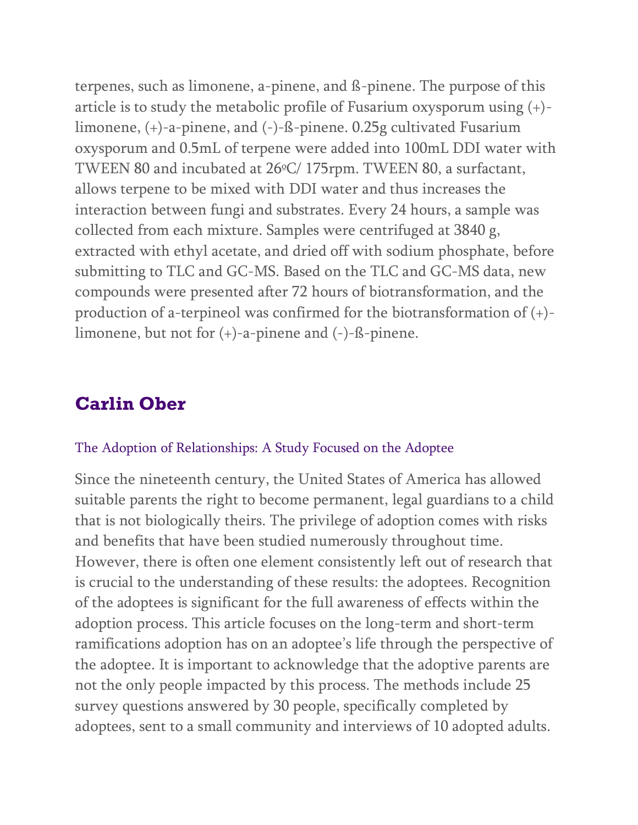terpenes, such as limonene, a-pinene, and ß-pinene. The purpose of this article is to study the metabolic profile of Fusarium oxysporum using (+) limonene, (+)-a-pinene, and (-)-ß-pinene. 0.25g cultivated Fusarium oxysporum and 0.5mL of terpene were added into 100mL DDI water with TWEEN 80 and incubated at 26ºC/ 175rpm. TWEEN 80, a surfactant, allows terpene to be mixed with DDI water and thus increases the interaction between fungi and substrates. Every 24 hours, a sample was collected from each mixture. Samples were centrifuged at 3840 g, extracted with ethyl acetate, and dried off with sodium phosphate, before submitting to TLC and GC-MS. Based on the TLC and GC-MS data, new compounds were presented after 72 hours of biotransformation, and the production of a-terpineol was confirmed for the biotransformation of (+) limonene, but not for (+)-a-pinene and (-)-ß-pinene.

## **Carlin Ober**

#### The Adoption of Relationships: A Study Focused on the Adoptee

Since the nineteenth century, the United States of America has allowed suitable parents the right to become permanent, legal guardians to a child that is not biologically theirs. The privilege of adoption comes with risks and benefits that have been studied numerously throughout time. However, there is often one element consistently left out of research that is crucial to the understanding of these results: the adoptees. Recognition of the adoptees is significant for the full awareness of effects within the adoption process. This article focuses on the long-term and short-term ramifications adoption has on an adoptee's life through the perspective of the adoptee. It is important to acknowledge that the adoptive parents are not the only people impacted by this process. The methods include 25 survey questions answered by 30 people, specifically completed by adoptees, sent to a small community and interviews of 10 adopted adults.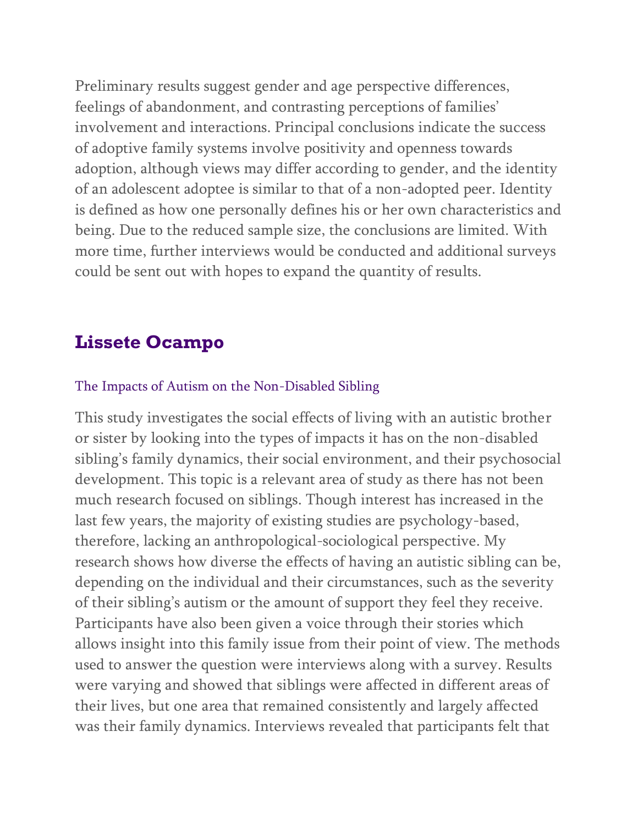Preliminary results suggest gender and age perspective differences, feelings of abandonment, and contrasting perceptions of families' involvement and interactions. Principal conclusions indicate the success of adoptive family systems involve positivity and openness towards adoption, although views may differ according to gender, and the identity of an adolescent adoptee is similar to that of a non-adopted peer. Identity is defined as how one personally defines his or her own characteristics and being. Due to the reduced sample size, the conclusions are limited. With more time, further interviews would be conducted and additional surveys could be sent out with hopes to expand the quantity of results.

## **Lissete Ocampo**

#### The Impacts of Autism on the Non-Disabled Sibling

This study investigates the social effects of living with an autistic brother or sister by looking into the types of impacts it has on the non-disabled sibling's family dynamics, their social environment, and their psychosocial development. This topic is a relevant area of study as there has not been much research focused on siblings. Though interest has increased in the last few years, the majority of existing studies are psychology-based, therefore, lacking an anthropological-sociological perspective. My research shows how diverse the effects of having an autistic sibling can be, depending on the individual and their circumstances, such as the severity of their sibling's autism or the amount of support they feel they receive. Participants have also been given a voice through their stories which allows insight into this family issue from their point of view. The methods used to answer the question were interviews along with a survey. Results were varying and showed that siblings were affected in different areas of their lives, but one area that remained consistently and largely affected was their family dynamics. Interviews revealed that participants felt that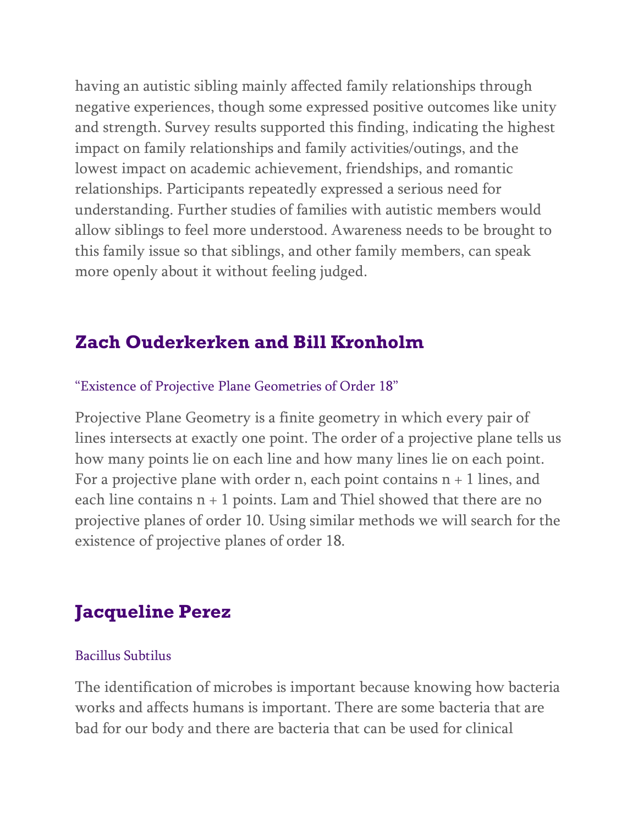having an autistic sibling mainly affected family relationships through negative experiences, though some expressed positive outcomes like unity and strength. Survey results supported this finding, indicating the highest impact on family relationships and family activities/outings, and the lowest impact on academic achievement, friendships, and romantic relationships. Participants repeatedly expressed a serious need for understanding. Further studies of families with autistic members would allow siblings to feel more understood. Awareness needs to be brought to this family issue so that siblings, and other family members, can speak more openly about it without feeling judged.

# **Zach Ouderkerken and Bill Kronholm**

### "Existence of Projective Plane Geometries of Order 18"

Projective Plane Geometry is a finite geometry in which every pair of lines intersects at exactly one point. The order of a projective plane tells us how many points lie on each line and how many lines lie on each point. For a projective plane with order n, each point contains  $n + 1$  lines, and each line contains  $n + 1$  points. Lam and Thiel showed that there are no projective planes of order 10. Using similar methods we will search for the existence of projective planes of order 18.

# **Jacqueline Perez**

#### Bacillus Subtilus

The identification of microbes is important because knowing how bacteria works and affects humans is important. There are some bacteria that are bad for our body and there are bacteria that can be used for clinical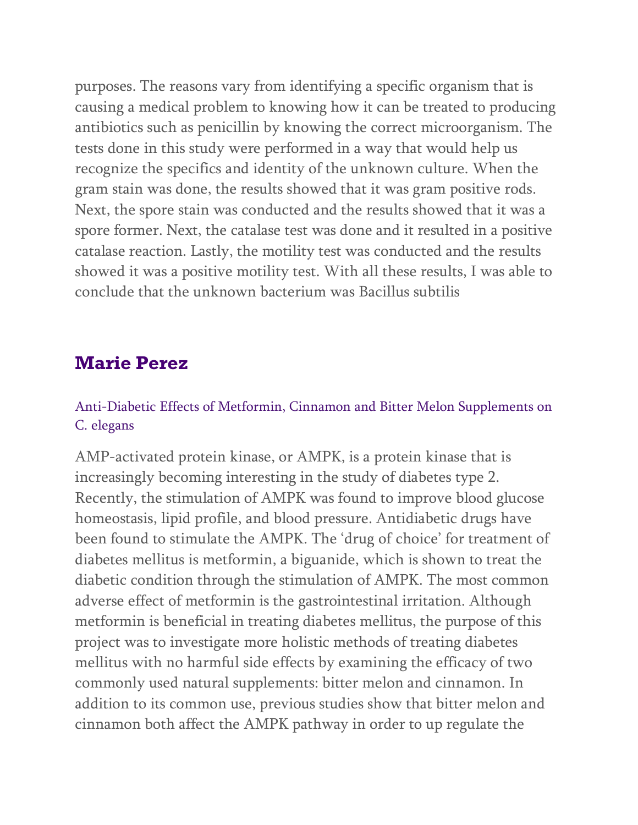purposes. The reasons vary from identifying a specific organism that is causing a medical problem to knowing how it can be treated to producing antibiotics such as penicillin by knowing the correct microorganism. The tests done in this study were performed in a way that would help us recognize the specifics and identity of the unknown culture. When the gram stain was done, the results showed that it was gram positive rods. Next, the spore stain was conducted and the results showed that it was a spore former. Next, the catalase test was done and it resulted in a positive catalase reaction. Lastly, the motility test was conducted and the results showed it was a positive motility test. With all these results, I was able to conclude that the unknown bacterium was Bacillus subtilis

### **Marie Perez**

### Anti-Diabetic Effects of Metformin, Cinnamon and Bitter Melon Supplements on C. elegans

AMP-activated protein kinase, or AMPK, is a protein kinase that is increasingly becoming interesting in the study of diabetes type 2. Recently, the stimulation of AMPK was found to improve blood glucose homeostasis, lipid profile, and blood pressure. Antidiabetic drugs have been found to stimulate the AMPK. The 'drug of choice' for treatment of diabetes mellitus is metformin, a biguanide, which is shown to treat the diabetic condition through the stimulation of AMPK. The most common adverse effect of metformin is the gastrointestinal irritation. Although metformin is beneficial in treating diabetes mellitus, the purpose of this project was to investigate more holistic methods of treating diabetes mellitus with no harmful side effects by examining the efficacy of two commonly used natural supplements: bitter melon and cinnamon. In addition to its common use, previous studies show that bitter melon and cinnamon both affect the AMPK pathway in order to up regulate the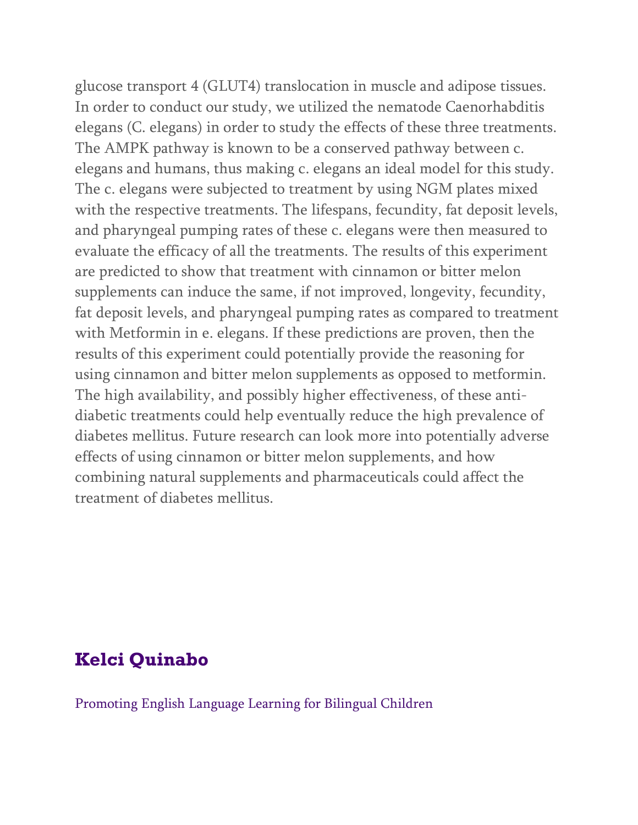glucose transport 4 (GLUT4) translocation in muscle and adipose tissues. In order to conduct our study, we utilized the nematode Caenorhabditis elegans (C. elegans) in order to study the effects of these three treatments. The AMPK pathway is known to be a conserved pathway between c. elegans and humans, thus making c. elegans an ideal model for this study. The c. elegans were subjected to treatment by using NGM plates mixed with the respective treatments. The lifespans, fecundity, fat deposit levels, and pharyngeal pumping rates of these c. elegans were then measured to evaluate the efficacy of all the treatments. The results of this experiment are predicted to show that treatment with cinnamon or bitter melon supplements can induce the same, if not improved, longevity, fecundity, fat deposit levels, and pharyngeal pumping rates as compared to treatment with Metformin in e. elegans. If these predictions are proven, then the results of this experiment could potentially provide the reasoning for using cinnamon and bitter melon supplements as opposed to metformin. The high availability, and possibly higher effectiveness, of these antidiabetic treatments could help eventually reduce the high prevalence of diabetes mellitus. Future research can look more into potentially adverse effects of using cinnamon or bitter melon supplements, and how combining natural supplements and pharmaceuticals could affect the treatment of diabetes mellitus.

## **Kelci Quinabo**

Promoting English Language Learning for Bilingual Children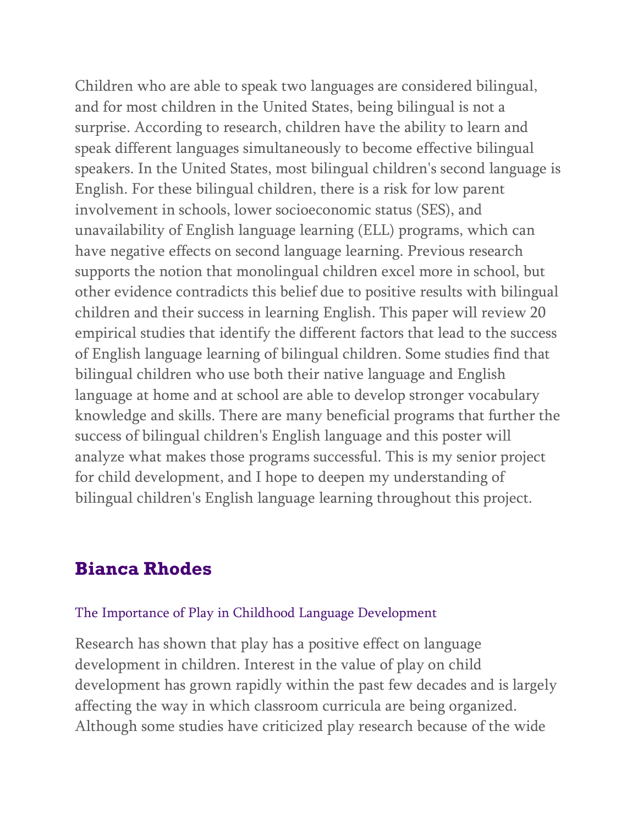Children who are able to speak two languages are considered bilingual, and for most children in the United States, being bilingual is not a surprise. According to research, children have the ability to learn and speak different languages simultaneously to become effective bilingual speakers. In the United States, most bilingual children's second language is English. For these bilingual children, there is a risk for low parent involvement in schools, lower socioeconomic status (SES), and unavailability of English language learning (ELL) programs, which can have negative effects on second language learning. Previous research supports the notion that monolingual children excel more in school, but other evidence contradicts this belief due to positive results with bilingual children and their success in learning English. This paper will review 20 empirical studies that identify the different factors that lead to the success of English language learning of bilingual children. Some studies find that bilingual children who use both their native language and English language at home and at school are able to develop stronger vocabulary knowledge and skills. There are many beneficial programs that further the success of bilingual children's English language and this poster will analyze what makes those programs successful. This is my senior project for child development, and I hope to deepen my understanding of bilingual children's English language learning throughout this project.

### **Bianca Rhodes**

#### The Importance of Play in Childhood Language Development

Research has shown that play has a positive effect on language development in children. Interest in the value of play on child development has grown rapidly within the past few decades and is largely affecting the way in which classroom curricula are being organized. Although some studies have criticized play research because of the wide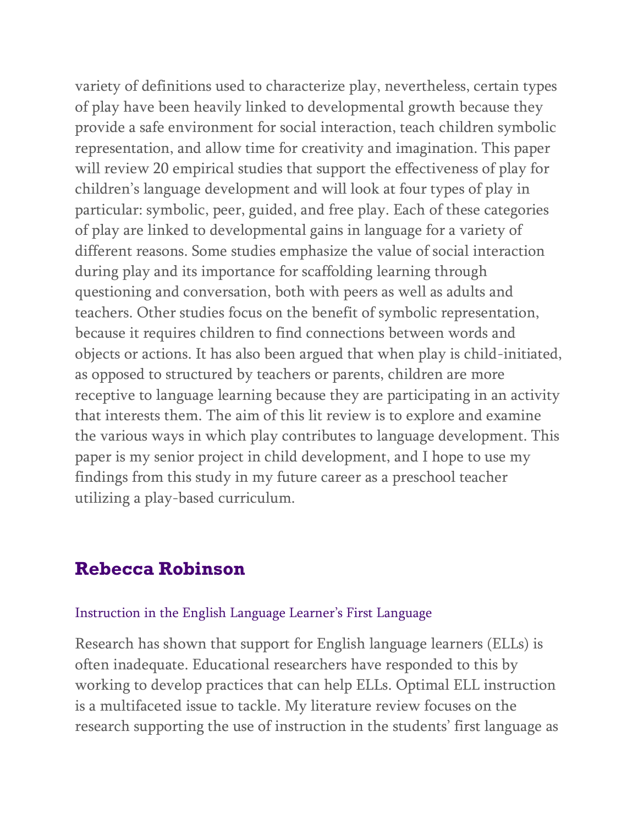variety of definitions used to characterize play, nevertheless, certain types of play have been heavily linked to developmental growth because they provide a safe environment for social interaction, teach children symbolic representation, and allow time for creativity and imagination. This paper will review 20 empirical studies that support the effectiveness of play for children's language development and will look at four types of play in particular: symbolic, peer, guided, and free play. Each of these categories of play are linked to developmental gains in language for a variety of different reasons. Some studies emphasize the value of social interaction during play and its importance for scaffolding learning through questioning and conversation, both with peers as well as adults and teachers. Other studies focus on the benefit of symbolic representation, because it requires children to find connections between words and objects or actions. It has also been argued that when play is child-initiated, as opposed to structured by teachers or parents, children are more receptive to language learning because they are participating in an activity that interests them. The aim of this lit review is to explore and examine the various ways in which play contributes to language development. This paper is my senior project in child development, and I hope to use my findings from this study in my future career as a preschool teacher utilizing a play-based curriculum.

### **Rebecca Robinson**

#### Instruction in the English Language Learner's First Language

Research has shown that support for English language learners (ELLs) is often inadequate. Educational researchers have responded to this by working to develop practices that can help ELLs. Optimal ELL instruction is a multifaceted issue to tackle. My literature review focuses on the research supporting the use of instruction in the students' first language as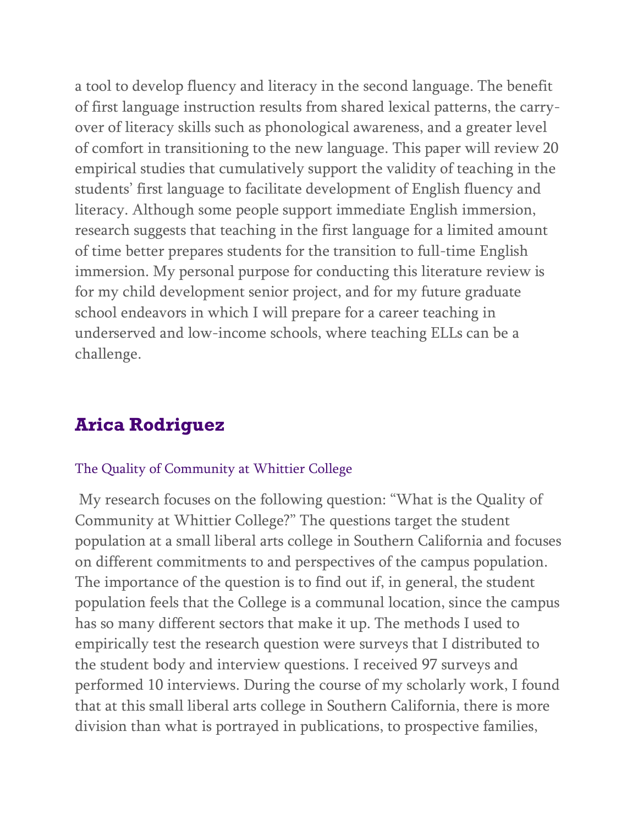a tool to develop fluency and literacy in the second language. The benefit of first language instruction results from shared lexical patterns, the carryover of literacy skills such as phonological awareness, and a greater level of comfort in transitioning to the new language. This paper will review 20 empirical studies that cumulatively support the validity of teaching in the students' first language to facilitate development of English fluency and literacy. Although some people support immediate English immersion, research suggests that teaching in the first language for a limited amount of time better prepares students for the transition to full-time English immersion. My personal purpose for conducting this literature review is for my child development senior project, and for my future graduate school endeavors in which I will prepare for a career teaching in underserved and low-income schools, where teaching ELLs can be a challenge.

# **Arica Rodriguez**

#### The Quality of Community at Whittier College

My research focuses on the following question: "What is the Quality of Community at Whittier College?" The questions target the student population at a small liberal arts college in Southern California and focuses on different commitments to and perspectives of the campus population. The importance of the question is to find out if, in general, the student population feels that the College is a communal location, since the campus has so many different sectors that make it up. The methods I used to empirically test the research question were surveys that I distributed to the student body and interview questions. I received 97 surveys and performed 10 interviews. During the course of my scholarly work, I found that at this small liberal arts college in Southern California, there is more division than what is portrayed in publications, to prospective families,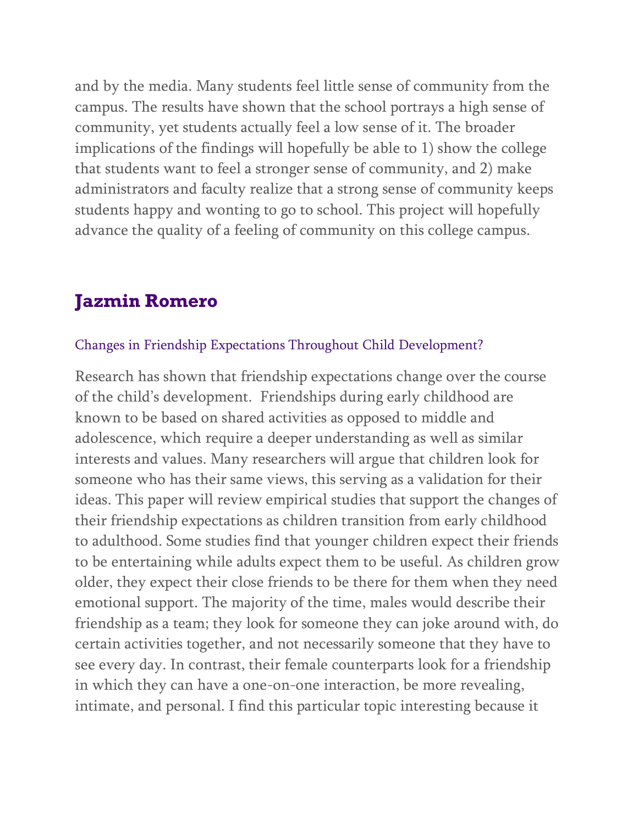and by the media. Many students feel little sense of community from the campus. The results have shown that the school portrays a high sense of community, yet students actually feel a low sense of it. The broader implications of the findings will hopefully be able to 1) show the college that students want to feel a stronger sense of community, and 2) make administrators and faculty realize that a strong sense of community keeps students happy and wonting to go to school. This project will hopefully advance the quality of a feeling of community on this college campus.

## **Jazmin Romero**

#### Changes in Friendship Expectations Throughout Child Development?

Research has shown that friendship expectations change over the course of the child's development. Friendships during early childhood are known to be based on shared activities as opposed to middle and adolescence, which require a deeper understanding as well as similar interests and values. Many researchers will argue that children look for someone who has their same views, this serving as a validation for their ideas. This paper will review empirical studies that support the changes of their friendship expectations as children transition from early childhood to adulthood. Some studies find that younger children expect their friends to be entertaining while adults expect them to be useful. As children grow older, they expect their close friends to be there for them when they need emotional support. The majority of the time, males would describe their friendship as a team; they look for someone they can joke around with, do certain activities together, and not necessarily someone that they have to see every day. In contrast, their female counterparts look for a friendship in which they can have a one-on-one interaction, be more revealing, intimate, and personal. I find this particular topic interesting because it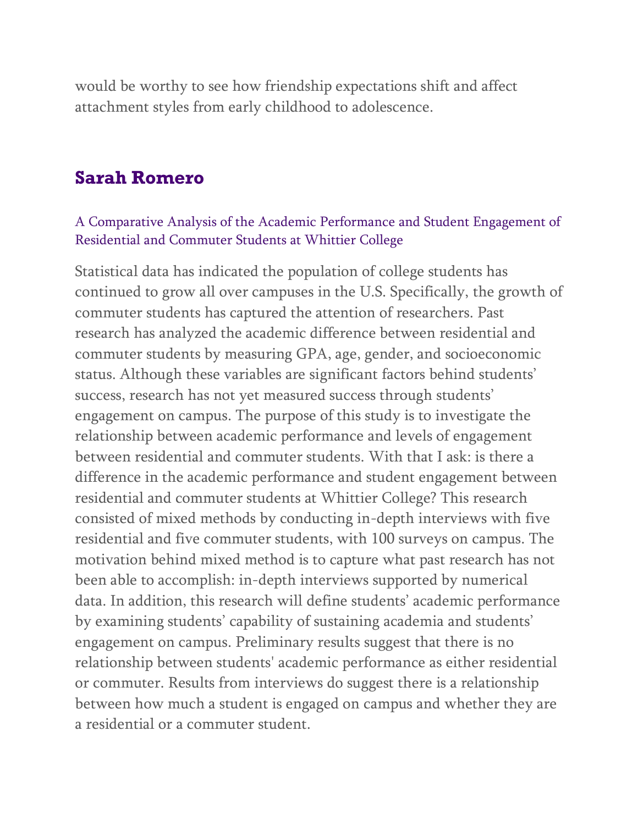would be worthy to see how friendship expectations shift and affect attachment styles from early childhood to adolescence.

### **Sarah Romero**

#### A Comparative Analysis of the Academic Performance and Student Engagement of Residential and Commuter Students at Whittier College

Statistical data has indicated the population of college students has continued to grow all over campuses in the U.S. Specifically, the growth of commuter students has captured the attention of researchers. Past research has analyzed the academic difference between residential and commuter students by measuring GPA, age, gender, and socioeconomic status. Although these variables are significant factors behind students' success, research has not yet measured success through students' engagement on campus. The purpose of this study is to investigate the relationship between academic performance and levels of engagement between residential and commuter students. With that I ask: is there a difference in the academic performance and student engagement between residential and commuter students at Whittier College? This research consisted of mixed methods by conducting in-depth interviews with five residential and five commuter students, with 100 surveys on campus. The motivation behind mixed method is to capture what past research has not been able to accomplish: in-depth interviews supported by numerical data. In addition, this research will define students' academic performance by examining students' capability of sustaining academia and students' engagement on campus. Preliminary results suggest that there is no relationship between students' academic performance as either residential or commuter. Results from interviews do suggest there is a relationship between how much a student is engaged on campus and whether they are a residential or a commuter student.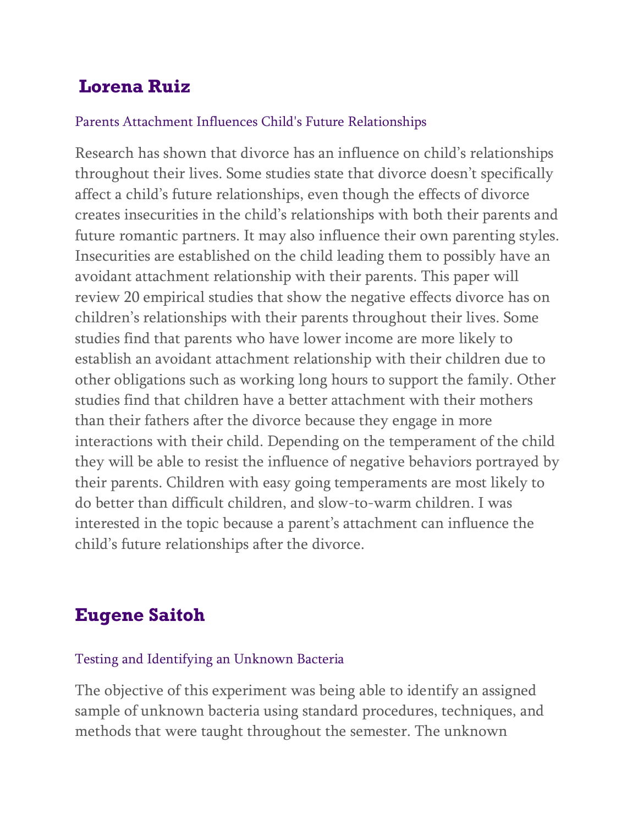# **Lorena Ruiz**

### Parents Attachment Influences Child's Future Relationships

Research has shown that divorce has an influence on child's relationships throughout their lives. Some studies state that divorce doesn't specifically affect a child's future relationships, even though the effects of divorce creates insecurities in the child's relationships with both their parents and future romantic partners. It may also influence their own parenting styles. Insecurities are established on the child leading them to possibly have an avoidant attachment relationship with their parents. This paper will review 20 empirical studies that show the negative effects divorce has on children's relationships with their parents throughout their lives. Some studies find that parents who have lower income are more likely to establish an avoidant attachment relationship with their children due to other obligations such as working long hours to support the family. Other studies find that children have a better attachment with their mothers than their fathers after the divorce because they engage in more interactions with their child. Depending on the temperament of the child they will be able to resist the influence of negative behaviors portrayed by their parents. Children with easy going temperaments are most likely to do better than difficult children, and slow-to-warm children. I was interested in the topic because a parent's attachment can influence the child's future relationships after the divorce.

# **Eugene Saitoh**

#### Testing and Identifying an Unknown Bacteria

The objective of this experiment was being able to identify an assigned sample of unknown bacteria using standard procedures, techniques, and methods that were taught throughout the semester. The unknown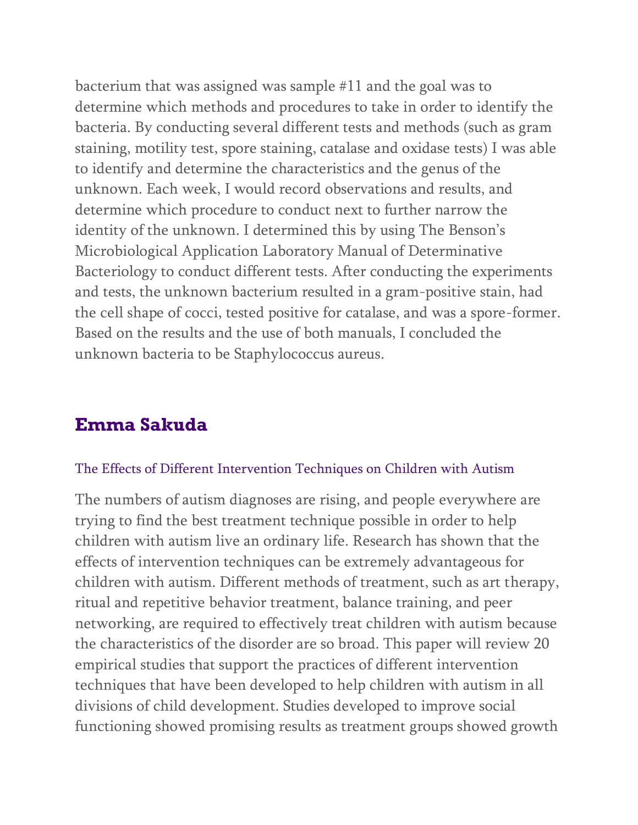bacterium that was assigned was sample #11 and the goal was to determine which methods and procedures to take in order to identify the bacteria. By conducting several different tests and methods (such as gram staining, motility test, spore staining, catalase and oxidase tests) I was able to identify and determine the characteristics and the genus of the unknown. Each week, I would record observations and results, and determine which procedure to conduct next to further narrow the identity of the unknown. I determined this by using The Benson's Microbiological Application Laboratory Manual of Determinative Bacteriology to conduct different tests. After conducting the experiments and tests, the unknown bacterium resulted in a gram-positive stain, had the cell shape of cocci, tested positive for catalase, and was a spore-former. Based on the results and the use of both manuals, I concluded the unknown bacteria to be Staphylococcus aureus.

## **Emma Sakuda**

#### The Effects of Different Intervention Techniques on Children with Autism

The numbers of autism diagnoses are rising, and people everywhere are trying to find the best treatment technique possible in order to help children with autism live an ordinary life. Research has shown that the effects of intervention techniques can be extremely advantageous for children with autism. Different methods of treatment, such as art therapy, ritual and repetitive behavior treatment, balance training, and peer networking, are required to effectively treat children with autism because the characteristics of the disorder are so broad. This paper will review 20 empirical studies that support the practices of different intervention techniques that have been developed to help children with autism in all divisions of child development. Studies developed to improve social functioning showed promising results as treatment groups showed growth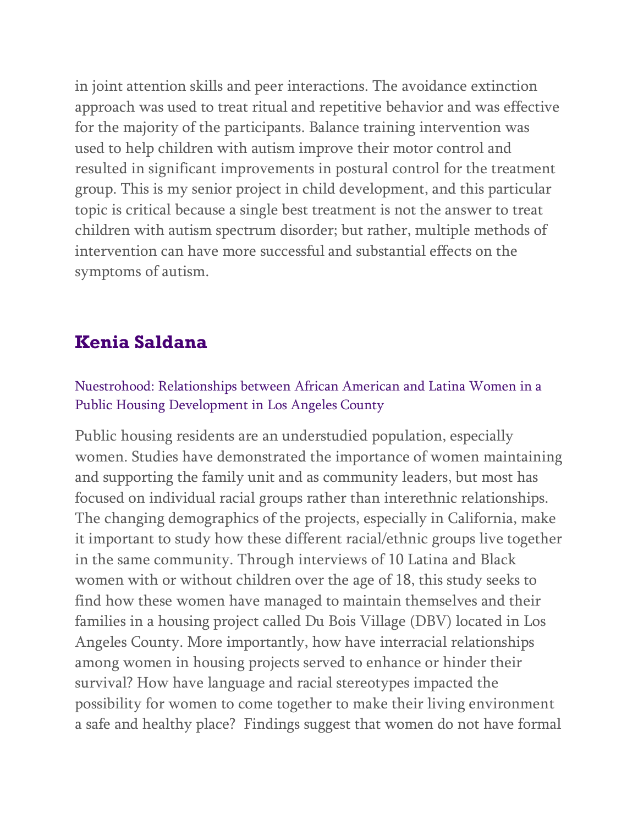in joint attention skills and peer interactions. The avoidance extinction approach was used to treat ritual and repetitive behavior and was effective for the majority of the participants. Balance training intervention was used to help children with autism improve their motor control and resulted in significant improvements in postural control for the treatment group. This is my senior project in child development, and this particular topic is critical because a single best treatment is not the answer to treat children with autism spectrum disorder; but rather, multiple methods of intervention can have more successful and substantial effects on the symptoms of autism.

# **Kenia Saldana**

### Nuestrohood: Relationships between African American and Latina Women in a Public Housing Development in Los Angeles County

Public housing residents are an understudied population, especially women. Studies have demonstrated the importance of women maintaining and supporting the family unit and as community leaders, but most has focused on individual racial groups rather than interethnic relationships. The changing demographics of the projects, especially in California, make it important to study how these different racial/ethnic groups live together in the same community. Through interviews of 10 Latina and Black women with or without children over the age of 18, this study seeks to find how these women have managed to maintain themselves and their families in a housing project called Du Bois Village (DBV) located in Los Angeles County. More importantly, how have interracial relationships among women in housing projects served to enhance or hinder their survival? How have language and racial stereotypes impacted the possibility for women to come together to make their living environment a safe and healthy place? Findings suggest that women do not have formal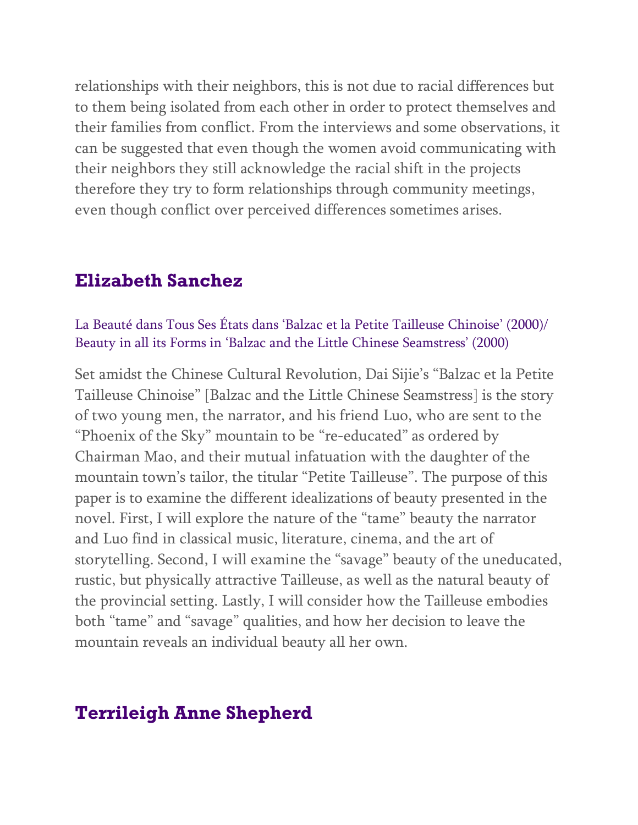relationships with their neighbors, this is not due to racial differences but to them being isolated from each other in order to protect themselves and their families from conflict. From the interviews and some observations, it can be suggested that even though the women avoid communicating with their neighbors they still acknowledge the racial shift in the projects therefore they try to form relationships through community meetings, even though conflict over perceived differences sometimes arises.

### **Elizabeth Sanchez**

La Beauté dans Tous Ses États dans 'Balzac et la Petite Tailleuse Chinoise' (2000)/ Beauty in all its Forms in 'Balzac and the Little Chinese Seamstress' (2000)

Set amidst the Chinese Cultural Revolution, Dai Sijie's "Balzac et la Petite Tailleuse Chinoise" [Balzac and the Little Chinese Seamstress] is the story of two young men, the narrator, and his friend Luo, who are sent to the "Phoenix of the Sky" mountain to be "re-educated" as ordered by Chairman Mao, and their mutual infatuation with the daughter of the mountain town's tailor, the titular "Petite Tailleuse". The purpose of this paper is to examine the different idealizations of beauty presented in the novel. First, I will explore the nature of the "tame" beauty the narrator and Luo find in classical music, literature, cinema, and the art of storytelling. Second, I will examine the "savage" beauty of the uneducated, rustic, but physically attractive Tailleuse, as well as the natural beauty of the provincial setting. Lastly, I will consider how the Tailleuse embodies both "tame" and "savage" qualities, and how her decision to leave the mountain reveals an individual beauty all her own.

### **Terrileigh Anne Shepherd**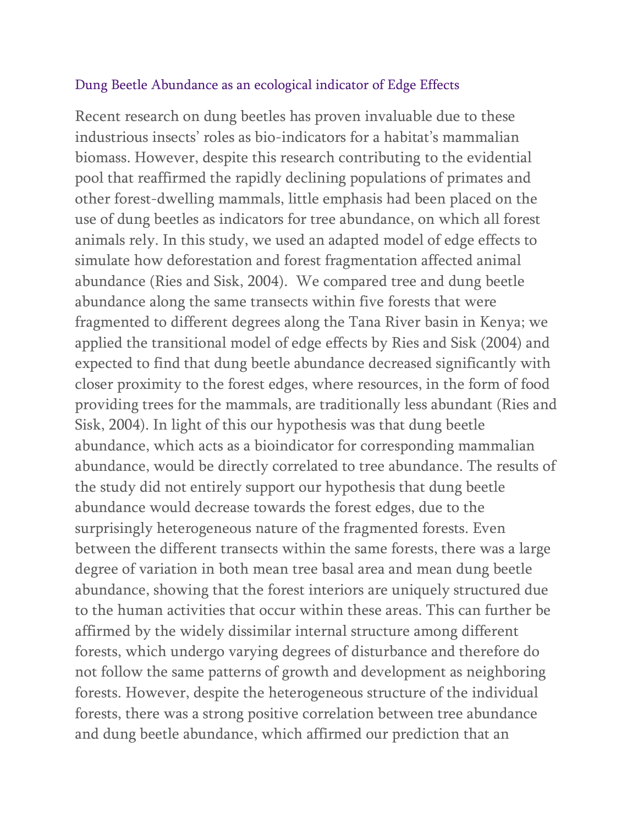#### Dung Beetle Abundance as an ecological indicator of Edge Effects

Recent research on dung beetles has proven invaluable due to these industrious insects' roles as bio-indicators for a habitat's mammalian biomass. However, despite this research contributing to the evidential pool that reaffirmed the rapidly declining populations of primates and other forest-dwelling mammals, little emphasis had been placed on the use of dung beetles as indicators for tree abundance, on which all forest animals rely. In this study, we used an adapted model of edge effects to simulate how deforestation and forest fragmentation affected animal abundance (Ries and Sisk, 2004). We compared tree and dung beetle abundance along the same transects within five forests that were fragmented to different degrees along the Tana River basin in Kenya; we applied the transitional model of edge effects by Ries and Sisk (2004) and expected to find that dung beetle abundance decreased significantly with closer proximity to the forest edges, where resources, in the form of food providing trees for the mammals, are traditionally less abundant (Ries and Sisk, 2004). In light of this our hypothesis was that dung beetle abundance, which acts as a bioindicator for corresponding mammalian abundance, would be directly correlated to tree abundance. The results of the study did not entirely support our hypothesis that dung beetle abundance would decrease towards the forest edges, due to the surprisingly heterogeneous nature of the fragmented forests. Even between the different transects within the same forests, there was a large degree of variation in both mean tree basal area and mean dung beetle abundance, showing that the forest interiors are uniquely structured due to the human activities that occur within these areas. This can further be affirmed by the widely dissimilar internal structure among different forests, which undergo varying degrees of disturbance and therefore do not follow the same patterns of growth and development as neighboring forests. However, despite the heterogeneous structure of the individual forests, there was a strong positive correlation between tree abundance and dung beetle abundance, which affirmed our prediction that an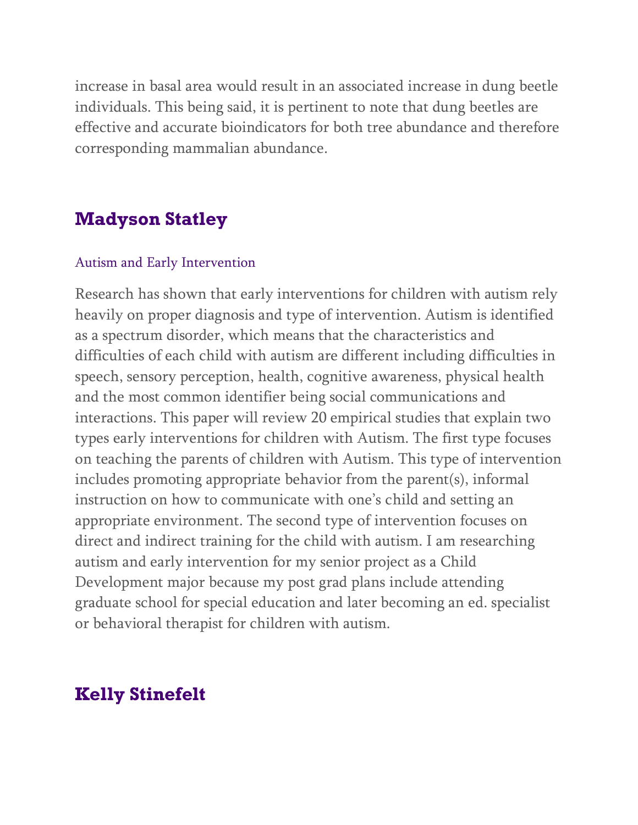increase in basal area would result in an associated increase in dung beetle individuals. This being said, it is pertinent to note that dung beetles are effective and accurate bioindicators for both tree abundance and therefore corresponding mammalian abundance.

### **Madyson Statley**

#### Autism and Early Intervention

Research has shown that early interventions for children with autism rely heavily on proper diagnosis and type of intervention. Autism is identified as a spectrum disorder, which means that the characteristics and difficulties of each child with autism are different including difficulties in speech, sensory perception, health, cognitive awareness, physical health and the most common identifier being social communications and interactions. This paper will review 20 empirical studies that explain two types early interventions for children with Autism. The first type focuses on teaching the parents of children with Autism. This type of intervention includes promoting appropriate behavior from the parent(s), informal instruction on how to communicate with one's child and setting an appropriate environment. The second type of intervention focuses on direct and indirect training for the child with autism. I am researching autism and early intervention for my senior project as a Child Development major because my post grad plans include attending graduate school for special education and later becoming an ed. specialist or behavioral therapist for children with autism.

### **Kelly Stinefelt**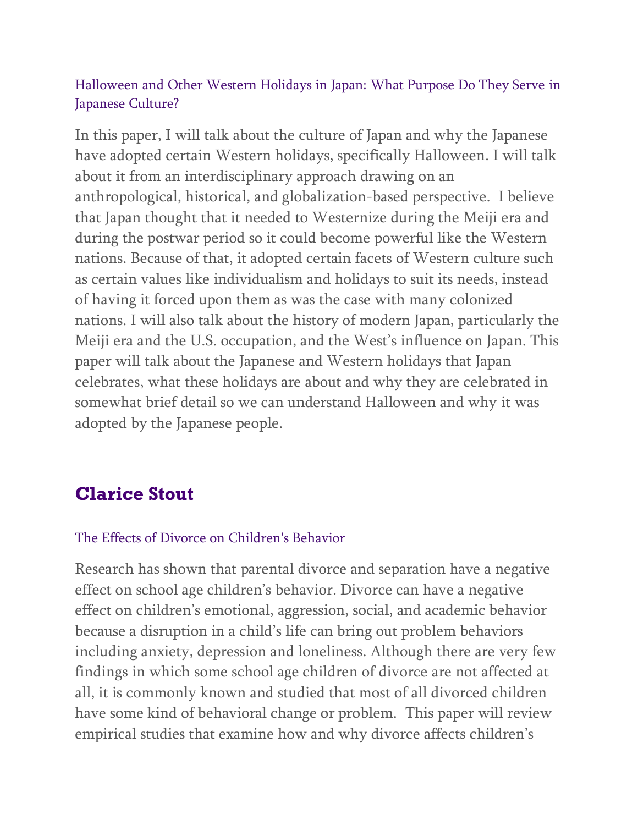### Halloween and Other Western Holidays in Japan: What Purpose Do They Serve in Japanese Culture?

In this paper, I will talk about the culture of Japan and why the Japanese have adopted certain Western holidays, specifically Halloween. I will talk about it from an interdisciplinary approach drawing on an anthropological, historical, and globalization-based perspective. I believe that Japan thought that it needed to Westernize during the Meiji era and during the postwar period so it could become powerful like the Western nations. Because of that, it adopted certain facets of Western culture such as certain values like individualism and holidays to suit its needs, instead of having it forced upon them as was the case with many colonized nations. I will also talk about the history of modern Japan, particularly the Meiji era and the U.S. occupation, and the West's influence on Japan. This paper will talk about the Japanese and Western holidays that Japan celebrates, what these holidays are about and why they are celebrated in somewhat brief detail so we can understand Halloween and why it was adopted by the Japanese people.

# **Clarice Stout**

### The Effects of Divorce on Children's Behavior

Research has shown that parental divorce and separation have a negative effect on school age children's behavior. Divorce can have a negative effect on children's emotional, aggression, social, and academic behavior because a disruption in a child's life can bring out problem behaviors including anxiety, depression and loneliness. Although there are very few findings in which some school age children of divorce are not affected at all, it is commonly known and studied that most of all divorced children have some kind of behavioral change or problem. This paper will review empirical studies that examine how and why divorce affects children's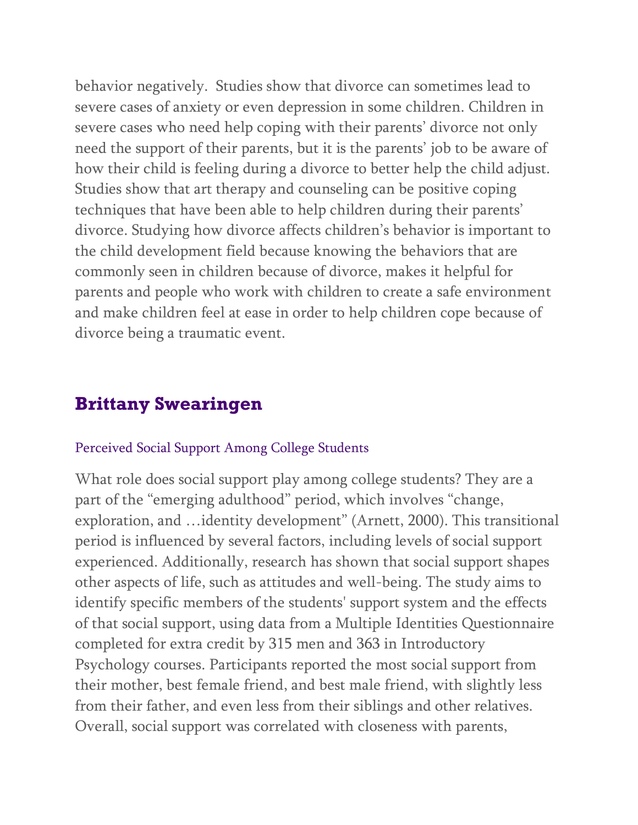behavior negatively. Studies show that divorce can sometimes lead to severe cases of anxiety or even depression in some children. Children in severe cases who need help coping with their parents' divorce not only need the support of their parents, but it is the parents' job to be aware of how their child is feeling during a divorce to better help the child adjust. Studies show that art therapy and counseling can be positive coping techniques that have been able to help children during their parents' divorce. Studying how divorce affects children's behavior is important to the child development field because knowing the behaviors that are commonly seen in children because of divorce, makes it helpful for parents and people who work with children to create a safe environment and make children feel at ease in order to help children cope because of divorce being a traumatic event.

## **Brittany Swearingen**

#### Perceived Social Support Among College Students

What role does social support play among college students? They are a part of the "emerging adulthood" period, which involves "change, exploration, and …identity development" (Arnett, 2000). This transitional period is influenced by several factors, including levels of social support experienced. Additionally, research has shown that social support shapes other aspects of life, such as attitudes and well-being. The study aims to identify specific members of the students' support system and the effects of that social support, using data from a Multiple Identities Questionnaire completed for extra credit by 315 men and 363 in Introductory Psychology courses. Participants reported the most social support from their mother, best female friend, and best male friend, with slightly less from their father, and even less from their siblings and other relatives. Overall, social support was correlated with closeness with parents,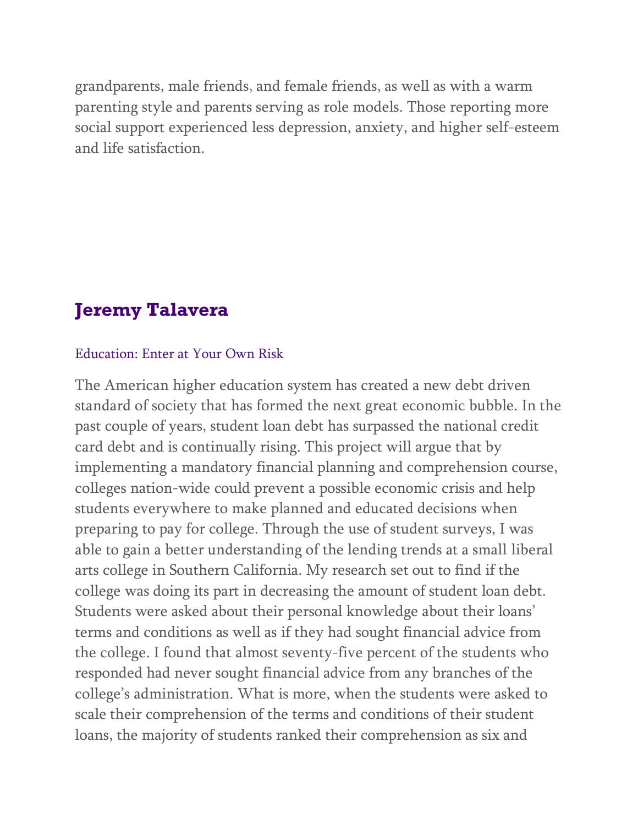grandparents, male friends, and female friends, as well as with a warm parenting style and parents serving as role models. Those reporting more social support experienced less depression, anxiety, and higher self-esteem and life satisfaction.

## **Jeremy Talavera**

#### Education: Enter at Your Own Risk

The American higher education system has created a new debt driven standard of society that has formed the next great economic bubble. In the past couple of years, student loan debt has surpassed the national credit card debt and is continually rising. This project will argue that by implementing a mandatory financial planning and comprehension course, colleges nation-wide could prevent a possible economic crisis and help students everywhere to make planned and educated decisions when preparing to pay for college. Through the use of student surveys, I was able to gain a better understanding of the lending trends at a small liberal arts college in Southern California. My research set out to find if the college was doing its part in decreasing the amount of student loan debt. Students were asked about their personal knowledge about their loans' terms and conditions as well as if they had sought financial advice from the college. I found that almost seventy-five percent of the students who responded had never sought financial advice from any branches of the college's administration. What is more, when the students were asked to scale their comprehension of the terms and conditions of their student loans, the majority of students ranked their comprehension as six and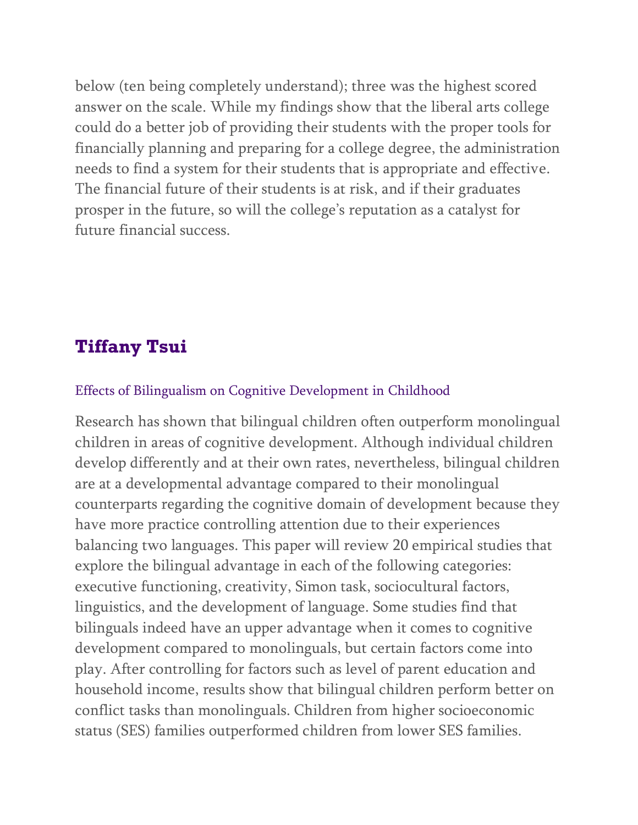below (ten being completely understand); three was the highest scored answer on the scale. While my findings show that the liberal arts college could do a better job of providing their students with the proper tools for financially planning and preparing for a college degree, the administration needs to find a system for their students that is appropriate and effective. The financial future of their students is at risk, and if their graduates prosper in the future, so will the college's reputation as a catalyst for future financial success.

### **Tiffany Tsui**

#### Effects of Bilingualism on Cognitive Development in Childhood

Research has shown that bilingual children often outperform monolingual children in areas of cognitive development. Although individual children develop differently and at their own rates, nevertheless, bilingual children are at a developmental advantage compared to their monolingual counterparts regarding the cognitive domain of development because they have more practice controlling attention due to their experiences balancing two languages. This paper will review 20 empirical studies that explore the bilingual advantage in each of the following categories: executive functioning, creativity, Simon task, sociocultural factors, linguistics, and the development of language. Some studies find that bilinguals indeed have an upper advantage when it comes to cognitive development compared to monolinguals, but certain factors come into play. After controlling for factors such as level of parent education and household income, results show that bilingual children perform better on conflict tasks than monolinguals. Children from higher socioeconomic status (SES) families outperformed children from lower SES families.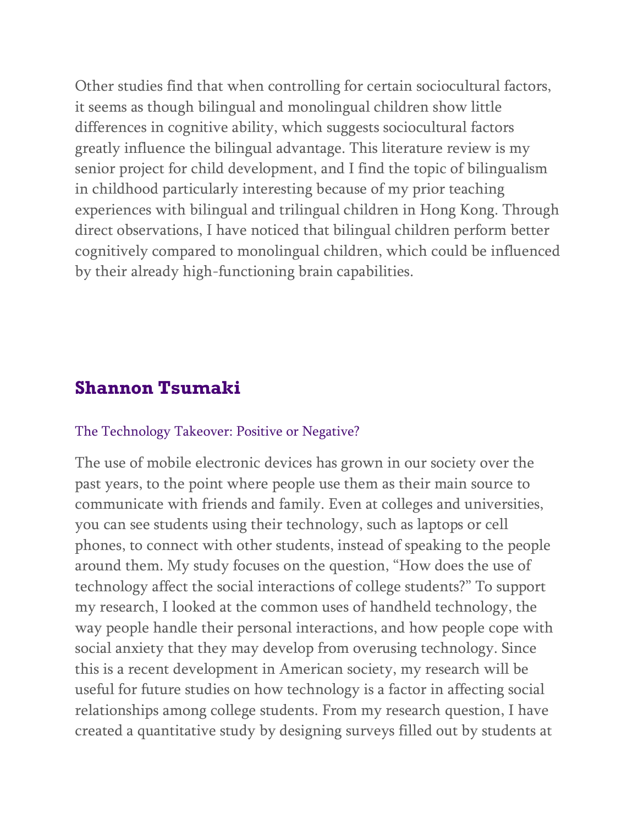Other studies find that when controlling for certain sociocultural factors, it seems as though bilingual and monolingual children show little differences in cognitive ability, which suggests sociocultural factors greatly influence the bilingual advantage. This literature review is my senior project for child development, and I find the topic of bilingualism in childhood particularly interesting because of my prior teaching experiences with bilingual and trilingual children in Hong Kong. Through direct observations, I have noticed that bilingual children perform better cognitively compared to monolingual children, which could be influenced by their already high-functioning brain capabilities.

### **Shannon Tsumaki**

#### The Technology Takeover: Positive or Negative?

The use of mobile electronic devices has grown in our society over the past years, to the point where people use them as their main source to communicate with friends and family. Even at colleges and universities, you can see students using their technology, such as laptops or cell phones, to connect with other students, instead of speaking to the people around them. My study focuses on the question, "How does the use of technology affect the social interactions of college students?" To support my research, I looked at the common uses of handheld technology, the way people handle their personal interactions, and how people cope with social anxiety that they may develop from overusing technology. Since this is a recent development in American society, my research will be useful for future studies on how technology is a factor in affecting social relationships among college students. From my research question, I have created a quantitative study by designing surveys filled out by students at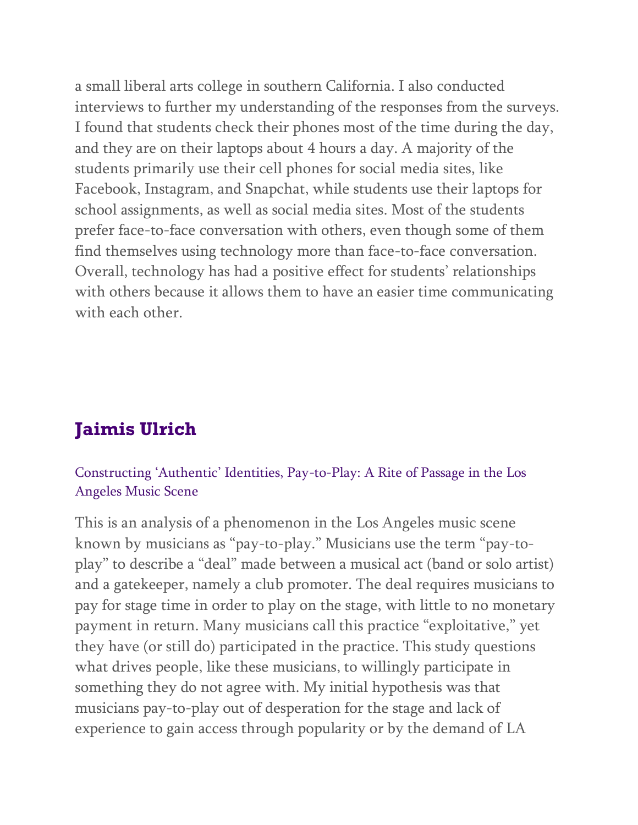a small liberal arts college in southern California. I also conducted interviews to further my understanding of the responses from the surveys. I found that students check their phones most of the time during the day, and they are on their laptops about 4 hours a day. A majority of the students primarily use their cell phones for social media sites, like Facebook, Instagram, and Snapchat, while students use their laptops for school assignments, as well as social media sites. Most of the students prefer face-to-face conversation with others, even though some of them find themselves using technology more than face-to-face conversation. Overall, technology has had a positive effect for students' relationships with others because it allows them to have an easier time communicating with each other.

## **Jaimis Ulrich**

#### Constructing 'Authentic' Identities, Pay-to-Play: A Rite of Passage in the Los Angeles Music Scene

This is an analysis of a phenomenon in the Los Angeles music scene known by musicians as "pay-to-play." Musicians use the term "pay-toplay" to describe a "deal" made between a musical act (band or solo artist) and a gatekeeper, namely a club promoter. The deal requires musicians to pay for stage time in order to play on the stage, with little to no monetary payment in return. Many musicians call this practice "exploitative," yet they have (or still do) participated in the practice. This study questions what drives people, like these musicians, to willingly participate in something they do not agree with. My initial hypothesis was that musicians pay-to-play out of desperation for the stage and lack of experience to gain access through popularity or by the demand of LA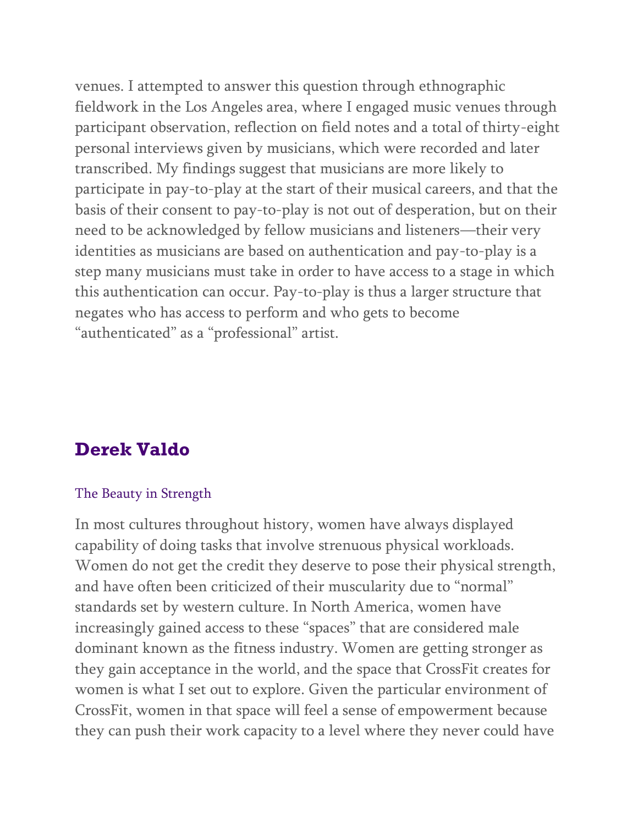venues. I attempted to answer this question through ethnographic fieldwork in the Los Angeles area, where I engaged music venues through participant observation, reflection on field notes and a total of thirty-eight personal interviews given by musicians, which were recorded and later transcribed. My findings suggest that musicians are more likely to participate in pay-to-play at the start of their musical careers, and that the basis of their consent to pay-to-play is not out of desperation, but on their need to be acknowledged by fellow musicians and listeners—their very identities as musicians are based on authentication and pay-to-play is a step many musicians must take in order to have access to a stage in which this authentication can occur. Pay-to-play is thus a larger structure that negates who has access to perform and who gets to become "authenticated" as a "professional" artist.

### **Derek Valdo**

#### The Beauty in Strength

In most cultures throughout history, women have always displayed capability of doing tasks that involve strenuous physical workloads. Women do not get the credit they deserve to pose their physical strength, and have often been criticized of their muscularity due to "normal" standards set by western culture. In North America, women have increasingly gained access to these "spaces" that are considered male dominant known as the fitness industry. Women are getting stronger as they gain acceptance in the world, and the space that CrossFit creates for women is what I set out to explore. Given the particular environment of CrossFit, women in that space will feel a sense of empowerment because they can push their work capacity to a level where they never could have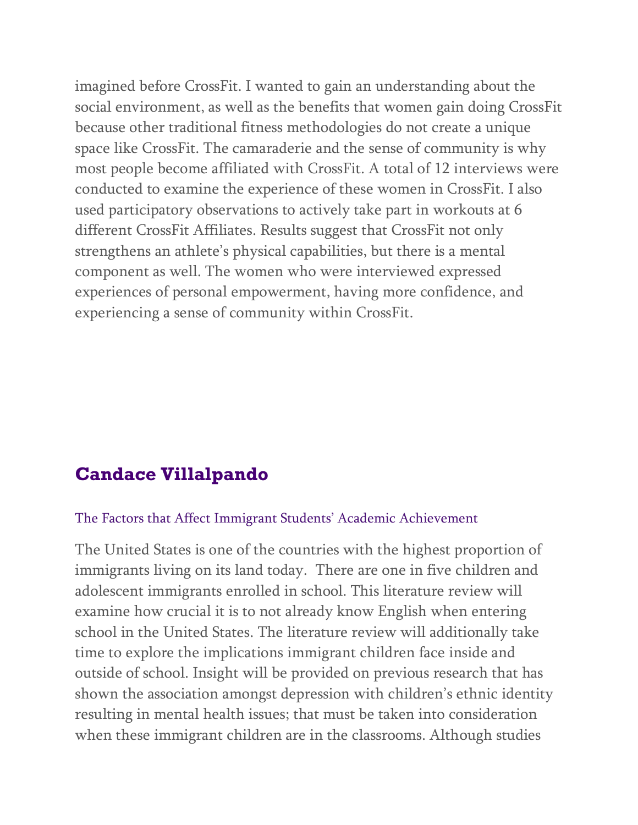imagined before CrossFit. I wanted to gain an understanding about the social environment, as well as the benefits that women gain doing CrossFit because other traditional fitness methodologies do not create a unique space like CrossFit. The camaraderie and the sense of community is why most people become affiliated with CrossFit. A total of 12 interviews were conducted to examine the experience of these women in CrossFit. I also used participatory observations to actively take part in workouts at 6 different CrossFit Affiliates. Results suggest that CrossFit not only strengthens an athlete's physical capabilities, but there is a mental component as well. The women who were interviewed expressed experiences of personal empowerment, having more confidence, and experiencing a sense of community within CrossFit.

## **Candace Villalpando**

#### The Factors that Affect Immigrant Students' Academic Achievement

The United States is one of the countries with the highest proportion of immigrants living on its land today. There are one in five children and adolescent immigrants enrolled in school. This literature review will examine how crucial it is to not already know English when entering school in the United States. The literature review will additionally take time to explore the implications immigrant children face inside and outside of school. Insight will be provided on previous research that has shown the association amongst depression with children's ethnic identity resulting in mental health issues; that must be taken into consideration when these immigrant children are in the classrooms. Although studies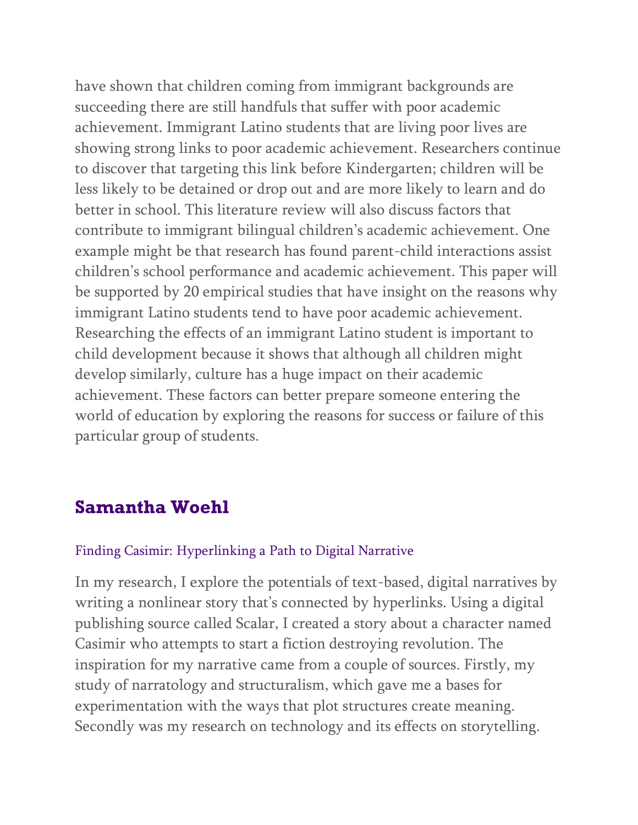have shown that children coming from immigrant backgrounds are succeeding there are still handfuls that suffer with poor academic achievement. Immigrant Latino students that are living poor lives are showing strong links to poor academic achievement. Researchers continue to discover that targeting this link before Kindergarten; children will be less likely to be detained or drop out and are more likely to learn and do better in school. This literature review will also discuss factors that contribute to immigrant bilingual children's academic achievement. One example might be that research has found parent-child interactions assist children's school performance and academic achievement. This paper will be supported by 20 empirical studies that have insight on the reasons why immigrant Latino students tend to have poor academic achievement. Researching the effects of an immigrant Latino student is important to child development because it shows that although all children might develop similarly, culture has a huge impact on their academic achievement. These factors can better prepare someone entering the world of education by exploring the reasons for success or failure of this particular group of students.

### **Samantha Woehl**

#### Finding Casimir: Hyperlinking a Path to Digital Narrative

In my research, I explore the potentials of text-based, digital narratives by writing a nonlinear story that's connected by hyperlinks. Using a digital publishing source called Scalar, I created a story about a character named Casimir who attempts to start a fiction destroying revolution. The inspiration for my narrative came from a couple of sources. Firstly, my study of narratology and structuralism, which gave me a bases for experimentation with the ways that plot structures create meaning. Secondly was my research on technology and its effects on storytelling.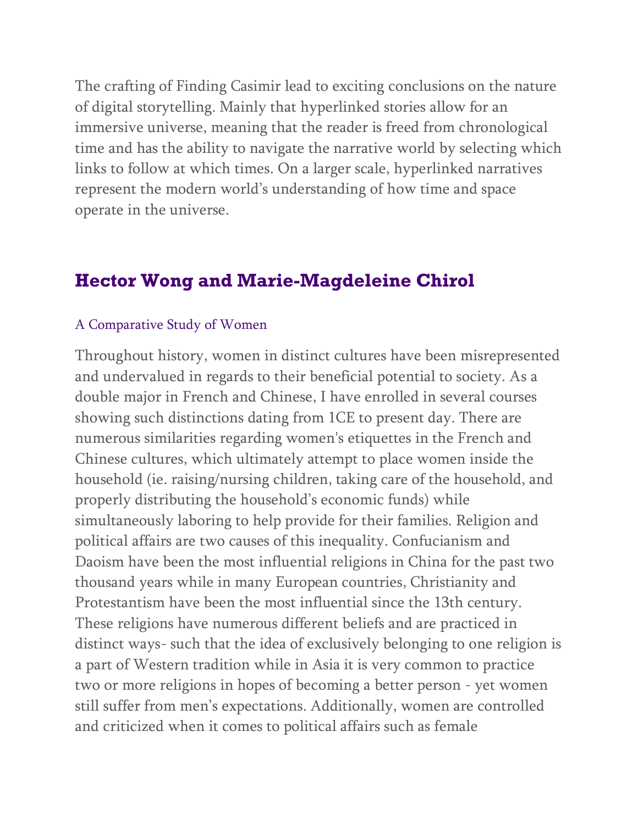The crafting of Finding Casimir lead to exciting conclusions on the nature of digital storytelling. Mainly that hyperlinked stories allow for an immersive universe, meaning that the reader is freed from chronological time and has the ability to navigate the narrative world by selecting which links to follow at which times. On a larger scale, hyperlinked narratives represent the modern world's understanding of how time and space operate in the universe.

## **Hector Wong and Marie-Magdeleine Chirol**

#### A Comparative Study of Women

Throughout history, women in distinct cultures have been misrepresented and undervalued in regards to their beneficial potential to society. As a double major in French and Chinese, I have enrolled in several courses showing such distinctions dating from 1CE to present day. There are numerous similarities regarding women's etiquettes in the French and Chinese cultures, which ultimately attempt to place women inside the household (ie. raising/nursing children, taking care of the household, and properly distributing the household's economic funds) while simultaneously laboring to help provide for their families. Religion and political affairs are two causes of this inequality. Confucianism and Daoism have been the most influential religions in China for the past two thousand years while in many European countries, Christianity and Protestantism have been the most influential since the 13th century. These religions have numerous different beliefs and are practiced in distinct ways- such that the idea of exclusively belonging to one religion is a part of Western tradition while in Asia it is very common to practice two or more religions in hopes of becoming a better person - yet women still suffer from men's expectations. Additionally, women are controlled and criticized when it comes to political affairs such as female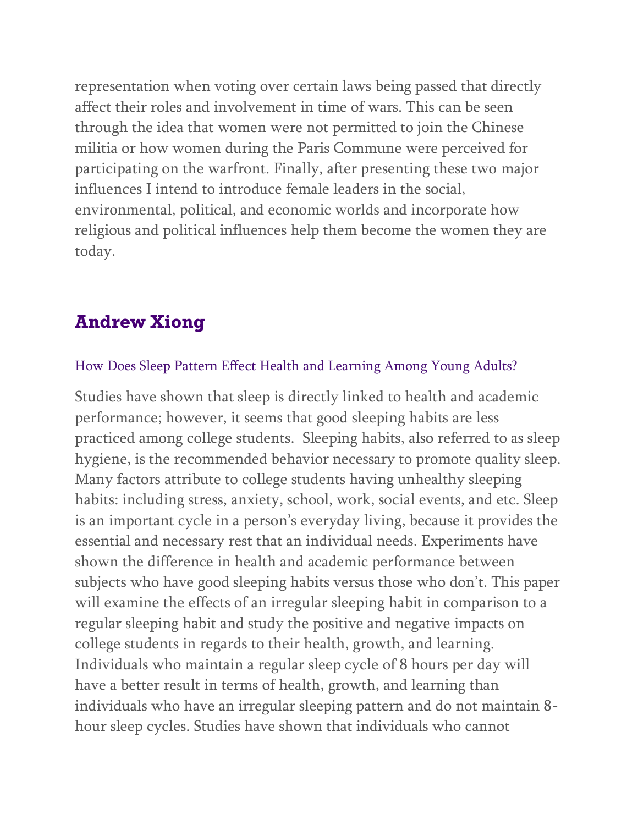representation when voting over certain laws being passed that directly affect their roles and involvement in time of wars. This can be seen through the idea that women were not permitted to join the Chinese militia or how women during the Paris Commune were perceived for participating on the warfront. Finally, after presenting these two major influences I intend to introduce female leaders in the social, environmental, political, and economic worlds and incorporate how religious and political influences help them become the women they are today.

### **Andrew Xiong**

#### How Does Sleep Pattern Effect Health and Learning Among Young Adults?

Studies have shown that sleep is directly linked to health and academic performance; however, it seems that good sleeping habits are less practiced among college students. Sleeping habits, also referred to as sleep hygiene, is the recommended behavior necessary to promote quality sleep. Many factors attribute to college students having unhealthy sleeping habits: including stress, anxiety, school, work, social events, and etc. Sleep is an important cycle in a person's everyday living, because it provides the essential and necessary rest that an individual needs. Experiments have shown the difference in health and academic performance between subjects who have good sleeping habits versus those who don't. This paper will examine the effects of an irregular sleeping habit in comparison to a regular sleeping habit and study the positive and negative impacts on college students in regards to their health, growth, and learning. Individuals who maintain a regular sleep cycle of 8 hours per day will have a better result in terms of health, growth, and learning than individuals who have an irregular sleeping pattern and do not maintain 8 hour sleep cycles. Studies have shown that individuals who cannot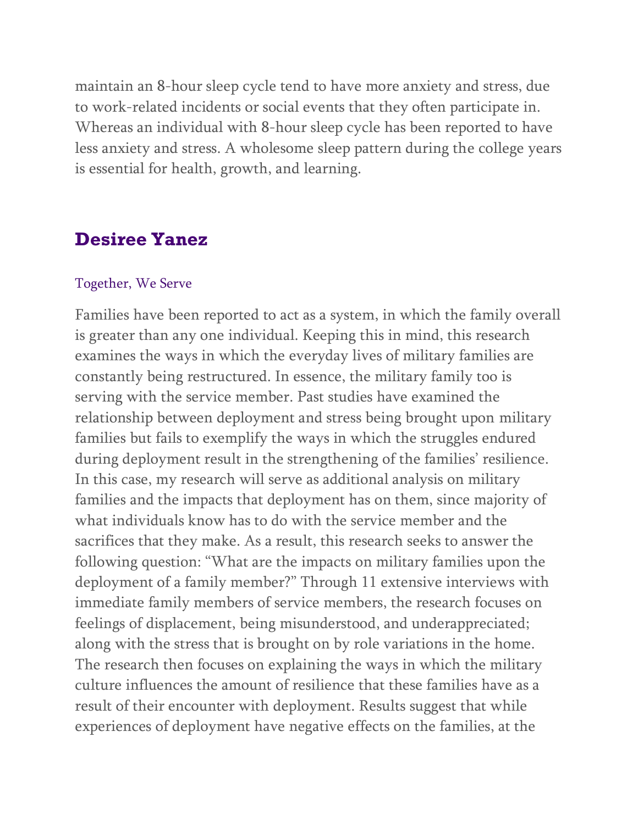maintain an 8-hour sleep cycle tend to have more anxiety and stress, due to work-related incidents or social events that they often participate in. Whereas an individual with 8-hour sleep cycle has been reported to have less anxiety and stress. A wholesome sleep pattern during the college years is essential for health, growth, and learning.

### **Desiree Yanez**

#### Together, We Serve

Families have been reported to act as a system, in which the family overall is greater than any one individual. Keeping this in mind, this research examines the ways in which the everyday lives of military families are constantly being restructured. In essence, the military family too is serving with the service member. Past studies have examined the relationship between deployment and stress being brought upon military families but fails to exemplify the ways in which the struggles endured during deployment result in the strengthening of the families' resilience. In this case, my research will serve as additional analysis on military families and the impacts that deployment has on them, since majority of what individuals know has to do with the service member and the sacrifices that they make. As a result, this research seeks to answer the following question: "What are the impacts on military families upon the deployment of a family member?" Through 11 extensive interviews with immediate family members of service members, the research focuses on feelings of displacement, being misunderstood, and underappreciated; along with the stress that is brought on by role variations in the home. The research then focuses on explaining the ways in which the military culture influences the amount of resilience that these families have as a result of their encounter with deployment. Results suggest that while experiences of deployment have negative effects on the families, at the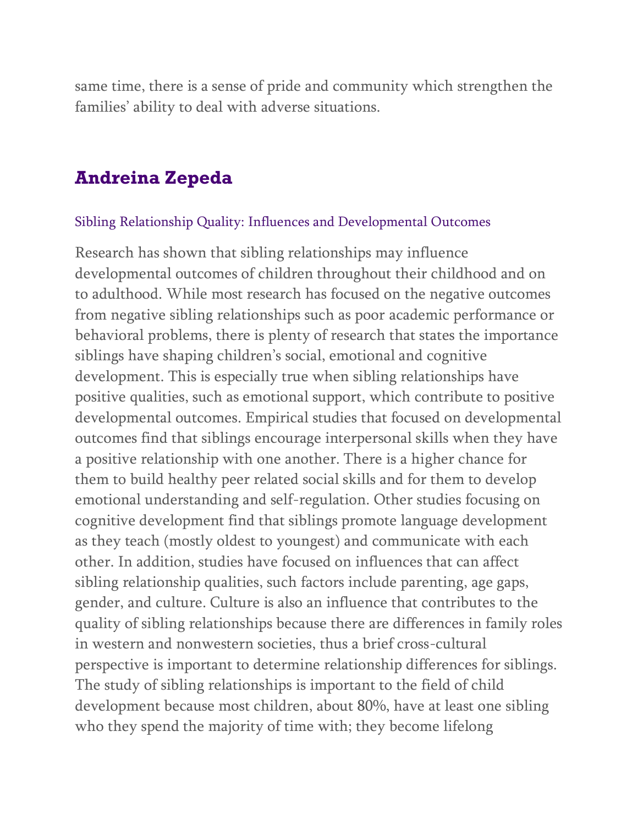same time, there is a sense of pride and community which strengthen the families' ability to deal with adverse situations.

### **Andreina Zepeda**

#### Sibling Relationship Quality: Influences and Developmental Outcomes

Research has shown that sibling relationships may influence developmental outcomes of children throughout their childhood and on to adulthood. While most research has focused on the negative outcomes from negative sibling relationships such as poor academic performance or behavioral problems, there is plenty of research that states the importance siblings have shaping children's social, emotional and cognitive development. This is especially true when sibling relationships have positive qualities, such as emotional support, which contribute to positive developmental outcomes. Empirical studies that focused on developmental outcomes find that siblings encourage interpersonal skills when they have a positive relationship with one another. There is a higher chance for them to build healthy peer related social skills and for them to develop emotional understanding and self-regulation. Other studies focusing on cognitive development find that siblings promote language development as they teach (mostly oldest to youngest) and communicate with each other. In addition, studies have focused on influences that can affect sibling relationship qualities, such factors include parenting, age gaps, gender, and culture. Culture is also an influence that contributes to the quality of sibling relationships because there are differences in family roles in western and nonwestern societies, thus a brief cross-cultural perspective is important to determine relationship differences for siblings. The study of sibling relationships is important to the field of child development because most children, about 80%, have at least one sibling who they spend the majority of time with; they become lifelong